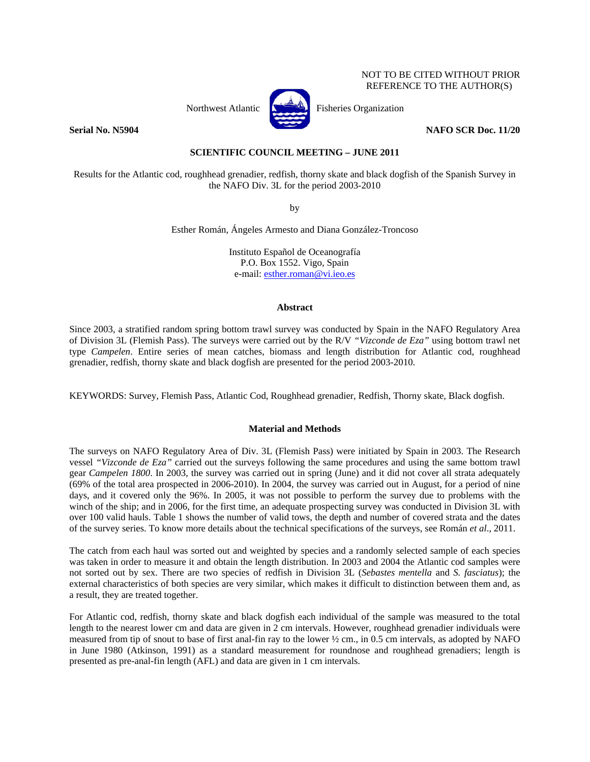# NOT TO BE CITED WITHOUT PRIOR REFERENCE TO THE AUTHOR(S)



Northwest Atlantic **No. 3. Fisheries Organization** 

**Serial No. N5904** NAFO SCR Doc. 11/20

# **SCIENTIFIC COUNCIL MEETING – JUNE 2011**

Results for the Atlantic cod, roughhead grenadier, redfish, thorny skate and black dogfish of the Spanish Survey in the NAFO Div. 3L for the period 2003-2010

by

Esther Román, Ángeles Armesto and Diana González-Troncoso

Instituto Español de Oceanografía P.O. Box 1552. Vigo, Spain e-mail: esther.roman@vi.ieo.es

### **Abstract**

Since 2003, a stratified random spring bottom trawl survey was conducted by Spain in the NAFO Regulatory Area of Division 3L (Flemish Pass). The surveys were carried out by the R/V *"Vizconde de Eza"* using bottom trawl net type *Campelen*. Entire series of mean catches, biomass and length distribution for Atlantic cod, roughhead grenadier, redfish, thorny skate and black dogfish are presented for the period 2003-2010.

KEYWORDS: Survey, Flemish Pass, Atlantic Cod, Roughhead grenadier, Redfish, Thorny skate, Black dogfish.

## **Material and Methods**

The surveys on NAFO Regulatory Area of Div. 3L (Flemish Pass) were initiated by Spain in 2003. The Research vessel *"Vizconde de Eza"* carried out the surveys following the same procedures and using the same bottom trawl gear *Campelen 1800*. In 2003, the survey was carried out in spring (June) and it did not cover all strata adequately (69% of the total area prospected in 2006-2010). In 2004, the survey was carried out in August, for a period of nine days, and it covered only the 96%. In 2005, it was not possible to perform the survey due to problems with the winch of the ship; and in 2006, for the first time, an adequate prospecting survey was conducted in Division 3L with over 100 valid hauls. Table 1 shows the number of valid tows, the depth and number of covered strata and the dates of the survey series. To know more details about the technical specifications of the surveys, see Román *et al*., 2011.

The catch from each haul was sorted out and weighted by species and a randomly selected sample of each species was taken in order to measure it and obtain the length distribution. In 2003 and 2004 the Atlantic cod samples were not sorted out by sex. There are two species of redfish in Division 3L (*Sebastes mentella* and *S. fasciatus*); the external characteristics of both species are very similar, which makes it difficult to distinction between them and, as a result, they are treated together.

For Atlantic cod, redfish, thorny skate and black dogfish each individual of the sample was measured to the total length to the nearest lower cm and data are given in 2 cm intervals. However, roughhead grenadier individuals were measured from tip of snout to base of first anal-fin ray to the lower ½ cm., in 0.5 cm intervals, as adopted by NAFO in June 1980 (Atkinson, 1991) as a standard measurement for roundnose and roughhead grenadiers; length is presented as pre-anal-fin length (AFL) and data are given in 1 cm intervals.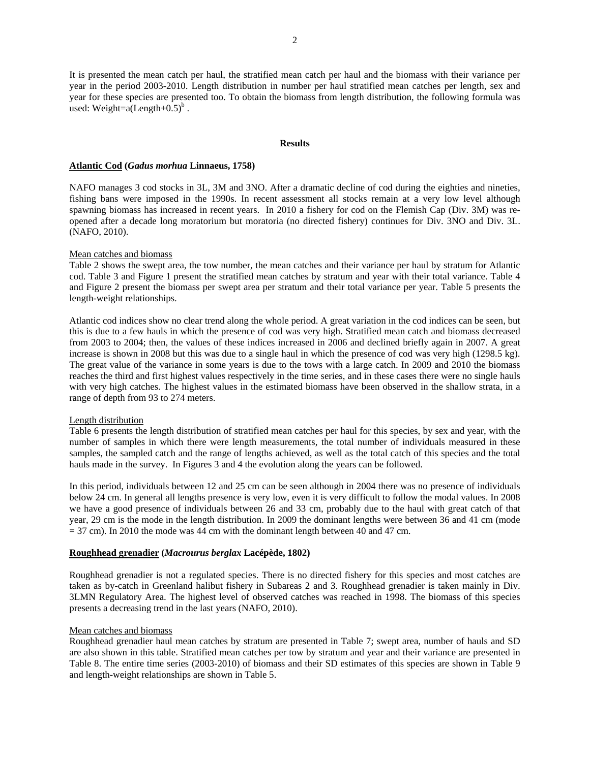It is presented the mean catch per haul, the stratified mean catch per haul and the biomass with their variance per year in the period 2003-2010. Length distribution in number per haul stratified mean catches per length, sex and year for these species are presented too. To obtain the biomass from length distribution, the following formula was used: Weight= $a(Length+0.5)^b$ .

#### **Results**

### **Atlantic Cod (***Gadus morhua* **Linnaeus, 1758)**

NAFO manages 3 cod stocks in 3L, 3M and 3NO. After a dramatic decline of cod during the eighties and nineties, fishing bans were imposed in the 1990s. In recent assessment all stocks remain at a very low level although spawning biomass has increased in recent years. In 2010 a fishery for cod on the Flemish Cap (Div. 3M) was reopened after a decade long moratorium but moratoria (no directed fishery) continues for Div. 3NO and Div. 3L. (NAFO, 2010).

## Mean catches and biomass

Table 2 shows the swept area, the tow number, the mean catches and their variance per haul by stratum for Atlantic cod. Table 3 and Figure 1 present the stratified mean catches by stratum and year with their total variance. Table 4 and Figure 2 present the biomass per swept area per stratum and their total variance per year. Table 5 presents the length-weight relationships.

Atlantic cod indices show no clear trend along the whole period. A great variation in the cod indices can be seen, but this is due to a few hauls in which the presence of cod was very high. Stratified mean catch and biomass decreased from 2003 to 2004; then, the values of these indices increased in 2006 and declined briefly again in 2007. A great increase is shown in 2008 but this was due to a single haul in which the presence of cod was very high (1298.5 kg). The great value of the variance in some years is due to the tows with a large catch. In 2009 and 2010 the biomass reaches the third and first highest values respectively in the time series, and in these cases there were no single hauls with very high catches. The highest values in the estimated biomass have been observed in the shallow strata, in a range of depth from 93 to 274 meters.

## Length distribution

Table 6 presents the length distribution of stratified mean catches per haul for this species, by sex and year, with the number of samples in which there were length measurements, the total number of individuals measured in these samples, the sampled catch and the range of lengths achieved, as well as the total catch of this species and the total hauls made in the survey. In Figures 3 and 4 the evolution along the years can be followed.

In this period, individuals between 12 and 25 cm can be seen although in 2004 there was no presence of individuals below 24 cm. In general all lengths presence is very low, even it is very difficult to follow the modal values. In 2008 we have a good presence of individuals between 26 and 33 cm, probably due to the haul with great catch of that year, 29 cm is the mode in the length distribution. In 2009 the dominant lengths were between 36 and 41 cm (mode  $= 37$  cm). In 2010 the mode was 44 cm with the dominant length between 40 and 47 cm.

## **Roughhead grenadier (***Macrourus berglax* **Lacépède, 1802)**

Roughhead grenadier is not a regulated species. There is no directed fishery for this species and most catches are taken as by-catch in Greenland halibut fishery in Subareas 2 and 3. Roughhead grenadier is taken mainly in Div. 3LMN Regulatory Area. The highest level of observed catches was reached in 1998. The biomass of this species presents a decreasing trend in the last years (NAFO, 2010).

#### Mean catches and biomass

Roughhead grenadier haul mean catches by stratum are presented in Table 7; swept area, number of hauls and SD are also shown in this table. Stratified mean catches per tow by stratum and year and their variance are presented in Table 8. The entire time series (2003-2010) of biomass and their SD estimates of this species are shown in Table 9 and length-weight relationships are shown in Table 5.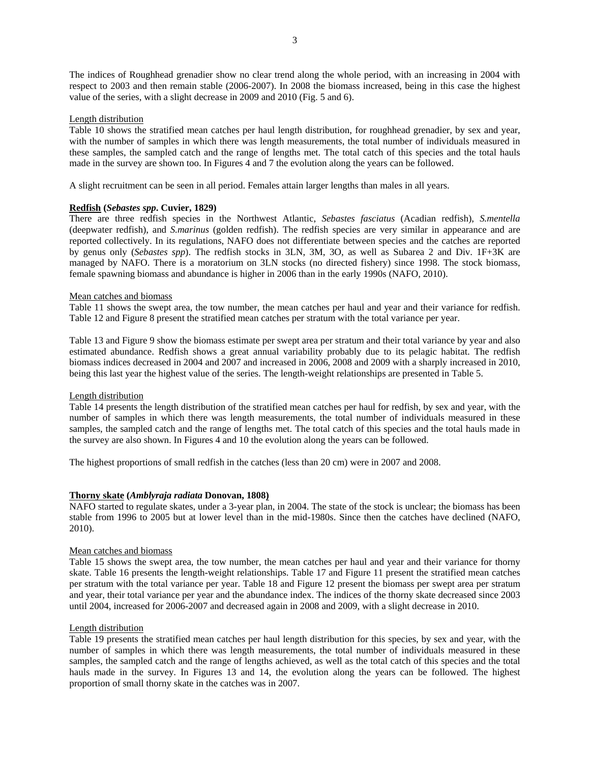The indices of Roughhead grenadier show no clear trend along the whole period, with an increasing in 2004 with respect to 2003 and then remain stable (2006-2007). In 2008 the biomass increased, being in this case the highest value of the series, with a slight decrease in 2009 and 2010 (Fig. 5 and 6).

## Length distribution

Table 10 shows the stratified mean catches per haul length distribution, for roughhead grenadier, by sex and year, with the number of samples in which there was length measurements, the total number of individuals measured in these samples, the sampled catch and the range of lengths met. The total catch of this species and the total hauls made in the survey are shown too. In Figures 4 and 7 the evolution along the years can be followed.

A slight recruitment can be seen in all period. Females attain larger lengths than males in all years.

## **Redfish (***Sebastes spp***. Cuvier, 1829)**

There are three redfish species in the Northwest Atlantic, *Sebastes fasciatus* (Acadian redfish), *S.mentella* (deepwater redfish), and *S.marinus* (golden redfish). The redfish species are very similar in appearance and are reported collectively. In its regulations, NAFO does not differentiate between species and the catches are reported by genus only (*Sebastes spp*). The redfish stocks in 3LN, 3M, 3O, as well as Subarea 2 and Div. 1F+3K are managed by NAFO. There is a moratorium on 3LN stocks (no directed fishery) since 1998. The stock biomass, female spawning biomass and abundance is higher in 2006 than in the early 1990s (NAFO, 2010).

## Mean catches and biomass

Table 11 shows the swept area, the tow number, the mean catches per haul and year and their variance for redfish. Table 12 and Figure 8 present the stratified mean catches per stratum with the total variance per year.

Table 13 and Figure 9 show the biomass estimate per swept area per stratum and their total variance by year and also estimated abundance. Redfish shows a great annual variability probably due to its pelagic habitat. The redfish biomass indices decreased in 2004 and 2007 and increased in 2006, 2008 and 2009 with a sharply increased in 2010, being this last year the highest value of the series. The length-weight relationships are presented in Table 5.

## Length distribution

Table 14 presents the length distribution of the stratified mean catches per haul for redfish, by sex and year, with the number of samples in which there was length measurements, the total number of individuals measured in these samples, the sampled catch and the range of lengths met. The total catch of this species and the total hauls made in the survey are also shown. In Figures 4 and 10 the evolution along the years can be followed.

The highest proportions of small redfish in the catches (less than 20 cm) were in 2007 and 2008.

## **Thorny skate (***Amblyraja radiata* **Donovan, 1808)**

NAFO started to regulate skates, under a 3-year plan, in 2004. The state of the stock is unclear; the biomass has been stable from 1996 to 2005 but at lower level than in the mid-1980s. Since then the catches have declined (NAFO, 2010).

## Mean catches and biomass

Table 15 shows the swept area, the tow number, the mean catches per haul and year and their variance for thorny skate. Table 16 presents the length-weight relationships. Table 17 and Figure 11 present the stratified mean catches per stratum with the total variance per year. Table 18 and Figure 12 present the biomass per swept area per stratum and year, their total variance per year and the abundance index. The indices of the thorny skate decreased since 2003 until 2004, increased for 2006-2007 and decreased again in 2008 and 2009, with a slight decrease in 2010.

## Length distribution

Table 19 presents the stratified mean catches per haul length distribution for this species, by sex and year, with the number of samples in which there was length measurements, the total number of individuals measured in these samples, the sampled catch and the range of lengths achieved, as well as the total catch of this species and the total hauls made in the survey. In Figures 13 and 14, the evolution along the years can be followed. The highest proportion of small thorny skate in the catches was in 2007.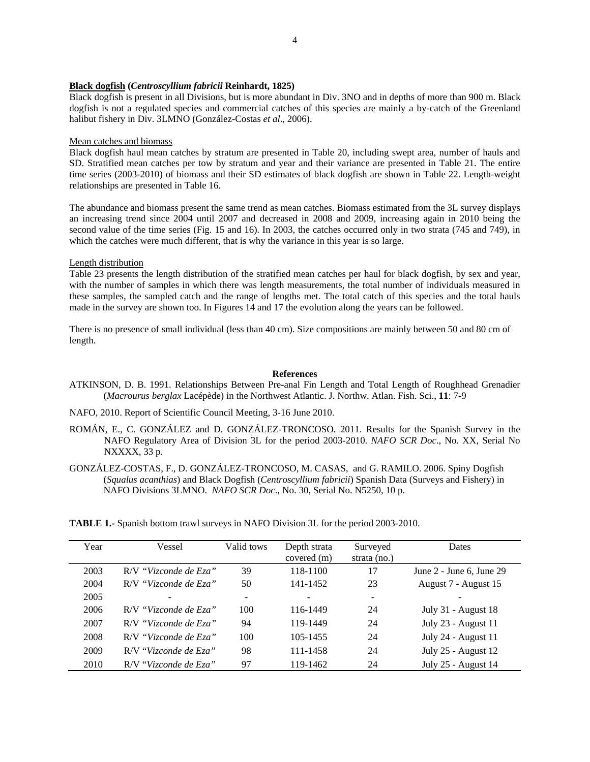### **Black dogfish (***Centroscyllium fabricii* **Reinhardt, 1825)**

Black dogfish is present in all Divisions, but is more abundant in Div. 3NO and in depths of more than 900 m. Black dogfish is not a regulated species and commercial catches of this species are mainly a by-catch of the Greenland halibut fishery in Div. 3LMNO (González-Costas *et al*., 2006).

### Mean catches and biomass

Black dogfish haul mean catches by stratum are presented in Table 20, including swept area, number of hauls and SD. Stratified mean catches per tow by stratum and year and their variance are presented in Table 21. The entire time series (2003-2010) of biomass and their SD estimates of black dogfish are shown in Table 22. Length-weight relationships are presented in Table 16.

The abundance and biomass present the same trend as mean catches. Biomass estimated from the 3L survey displays an increasing trend since 2004 until 2007 and decreased in 2008 and 2009, increasing again in 2010 being the second value of the time series (Fig. 15 and 16). In 2003, the catches occurred only in two strata (745 and 749), in which the catches were much different, that is why the variance in this year is so large.

### Length distribution

Table 23 presents the length distribution of the stratified mean catches per haul for black dogfish, by sex and year, with the number of samples in which there was length measurements, the total number of individuals measured in these samples, the sampled catch and the range of lengths met. The total catch of this species and the total hauls made in the survey are shown too. In Figures 14 and 17 the evolution along the years can be followed.

There is no presence of small individual (less than 40 cm). Size compositions are mainly between 50 and 80 cm of length.

### **References**

- ATKINSON, D. B. 1991. Relationships Between Pre-anal Fin Length and Total Length of Roughhead Grenadier (*Macrourus berglax* Lacépède) in the Northwest Atlantic. J. Northw. Atlan. Fish. Sci., **11**: 7-9
- NAFO, 2010. Report of Scientific Council Meeting, 3-16 June 2010.
- ROMÁN, E., C. GONZÁLEZ and D. GONZÁLEZ-TRONCOSO. 2011. Results for the Spanish Survey in the NAFO Regulatory Area of Division 3L for the period 2003-2010. *NAFO SCR Doc*., No. XX, Serial No NXXXX, 33 p.
- GONZÁLEZ-COSTAS, F., D. GONZÁLEZ-TRONCOSO, M. CASAS, and G. RAMILO. 2006. Spiny Dogfish (*Squalus acanthias*) and Black Dogfish (*Centroscyllium fabricii*) Spanish Data (Surveys and Fishery) in NAFO Divisions 3LMNO. *NAFO SCR Doc*., No. 30, Serial No. N5250, 10 p.

**TABLE 1.-** Spanish bottom trawl surveys in NAFO Division 3L for the period 2003-2010.

| Year | Vessel                | Valid tows | Depth strata<br>covered (m) | Surveyed<br>strata (no.) | Dates                        |
|------|-----------------------|------------|-----------------------------|--------------------------|------------------------------|
| 2003 | R/V "Vizconde de Eza" | 39         | 118-1100                    | 17                       | June $2$ - June 6, June $29$ |
| 2004 | R/V "Vizconde de Eza" | 50         | 141-1452                    | 23                       | August 7 - August 15         |
| 2005 |                       | ۰          |                             | -                        |                              |
| 2006 | R/V "Vizconde de Eza" | 100        | 116-1449                    | 24                       | July 31 - August 18          |
| 2007 | R/V "Vizconde de Eza" | 94         | 119-1449                    | 24                       | July 23 - August 11          |
| 2008 | R/V "Vizconde de Eza" | 100        | 105-1455                    | 24                       | July 24 - August 11          |
| 2009 | R/V "Vizconde de Eza" | 98         | 111-1458                    | 24                       | July 25 - August 12          |
| 2010 | R/V "Vizconde de Eza" | 97         | 119-1462                    | 24                       | July 25 - August 14          |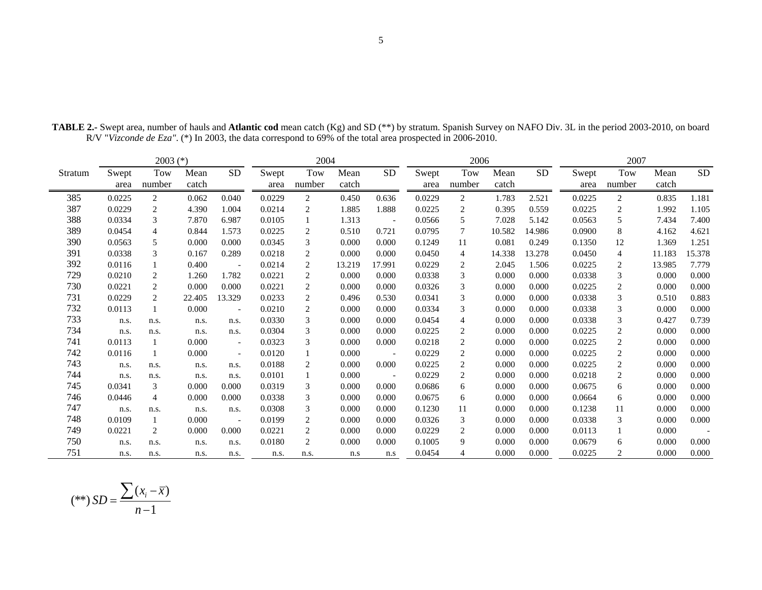|         |               | $2003$ (*)     |               |                          | 2004          |                |               |                          | 2006          |                |               |           | 2007          |                |               |           |
|---------|---------------|----------------|---------------|--------------------------|---------------|----------------|---------------|--------------------------|---------------|----------------|---------------|-----------|---------------|----------------|---------------|-----------|
| Stratum | Swept<br>area | Tow<br>number  | Mean<br>catch | <b>SD</b>                | Swept<br>area | Tow<br>number  | Mean<br>catch | <b>SD</b>                | Swept<br>area | Tow<br>number  | Mean<br>catch | <b>SD</b> | Swept<br>area | Tow<br>number  | Mean<br>catch | <b>SD</b> |
| 385     | 0.0225        | 2              | 0.062         | 0.040                    | 0.0229        | $\overline{2}$ | 0.450         | 0.636                    | 0.0229        | 2              | 1.783         | 2.521     | 0.0225        | $\overline{2}$ | 0.835         | 1.181     |
| 387     | 0.0229        | 2              | 4.390         | 1.004                    | 0.0214        | 2              | 1.885         | 1.888                    | 0.0225        | 2              | 0.395         | 0.559     | 0.0225        | 2              | 1.992         | 1.105     |
| 388     | 0.0334        | 3              | 7.870         | 6.987                    | 0.0105        |                | 1.313         | $\overline{\phantom{a}}$ | 0.0566        | 5              | 7.028         | 5.142     | 0.0563        | 5              | 7.434         | 7.400     |
| 389     | 0.0454        | $\overline{4}$ | 0.844         | 1.573                    | 0.0225        | 2              | 0.510         | 0.721                    | 0.0795        | 7              | 10.582        | 14.986    | 0.0900        | 8              | 4.162         | 4.621     |
| 390     | 0.0563        | 5              | 0.000         | 0.000                    | 0.0345        | 3              | 0.000         | 0.000                    | 0.1249        | 11             | 0.081         | 0.249     | 0.1350        | 12             | 1.369         | 1.251     |
| 391     | 0.0338        | 3              | 0.167         | 0.289                    | 0.0218        | 2              | 0.000         | 0.000                    | 0.0450        | 4              | 14.338        | 13.278    | 0.0450        | 4              | 11.183        | 15.378    |
| 392     | 0.0116        |                | 0.400         | $\overline{\phantom{a}}$ | 0.0214        | 2              | 13.219        | 17.991                   | 0.0229        | 2              | 2.045         | 1.506     | 0.0225        | 2              | 13.985        | 7.779     |
| 729     | 0.0210        | 2              | 1.260         | 1.782                    | 0.0221        | 2              | 0.000         | 0.000                    | 0.0338        | 3              | 0.000         | 0.000     | 0.0338        | 3              | 0.000         | 0.000     |
| 730     | 0.0221        | $\overline{2}$ | 0.000         | 0.000                    | 0.0221        | 2              | 0.000         | 0.000                    | 0.0326        | 3              | 0.000         | 0.000     | 0.0225        | $\overline{c}$ | 0.000         | 0.000     |
| 731     | 0.0229        | 2              | 22.405        | 13.329                   | 0.0233        | 2              | 0.496         | 0.530                    | 0.0341        | 3              | 0.000         | 0.000     | 0.0338        | 3              | 0.510         | 0.883     |
| 732     | 0.0113        |                | 0.000         | $\overline{\phantom{a}}$ | 0.0210        | 2              | 0.000         | 0.000                    | 0.0334        | 3              | 0.000         | 0.000     | 0.0338        | 3              | 0.000         | 0.000     |
| 733     | n.s.          | n.s.           | n.s.          | n.s.                     | 0.0330        | 3              | 0.000         | 0.000                    | 0.0454        | $\overline{4}$ | 0.000         | 0.000     | 0.0338        | 3              | 0.427         | 0.739     |
| 734     | n.s.          | n.s.           | n.s.          | n.s.                     | 0.0304        | $\mathfrak{Z}$ | 0.000         | 0.000                    | 0.0225        | 2              | 0.000         | 0.000     | 0.0225        | 2              | 0.000         | 0.000     |
| 741     | 0.0113        | 1              | 0.000         | $\overline{\phantom{a}}$ | 0.0323        | 3              | 0.000         | 0.000                    | 0.0218        | 2              | 0.000         | 0.000     | 0.0225        | $\overline{c}$ | 0.000         | 0.000     |
| 742     | 0.0116        | 1              | 0.000         | $\overline{\phantom{a}}$ | 0.0120        | 1              | 0.000         | $\overline{\phantom{a}}$ | 0.0229        | 2              | 0.000         | 0.000     | 0.0225        | $\overline{c}$ | 0.000         | 0.000     |
| 743     | n.s.          | n.s.           | n.s.          | n.s.                     | 0.0188        | $\overline{c}$ | 0.000         | 0.000                    | 0.0225        | 2              | 0.000         | 0.000     | 0.0225        | $\overline{c}$ | 0.000         | 0.000     |
| 744     | n.s.          | n.s.           | n.s.          | n.s.                     | 0.0101        | 1              | 0.000         | $\overline{\phantom{a}}$ | 0.0229        | 2              | 0.000         | 0.000     | 0.0218        | $\overline{c}$ | 0.000         | 0.000     |
| 745     | 0.0341        | 3              | 0.000         | 0.000                    | 0.0319        | 3              | 0.000         | 0.000                    | 0.0686        | 6              | 0.000         | 0.000     | 0.0675        | 6              | 0.000         | 0.000     |
| 746     | 0.0446        | $\overline{4}$ | 0.000         | 0.000                    | 0.0338        | 3              | 0.000         | 0.000                    | 0.0675        | 6              | 0.000         | 0.000     | 0.0664        | 6              | 0.000         | 0.000     |
| 747     | n.s.          | n.s.           | n.s.          | n.s.                     | 0.0308        | 3              | 0.000         | 0.000                    | 0.1230        | 11             | 0.000         | 0.000     | 0.1238        | 11             | 0.000         | 0.000     |
| 748     | 0.0109        | 1              | 0.000         | $\overline{\phantom{a}}$ | 0.0199        | 2              | 0.000         | 0.000                    | 0.0326        | 3              | 0.000         | 0.000     | 0.0338        | 3              | 0.000         | 0.000     |
| 749     | 0.0221        | 2              | 0.000         | 0.000                    | 0.0221        | 2              | 0.000         | 0.000                    | 0.0229        | 2              | 0.000         | 0.000     | 0.0113        | 1              | 0.000         |           |
| 750     | n.s.          | n.s.           | n.s.          | n.s.                     | 0.0180        | 2              | 0.000         | 0.000                    | 0.1005        | 9              | 0.000         | 0.000     | 0.0679        | 6              | 0.000         | 0.000     |
| 751     | n.s.          | n.s.           | n.s.          | n.s.                     | n.s.          | n.s.           | n.s           | n.s                      | 0.0454        | $\overline{4}$ | 0.000         | 0.000     | 0.0225        | 2              | 0.000         | 0.000     |

**TABLE 2.-** Swept area, number of hauls and **Atlantic cod** mean catch (Kg) and SD (\*\*) by stratum. Spanish Survey on NAFO Div. 3L in the period 2003-2010, on board R/V "*Vizconde de Eza"*. (\*) In 2003, the data correspond to 69% of the total area prospected in 2006-2010.

$$
(**) SD = \frac{\sum (x_i - \overline{x})}{n-1}
$$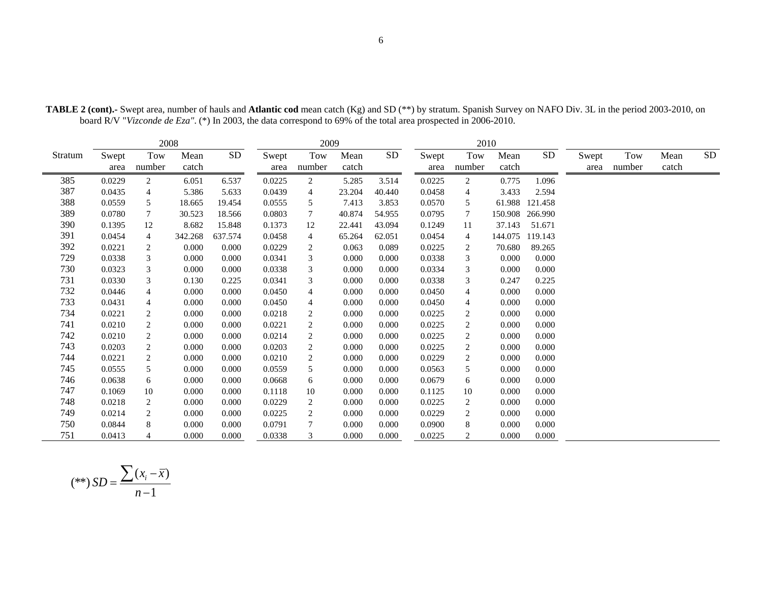|         |               | 2008           |               |         |               | 2009           |               |           |               | 2010           |               |            |               |               |               |            |
|---------|---------------|----------------|---------------|---------|---------------|----------------|---------------|-----------|---------------|----------------|---------------|------------|---------------|---------------|---------------|------------|
| Stratum | Swept<br>area | Tow<br>number  | Mean<br>catch | SD      | Swept<br>area | Tow<br>number  | Mean<br>catch | <b>SD</b> | Swept<br>area | Tow<br>number  | Mean<br>catch | ${\rm SD}$ | Swept<br>area | Tow<br>number | Mean<br>catch | ${\rm SD}$ |
| 385     | 0.0229        | $\overline{c}$ | 6.051         | 6.537   | 0.0225        | $\overline{2}$ | 5.285         | 3.514     | 0.0225        | 2              | 0.775         | 1.096      |               |               |               |            |
| 387     | 0.0435        | 4              | 5.386         | 5.633   | 0.0439        | 4              | 23.204        | 40.440    | 0.0458        | 4              | 3.433         | 2.594      |               |               |               |            |
| 388     | 0.0559        | 5              | 18.665        | 19.454  | 0.0555        | 5              | 7.413         | 3.853     | 0.0570        | 5              | 61.988        | 121.458    |               |               |               |            |
| 389     | 0.0780        | 7              | 30.523        | 18.566  | 0.0803        | 7              | 40.874        | 54.955    | 0.0795        | 7              | 150.908       | 266.990    |               |               |               |            |
| 390     | 0.1395        | 12             | 8.682         | 15.848  | 0.1373        | 12             | 22.441        | 43.094    | 0.1249        | 11             | 37.143        | 51.671     |               |               |               |            |
| 391     | 0.0454        | 4              | 342.268       | 637.574 | 0.0458        | 4              | 65.264        | 62.051    | 0.0454        | 4              | 144.075       | 119.143    |               |               |               |            |
| 392     | 0.0221        | 2              | 0.000         | 0.000   | 0.0229        | $\overline{c}$ | 0.063         | 0.089     | 0.0225        | 2              | 70.680        | 89.265     |               |               |               |            |
| 729     | 0.0338        | 3              | 0.000         | 0.000   | 0.0341        | 3              | 0.000         | 0.000     | 0.0338        | 3              | 0.000         | 0.000      |               |               |               |            |
| 730     | 0.0323        | 3              | 0.000         | 0.000   | 0.0338        | 3              | 0.000         | 0.000     | 0.0334        | 3              | 0.000         | 0.000      |               |               |               |            |
| 731     | 0.0330        | 3              | 0.130         | 0.225   | 0.0341        | 3              | 0.000         | 0.000     | 0.0338        | 3              | 0.247         | 0.225      |               |               |               |            |
| 732     | 0.0446        | 4              | 0.000         | 0.000   | 0.0450        | 4              | 0.000         | 0.000     | 0.0450        | 4              | 0.000         | 0.000      |               |               |               |            |
| 733     | 0.0431        | 4              | 0.000         | 0.000   | 0.0450        | 4              | 0.000         | 0.000     | 0.0450        | 4              | 0.000         | 0.000      |               |               |               |            |
| 734     | 0.0221        | 2              | 0.000         | 0.000   | 0.0218        | $\overline{c}$ | 0.000         | 0.000     | 0.0225        | 2              | 0.000         | 0.000      |               |               |               |            |
| 741     | 0.0210        | 2              | 0.000         | 0.000   | 0.0221        | $\overline{c}$ | 0.000         | 0.000     | 0.0225        | 2              | 0.000         | 0.000      |               |               |               |            |
| 742     | 0.0210        | 2              | 0.000         | 0.000   | 0.0214        | $\sqrt{2}$     | 0.000         | 0.000     | 0.0225        | $\overline{c}$ | 0.000         | 0.000      |               |               |               |            |
| 743     | 0.0203        | $\overline{c}$ | 0.000         | 0.000   | 0.0203        | $\overline{c}$ | 0.000         | 0.000     | 0.0225        | $\overline{2}$ | 0.000         | 0.000      |               |               |               |            |
| 744     | 0.0221        | $\overline{c}$ | 0.000         | 0.000   | 0.0210        | $\overline{2}$ | 0.000         | 0.000     | 0.0229        | 2              | 0.000         | 0.000      |               |               |               |            |
| 745     | 0.0555        | 5              | 0.000         | 0.000   | 0.0559        | 5              | 0.000         | 0.000     | 0.0563        | 5              | 0.000         | 0.000      |               |               |               |            |
| 746     | 0.0638        | 6              | 0.000         | 0.000   | 0.0668        | 6              | 0.000         | 0.000     | 0.0679        | 6              | 0.000         | 0.000      |               |               |               |            |
| 747     | 0.1069        | 10             | 0.000         | 0.000   | 0.1118        | 10             | 0.000         | 0.000     | 0.1125        | 10             | 0.000         | 0.000      |               |               |               |            |
| 748     | 0.0218        | 2              | 0.000         | 0.000   | 0.0229        | $\overline{c}$ | 0.000         | 0.000     | 0.0225        | 2              | 0.000         | 0.000      |               |               |               |            |
| 749     | 0.0214        | 2              | 0.000         | 0.000   | 0.0225        | $\overline{c}$ | 0.000         | 0.000     | 0.0229        | 2              | 0.000         | 0.000      |               |               |               |            |
| 750     | 0.0844        | 8              | 0.000         | 0.000   | 0.0791        | $\tau$         | 0.000         | 0.000     | 0.0900        | 8              | 0.000         | 0.000      |               |               |               |            |
| 751     | 0.0413        | 4              | 0.000         | 0.000   | 0.0338        | 3              | 0.000         | 0.000     | 0.0225        | 2              | 0.000         | 0.000      |               |               |               |            |

**TABLE 2 (cont).-** Swept area, number of hauls and **Atlantic cod** mean catch (Kg) and SD (\*\*) by stratum. Spanish Survey on NAFO Div. 3L in the period 2003-2010, on board R/V "*Vizconde de Eza"*. (\*) In 2003, the data correspond to 69% of the total area prospected in 2006-2010.

$$
(**) SD = \frac{\sum (x_i - \overline{x})}{n - 1}
$$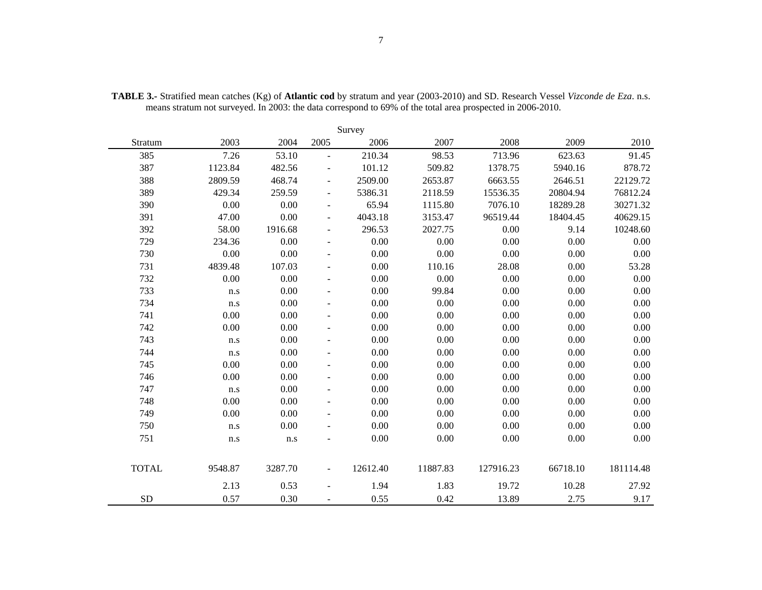|              | Survey    |         |                          |          |          |           |          |           |  |  |  |  |  |  |
|--------------|-----------|---------|--------------------------|----------|----------|-----------|----------|-----------|--|--|--|--|--|--|
| Stratum      | 2003      | 2004    | 2005                     | 2006     | 2007     | 2008      | 2009     | 2010      |  |  |  |  |  |  |
| 385          | 7.26      | 53.10   | $\overline{\phantom{a}}$ | 210.34   | 98.53    | 713.96    | 623.63   | 91.45     |  |  |  |  |  |  |
| 387          | 1123.84   | 482.56  |                          | 101.12   | 509.82   | 1378.75   | 5940.16  | 878.72    |  |  |  |  |  |  |
| 388          | 2809.59   | 468.74  |                          | 2509.00  | 2653.87  | 6663.55   | 2646.51  | 22129.72  |  |  |  |  |  |  |
| 389          | 429.34    | 259.59  | $\blacksquare$           | 5386.31  | 2118.59  | 15536.35  | 20804.94 | 76812.24  |  |  |  |  |  |  |
| 390          | 0.00      | 0.00    | $\overline{\phantom{a}}$ | 65.94    | 1115.80  | 7076.10   | 18289.28 | 30271.32  |  |  |  |  |  |  |
| 391          | 47.00     | 0.00    | $\overline{\phantom{a}}$ | 4043.18  | 3153.47  | 96519.44  | 18404.45 | 40629.15  |  |  |  |  |  |  |
| 392          | 58.00     | 1916.68 | $\overline{\phantom{a}}$ | 296.53   | 2027.75  | 0.00      | 9.14     | 10248.60  |  |  |  |  |  |  |
| 729          | 234.36    | 0.00    |                          | 0.00     | 0.00     | 0.00      | 0.00     | 0.00      |  |  |  |  |  |  |
| 730          | 0.00      | 0.00    |                          | 0.00     | 0.00     | 0.00      | 0.00     | 0.00      |  |  |  |  |  |  |
| 731          | 4839.48   | 107.03  | $\blacksquare$           | 0.00     | 110.16   | 28.08     | 0.00     | 53.28     |  |  |  |  |  |  |
| 732          | 0.00      | 0.00    | $\overline{\phantom{a}}$ | 0.00     | 0.00     | 0.00      | 0.00     | 0.00      |  |  |  |  |  |  |
| 733          | n.s       | 0.00    | $\overline{\phantom{a}}$ | 0.00     | 99.84    | 0.00      | 0.00     | 0.00      |  |  |  |  |  |  |
| 734          | n.s       | 0.00    |                          | 0.00     | 0.00     | 0.00      | 0.00     | 0.00      |  |  |  |  |  |  |
| 741          | 0.00      | 0.00    |                          | 0.00     | 0.00     | 0.00      | 0.00     | 0.00      |  |  |  |  |  |  |
| 742          | 0.00      | 0.00    |                          | 0.00     | 0.00     | 0.00      | 0.00     | 0.00      |  |  |  |  |  |  |
| 743          | $\rm n.s$ | 0.00    | $\blacksquare$           | 0.00     | 0.00     | $0.00\,$  | 0.00     | 0.00      |  |  |  |  |  |  |
| 744          | n.s       | 0.00    | $\overline{\phantom{a}}$ | 0.00     | 0.00     | 0.00      | 0.00     | 0.00      |  |  |  |  |  |  |
| 745          | 0.00      | 0.00    | $\blacksquare$           | 0.00     | 0.00     | 0.00      | 0.00     | 0.00      |  |  |  |  |  |  |
| 746          | 0.00      | 0.00    |                          | 0.00     | 0.00     | 0.00      | 0.00     | 0.00      |  |  |  |  |  |  |
| 747          | n.s       | 0.00    | $\overline{\phantom{a}}$ | 0.00     | 0.00     | 0.00      | 0.00     | 0.00      |  |  |  |  |  |  |
| 748          | 0.00      | 0.00    | $\sim$                   | 0.00     | 0.00     | 0.00      | 0.00     | 0.00      |  |  |  |  |  |  |
| 749          | 0.00      | 0.00    | $\blacksquare$           | 0.00     | 0.00     | 0.00      | 0.00     | 0.00      |  |  |  |  |  |  |
| 750          | n.s       | 0.00    |                          | 0.00     | 0.00     | 0.00      | 0.00     | 0.00      |  |  |  |  |  |  |
| 751          | n.s       | n.s     |                          | 0.00     | 0.00     | 0.00      | 0.00     | 0.00      |  |  |  |  |  |  |
|              |           |         |                          |          |          |           |          |           |  |  |  |  |  |  |
| <b>TOTAL</b> | 9548.87   | 3287.70 | $\overline{\phantom{a}}$ | 12612.40 | 11887.83 | 127916.23 | 66718.10 | 181114.48 |  |  |  |  |  |  |
|              | 2.13      | 0.53    |                          | 1.94     | 1.83     | 19.72     | 10.28    | 27.92     |  |  |  |  |  |  |
| <b>SD</b>    | 0.57      | 0.30    |                          | 0.55     | 0.42     | 13.89     | 2.75     | 9.17      |  |  |  |  |  |  |

**TABLE 3.-** Stratified mean catches (Kg) of **Atlantic cod** by stratum and year (2003-2010) and SD. Research Vessel *Vizconde de Eza*. n.s. means stratum not surveyed. In 2003: the data correspond to 69% of the total area prospected in 2006-2010.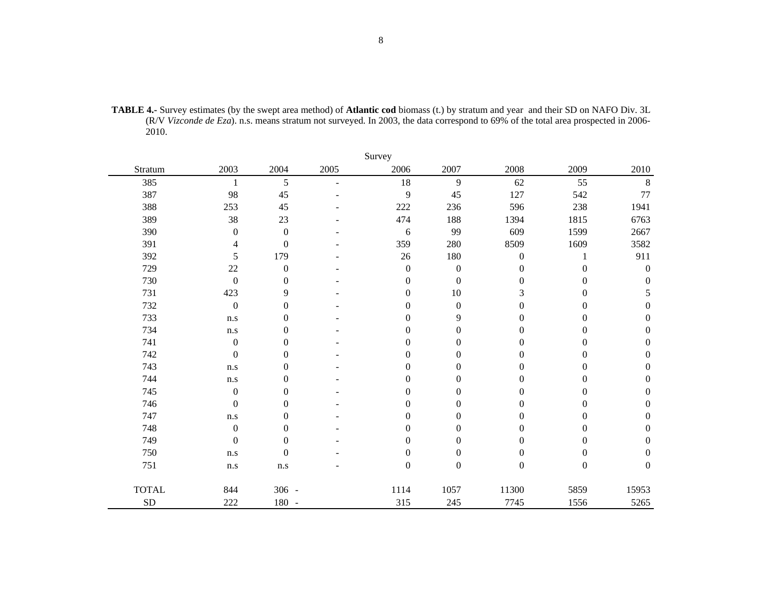| <b>TABLE 4.-</b> Survey estimates (by the swept area method) of <b>Atlantic cod</b> biomass (t.) by stratum and year and their SD on NAFO Div. 3L |
|---------------------------------------------------------------------------------------------------------------------------------------------------|
| (R/V Vizconde de Eza), n.s. means stratum not surveyed. In 2003, the data correspond to 69% of the total area prospected in 2006-                 |
| 2010.                                                                                                                                             |

|              |                         |                  |                | Survey           |                  |                  |                  |                  |
|--------------|-------------------------|------------------|----------------|------------------|------------------|------------------|------------------|------------------|
| Stratum      | 2003                    | 2004             | 2005           | 2006             | 2007             | 2008             | 2009             | 2010             |
| 385          | 1                       | 5                | $\blacksquare$ | 18               | 9                | 62               | 55               | $\,8\,$          |
| 387          | 98                      | 45               |                | 9                | 45               | 127              | 542              | 77               |
| 388          | 253                     | 45               |                | 222              | 236              | 596              | 238              | 1941             |
| 389          | 38                      | 23               |                | 474              | 188              | 1394             | 1815             | 6763             |
| 390          | $\overline{0}$          | $\boldsymbol{0}$ |                | $\epsilon$       | 99               | 609              | 1599             | 2667             |
| 391          | 4                       | $\boldsymbol{0}$ |                | 359              | 280              | 8509             | 1609             | 3582             |
| 392          | 5                       | 179              |                | 26               | 180              | $\mathbf{0}$     | 1                | 911              |
| 729          | 22                      | $\boldsymbol{0}$ |                | $\boldsymbol{0}$ | $\boldsymbol{0}$ | $\theta$         | $\boldsymbol{0}$ | $\boldsymbol{0}$ |
| 730          | $\boldsymbol{0}$        | $\boldsymbol{0}$ |                | $\boldsymbol{0}$ | $\boldsymbol{0}$ | $\mathbf{0}$     | $\theta$         | $\boldsymbol{0}$ |
| 731          | 423                     | 9                |                | $\boldsymbol{0}$ | 10               | 3                | $\overline{0}$   | 5                |
| 732          | $\mathbf{0}$            | $\boldsymbol{0}$ |                | $\mathbf{0}$     | $\boldsymbol{0}$ | $\mathbf{0}$     | $\theta$         | $\mathbf{0}$     |
| 733          | n.s                     | $\boldsymbol{0}$ |                | $\boldsymbol{0}$ | 9                | $\boldsymbol{0}$ | $\boldsymbol{0}$ | $\boldsymbol{0}$ |
| 734          | n.s                     | $\theta$         |                | $\mathbf{0}$     | $\boldsymbol{0}$ | $\mathbf{0}$     | $\theta$         | $\mathbf{0}$     |
| 741          | $\boldsymbol{0}$        | $\boldsymbol{0}$ |                | $\mathbf{0}$     | $\boldsymbol{0}$ | $\theta$         | $\theta$         | $\boldsymbol{0}$ |
| 742          | $\boldsymbol{0}$        | $\boldsymbol{0}$ |                | $\boldsymbol{0}$ | $\boldsymbol{0}$ | $\boldsymbol{0}$ | $\theta$         | $\boldsymbol{0}$ |
| 743          | n.s                     | $\boldsymbol{0}$ |                | $\boldsymbol{0}$ | $\boldsymbol{0}$ | $\boldsymbol{0}$ | $\theta$         | $\boldsymbol{0}$ |
| 744          | $\mathbf{n}.\mathbf{s}$ | $\boldsymbol{0}$ |                | $\mathbf{0}$     | $\boldsymbol{0}$ | $\Omega$         | $\Omega$         | $\boldsymbol{0}$ |
| 745          | $\boldsymbol{0}$        | $\boldsymbol{0}$ |                | $\mathbf{0}$     | $\boldsymbol{0}$ | $\theta$         | $\overline{0}$   | $\boldsymbol{0}$ |
| 746          | $\boldsymbol{0}$        | $\boldsymbol{0}$ |                | $\mathbf{0}$     | $\boldsymbol{0}$ | $\Omega$         | $\theta$         | $\boldsymbol{0}$ |
| 747          | n.s                     | $\boldsymbol{0}$ |                | $\theta$         | $\boldsymbol{0}$ | $\theta$         | $\theta$         | $\boldsymbol{0}$ |
| 748          | $\boldsymbol{0}$        | $\boldsymbol{0}$ |                | $\theta$         | $\boldsymbol{0}$ | $\Omega$         | $\theta$         | $\boldsymbol{0}$ |
| 749          | $\boldsymbol{0}$        | $\boldsymbol{0}$ |                | $\boldsymbol{0}$ | $\boldsymbol{0}$ | $\boldsymbol{0}$ | $\overline{0}$   | $\boldsymbol{0}$ |
| 750          | n.s                     | $\boldsymbol{0}$ |                | $\Omega$         | $\boldsymbol{0}$ | $\Omega$         | $\Omega$         | $\boldsymbol{0}$ |
| 751          | n.s                     | n.s              |                | $\boldsymbol{0}$ | $\boldsymbol{0}$ | $\overline{0}$   | $\boldsymbol{0}$ | $\boldsymbol{0}$ |
| <b>TOTAL</b> | 844                     | $306 -$          |                | 1114             | 1057             | 11300            | 5859             | 15953            |
| ${\rm SD}$   | 222                     | 180 -            |                | 315              | 245              | 7745             | 1556             | 5265             |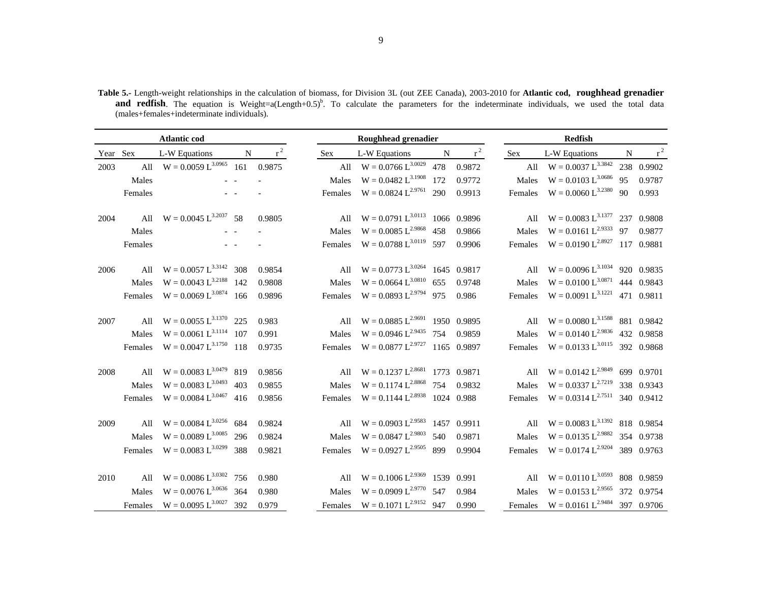**Table 5.-** Length-weight relationships in the calculation of biomass, for Division 3L (out ZEE Canada), 2003-2010 for **Atlantic cod, roughhead grenadier and redfish**. The equation is Weight=a(Length+0.5)<sup>b</sup>. To calculate the parameters for the indeterminate individuals, we used the total data (males+females+indeterminate individuals).

|          |         | <b>Atlantic cod</b>         |     |        |            | <b>Roughhead grenadier</b>          |           |        |            | <b>Redfish</b>                  |    |            |
|----------|---------|-----------------------------|-----|--------|------------|-------------------------------------|-----------|--------|------------|---------------------------------|----|------------|
| Year Sex |         | L-W Equations               | N   | $r^2$  | <b>Sex</b> | L-W Equations                       | ${\bf N}$ | $r^2$  | <b>Sex</b> | L-W Equations                   | N  | $\rm r^2$  |
| 2003     | All     | $W = 0.0059 L^{3.0965}$ 161 |     | 0.9875 | All        | $W = 0.0766 L^{3.0029}$             | 478       | 0.9872 |            | All $W = 0.0037 L^{3.3842}$     |    | 238 0.9902 |
|          | Males   |                             |     |        | Males      | $W = 0.0482 L^{3.1908}$             | 172       | 0.9772 | Males      | $W = 0.0103 L^{3.0686}$         | 95 | 0.9787     |
|          | Females |                             |     |        | Females    | $W = 0.0824 L^{2.9761}$ 290         |           | 0.9913 | Females    | $W = 0.0060 L^{3.2380}$ 90      |    | 0.993      |
| 2004     | All     | $W = 0.0045 L^{3.2037}$ 58  |     | 0.9805 | All        | $W = 0.0791 L^{3.0113}$ 1066 0.9896 |           |        |            | All $W = 0.0083 L^{3.1377}$     |    | 237 0.9808 |
|          | Males   |                             |     |        | Males      | $W = 0.0085 L^{2.9868}$             | 458       | 0.9866 | Males      | $W = 0.0161 L^{2.9333}$         | 97 | 0.9877     |
|          | Females |                             |     |        | Females    | $W = 0.0788 L^{3.0119}$ 597         |           | 0.9906 | Females    | $W = 0.0190 L^{2.8927}$         |    | 117 0.9881 |
| 2006     | All     | $W = 0.0057 L^{3.3142}$     | 308 | 0.9854 | All        | $W = 0.0773 L^{3.0264}$ 1645 0.9817 |           |        |            | All $W = 0.0096 L^{3.1034}$     |    | 920 0.9835 |
|          | Males   | $W = 0.0043 L^{3.2188}$     | 142 | 0.9808 | Males      | $W = 0.0664 L^{3.0810}$             | 655       | 0.9748 | Males      | $W = 0.0100 L^{3.0871}$         |    | 444 0.9843 |
|          | Females | $W = 0.0069 L^{3.0874}$ 166 |     | 0.9896 | Females    | $W = 0.0893 L^{2.9794}$ 975         |           | 0.986  | Females    | $W = 0.0091 L^{3.1221}$         |    | 471 0.9811 |
| 2007     | All     | $W = 0.0055 L^{3.1370}$     | 225 | 0.983  | All        | $W = 0.0885 L^{2.9691}$ 1950 0.9895 |           |        |            | All $W = 0.0080 L^{3.1588}$     |    | 881 0.9842 |
|          | Males   | $W = 0.0061 L^{3.1114}$ 107 |     | 0.991  | Males      | $W = 0.0946 L^{2.9435}$ 754 0.9859  |           |        | Males      | $W = 0.0140 L^{2.9836}$         |    | 432 0.9858 |
|          | Females | $W = 0.0047 L^{3.1750}$ 118 |     | 0.9735 | Females    | $W = 0.0877 L^{2.9727}$ 1165 0.9897 |           |        | Females    | $W = 0.0133 L^{3.0115}$         |    | 392 0.9868 |
| 2008     | All     | $W = 0.0083 L^{3.0479}$     | 819 | 0.9856 | All        | $W = 0.1237 L^{2.8681}$ 1773 0.9871 |           |        |            | All $W = 0.0142 L^{2.9849}$     |    | 699 0.9701 |
|          | Males   | $W = 0.0083 L^{3.0493}$     | 403 | 0.9855 | Males      | $W = 0.1174 L^{2.8868}$ 754         |           | 0.9832 | Males      | $W = 0.0337 L^{2.7219}$         |    | 338 0.9343 |
|          | Females | $W = 0.0084 L^{3.0467}$ 416 |     | 0.9856 | Females    | $W = 0.1144 L^{2.8938}$ 1024 0.988  |           |        | Females    | $W = 0.0314 L^{2.7511}$         |    | 340 0.9412 |
| 2009     | All     | $W = 0.0084 L^{3.0256}$     | 684 | 0.9824 | All        | $W = 0.0903 L^{2.9583}$ 1457 0.9911 |           |        |            | All $W = 0.0083 L^{3.1392}$     |    | 818 0.9854 |
|          | Males   | $W = 0.0089 L^{3.0085}$     | 296 | 0.9824 | Males      | $W = 0.0847 L^{2.9803}$             | 540       | 0.9871 | Males      | $W = 0.0135 L^{2.9882}$         |    | 354 0.9738 |
|          | Females | $W = 0.0083 L^{3.0299}$     | 388 | 0.9821 | Females    | $W = 0.0927 L^{2.9505}$ 899         |           | 0.9904 | Females    | $W = 0.0174 L^{2.9204}$         |    | 389 0.9763 |
| 2010     | All     | $W = 0.0086 L^{3.0302}$ 756 |     | 0.980  | All        | $W = 0.1006 L^{2.9369}$ 1539 0.991  |           |        |            | All $W = 0.0110 L^{3.0593}$     |    | 808 0.9859 |
|          | Males   | $W = 0.0076 L^{3.0636}$ 364 |     | 0.980  | Males      | $W = 0.0909 L^{2.9770}$ 547         |           | 0.984  | Males      | $W = 0.0153 L^{2.9565}$         |    | 372 0.9754 |
|          | Females | $W = 0.0095 L^{3.0027}$ 392 |     | 0.979  | Females    | $W = 0.1071 L^{2.9152}$ 947         |           | 0.990  |            | Females $W = 0.0161 L^{2.9484}$ |    | 397 0.9706 |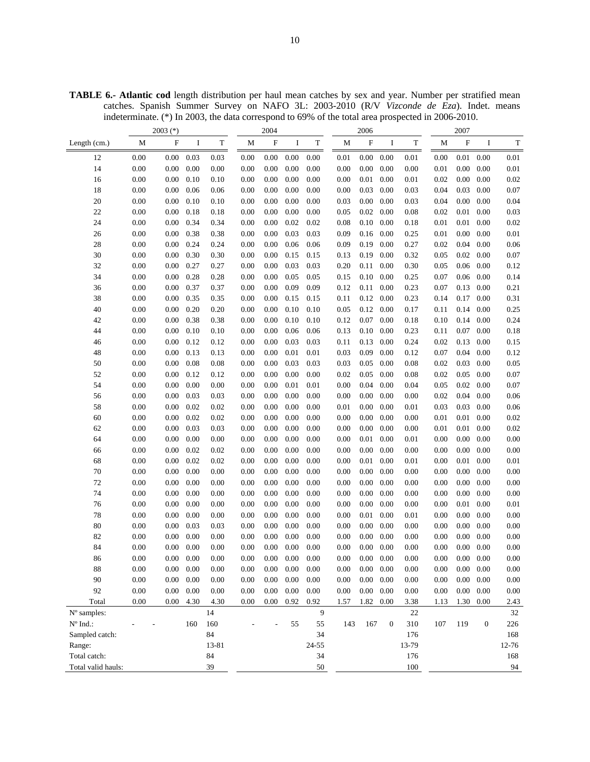**TABLE 6.- Atlantic cod** length distribution per haul mean catches by sex and year. Number per stratified mean catches. Spanish Summer Survey on NAFO 3L: 2003-2010 (R/V *Vizconde de Eza*). Indet. means indeterminate. (\*) In 2003, the data correspond to 69% of the total area prospected in 2006-2010.

|                    |      | $2003$ (*)       |      |             |          | 2004                      |          |           |          | 2006                      |                   |             |          | 2007              |                  |          |
|--------------------|------|------------------|------|-------------|----------|---------------------------|----------|-----------|----------|---------------------------|-------------------|-------------|----------|-------------------|------------------|----------|
| Length (cm.)       | M    | $\mathbf F$      | I    | $\mathbf T$ | M        | $\boldsymbol{\mathrm{F}}$ | I        | T         | М        | $\boldsymbol{\mathrm{F}}$ | I                 | $\mathbf T$ | M        | $\rm F$           | I                | T        |
| 12                 | 0.00 | $0.00\,$         | 0.03 | 0.03        | 0.00     | 0.00                      | 0.00     | 0.00      | 0.01     | 0.00                      | 0.00              | $0.01\,$    | 0.00     | 0.01              | 0.00             | $0.01\,$ |
| 14                 | 0.00 | 0.00             | 0.00 | 0.00        | 0.00     | 0.00                      | 0.00     | 0.00      | $0.00\,$ | 0.00                      | 0.00              | 0.00        | 0.01     | 0.00              | 0.00             | 0.01     |
| 16                 | 0.00 | 0.00             | 0.10 | 0.10        | 0.00     | 0.00                      | $0.00\,$ | 0.00      | 0.00     | 0.01                      | 0.00              | 0.01        | 0.02     | 0.00              | 0.00             | 0.02     |
| 18                 | 0.00 | 0.00             | 0.06 | 0.06        | 0.00     | 0.00                      | $0.00\,$ | 0.00      | 0.00     | 0.03                      | 0.00              | 0.03        | 0.04     | 0.03              | 0.00             | 0.07     |
| 20                 | 0.00 | $0.00\,$         | 0.10 | 0.10        | 0.00     | $0.00\,$                  | $0.00\,$ | 0.00      | 0.03     | $0.00\,$                  | 0.00              | 0.03        | 0.04     | 0.00              | 0.00             | 0.04     |
| 22                 | 0.00 | 0.00             | 0.18 | 0.18        | 0.00     | 0.00                      | 0.00     | 0.00      | 0.05     | 0.02                      | 0.00              | 0.08        | 0.02     | 0.01              | 0.00             | 0.03     |
| 24                 | 0.00 | 0.00             | 0.34 | 0.34        | 0.00     | 0.00                      | 0.02     | 0.02      | 0.08     | 0.10                      | 0.00              | 0.18        | 0.01     | 0.01              | 0.00             | 0.02     |
| 26                 | 0.00 | 0.00             | 0.38 | 0.38        | 0.00     | 0.00                      | 0.03     | 0.03      | 0.09     | 0.16                      | 0.00              | 0.25        | 0.01     | 0.00              | 0.00             | $0.01\,$ |
| 28                 | 0.00 | 0.00             | 0.24 | 0.24        | 0.00     | 0.00                      | 0.06     | 0.06      | 0.09     | 0.19                      | 0.00              | 0.27        | 0.02     | 0.04              | 0.00             | 0.06     |
| 30                 | 0.00 | 0.00             | 0.30 | 0.30        | 0.00     | 0.00                      | 0.15     | 0.15      | 0.13     | 0.19                      | 0.00              | 0.32        | 0.05     | 0.02              | 0.00             | 0.07     |
| 32                 | 0.00 | 0.00             | 0.27 | 0.27        | 0.00     | 0.00                      | 0.03     | 0.03      | 0.20     | 0.11                      | 0.00              | 0.30        | 0.05     | 0.06              | 0.00             | 0.12     |
| 34                 | 0.00 | 0.00             | 0.28 | 0.28        | 0.00     | 0.00                      | 0.05     | 0.05      | 0.15     | 0.10                      | 0.00              | 0.25        | 0.07     | 0.06              | 0.00             | 0.14     |
| 36                 | 0.00 | 0.00             | 0.37 | 0.37        | 0.00     | 0.00                      | 0.09     | 0.09      | 0.12     | 0.11                      | 0.00              | 0.23        | 0.07     | 0.13              | 0.00             | 0.21     |
| 38                 | 0.00 | 0.00             | 0.35 | 0.35        | 0.00     | 0.00                      | 0.15     | 0.15      | 0.11     | 0.12                      | 0.00              | 0.23        | 0.14     | 0.17              | 0.00             | 0.31     |
| 40                 | 0.00 | 0.00             | 0.20 | 0.20        | 0.00     | 0.00                      | $0.10\,$ | 0.10      | 0.05     | 0.12                      | 0.00              | 0.17        | 0.11     | 0.14              | 0.00             | 0.25     |
| 42                 | 0.00 | 0.00             | 0.38 | 0.38        | 0.00     | 0.00                      | 0.10     | 0.10      | 0.12     | 0.07                      | 0.00              | 0.18        | 0.10     | 0.14              | 0.00             | 0.24     |
| 44                 | 0.00 | 0.00             | 0.10 | 0.10        | 0.00     | 0.00                      | 0.06     | 0.06      | 0.13     | 0.10                      | 0.00              | 0.23        | 0.11     | 0.07              | 0.00             | 0.18     |
| 46                 | 0.00 | 0.00             | 0.12 | 0.12        | 0.00     | 0.00                      | 0.03     | 0.03      | 0.11     | 0.13                      | 0.00              | 0.24        | 0.02     | 0.13              | 0.00             | 0.15     |
| 48                 | 0.00 | 0.00             | 0.13 | 0.13        | 0.00     | 0.00                      | 0.01     | 0.01      | 0.03     | 0.09                      | 0.00              | 0.12        | 0.07     | 0.04              | 0.00             | 0.12     |
| 50                 | 0.00 | 0.00             | 0.08 | 0.08        | 0.00     | 0.00                      | 0.03     | 0.03      | 0.03     | 0.05                      | 0.00              | 0.08        | 0.02     | 0.03              | 0.00             | 0.05     |
| 52                 | 0.00 | $0.00\,$         | 0.12 | 0.12        | 0.00     | 0.00                      | $0.00\,$ | 0.00      | 0.02     | 0.05                      | 0.00              | 0.08        | 0.02     | 0.05              | 0.00             | 0.07     |
| 54                 | 0.00 | 0.00             | 0.00 | 0.00        | 0.00     | 0.00                      | 0.01     | 0.01      | 0.00     | 0.04                      | 0.00              | 0.04        | 0.05     | 0.02              | 0.00             | 0.07     |
| 56                 | 0.00 | 0.00             | 0.03 | 0.03        | 0.00     | 0.00                      | 0.00     | 0.00      | 0.00     | 0.00                      | 0.00              | 0.00        | 0.02     | 0.04              | 0.00             | 0.06     |
| 58                 | 0.00 | $0.00\,$         | 0.02 | 0.02        | 0.00     | 0.00                      | 0.00     | 0.00      | 0.01     | 0.00                      | 0.00              | 0.01        | 0.03     | 0.03              | 0.00             | 0.06     |
| 60                 | 0.00 | 0.00             | 0.02 | 0.02        | 0.00     | 0.00                      | $0.00\,$ | 0.00      | 0.00     | 0.00                      | 0.00              | 0.00        | 0.01     | 0.01              | 0.00             | 0.02     |
| 62                 | 0.00 | 0.00             | 0.03 | 0.03        | 0.00     | 0.00                      | 0.00     | 0.00      | 0.00     | 0.00                      | 0.00              | 0.00        | 0.01     | 0.01              | 0.00             | 0.02     |
| 64                 | 0.00 | 0.00             | 0.00 | 0.00        | 0.00     | 0.00                      | 0.00     | 0.00      | 0.00     | 0.01                      | 0.00              | 0.01        | 0.00     | 0.00              | 0.00             | 0.00     |
| 66                 | 0.00 | 0.00             | 0.02 | 0.02        | 0.00     | 0.00                      | 0.00     | 0.00      | 0.00     | 0.00                      | 0.00              | 0.00        | 0.00     | 0.00              | 0.00             | 0.00     |
| 68                 | 0.00 | 0.00             | 0.02 | 0.02        | 0.00     | 0.00                      | 0.00     | 0.00      | 0.00     | 0.01                      | 0.00              | 0.01        | 0.00     | 0.01              | 0.00             | 0.01     |
| 70                 | 0.00 | 0.00             | 0.00 | 0.00        | 0.00     | 0.00                      | 0.00     | 0.00      | 0.00     | 0.00                      | 0.00              | 0.00        | 0.00     | 0.00              | 0.00             | 0.00     |
| 72                 | 0.00 | 0.00             | 0.00 | 0.00        | 0.00     | 0.00                      | 0.00     | 0.00      | 0.00     | 0.00                      | 0.00              | 0.00        | 0.00     | 0.00              | 0.00             | 0.00     |
| 74                 | 0.00 | 0.00             | 0.00 | 0.00        | 0.00     | 0.00                      | $0.00\,$ | 0.00      | 0.00     | 0.00                      | 0.00              | 0.00        | 0.00     | 0.00              | 0.00             | 0.00     |
| 76                 | 0.00 | 0.00             | 0.00 | 0.00        | 0.00     | 0.00                      | $0.00\,$ | 0.00      | 0.00     | 0.00                      | 0.00              | 0.00        | 0.00     | 0.01              | 0.00             | 0.01     |
| 78                 | 0.00 | 0.00             | 0.00 | 0.00        | 0.00     | 0.00                      | 0.00     | 0.00      | 0.00     | 0.01                      | 0.00              | 0.01        | 0.00     | 0.00              | 0.00             | 0.00     |
| 80                 | 0.00 | 0.00             | 0.03 | 0.03        | 0.00     | 0.00                      | $0.00\,$ | 0.00      | 0.00     | 0.00                      | 0.00              | 0.00        | 0.00     | 0.00              | 0.00             | 0.00     |
| 82                 | 0.00 | 0.00             | 0.00 | 0.00        | 0.00     | 0.00                      | $0.00\,$ | 0.00      | $0.00\,$ | $0.00\,$                  | 0.00              | 0.00        | 0.00     | 0.00              | 0.00             | 0.00     |
| 84                 | 0.00 | 0.00             | 0.00 | 0.00        | 0.00     | 0.00                      | $0.00\,$ | 0.00      | $0.00\,$ | $0.00\,$                  | 0.00              | 0.00        | $0.00\,$ | $0.00 \quad 0.00$ |                  | 0.00     |
| 86                 | 0.00 | $0.00\quad 0.00$ |      | $0.00\,$    | $0.00\,$ | $0.00\,$                  | 0.00     | 0.00      | $0.00\,$ | $0.00\ 0.00$              |                   | $0.00\,$    | $0.00\,$ | $0.00 \quad 0.00$ |                  | $0.00\,$ |
| 88                 | 0.00 | $0.00\,$         | 0.00 | 0.00        | 0.00     | 0.00                      | $0.00\,$ | 0.00      | 0.00     |                           | $0.00 \quad 0.00$ | 0.00        | 0.00     | $0.00\quad 0.00$  |                  | 0.00     |
| 90                 | 0.00 | 0.00             | 0.00 | 0.00        | 0.00     | 0.00                      | $0.00\,$ | 0.00      | 0.00     | $0.00\,$                  | 0.00              | 0.00        | 0.00     | 0.00              | 0.00             | $0.00\,$ |
| 92                 | 0.00 | 0.00             | 0.00 | 0.00        | 0.00     | 0.00                      | $0.00\,$ | 0.00      | 0.00     | 0.00                      | 0.00              | 0.00        | 0.00     | 0.00              | 0.00             | $0.00\,$ |
| Total              | 0.00 | $0.00\,$         | 4.30 | 4.30        | 0.00     | 0.00                      | 0.92     | 0.92      | 1.57     | 1.82                      | 0.00              | 3.38        | 1.13     | 1.30 0.00         |                  | 2.43     |
| N° samples:        |      |                  |      | 14          |          |                           |          | 9         |          |                           |                   | 22          |          |                   |                  | 32       |
| $N^{\circ}$ Ind.:  |      |                  | 160  | 160         |          |                           | 55       | 55        | 143      | 167                       | $\mathbf{0}$      | 310         | 107      | 119               | $\boldsymbol{0}$ | 226      |
| Sampled catch:     |      |                  |      | 84          |          |                           |          | 34        |          |                           |                   | 176         |          |                   |                  | 168      |
| Range:             |      |                  |      | 13-81       |          |                           |          | $24 - 55$ |          |                           |                   | 13-79       |          |                   |                  | 12-76    |
| Total catch:       |      |                  |      | 84          |          |                           |          | 34        |          |                           |                   | 176         |          |                   |                  | 168      |
| Total valid hauls: |      |                  |      | 39          |          |                           |          | 50        |          |                           |                   | 100         |          |                   |                  | 94       |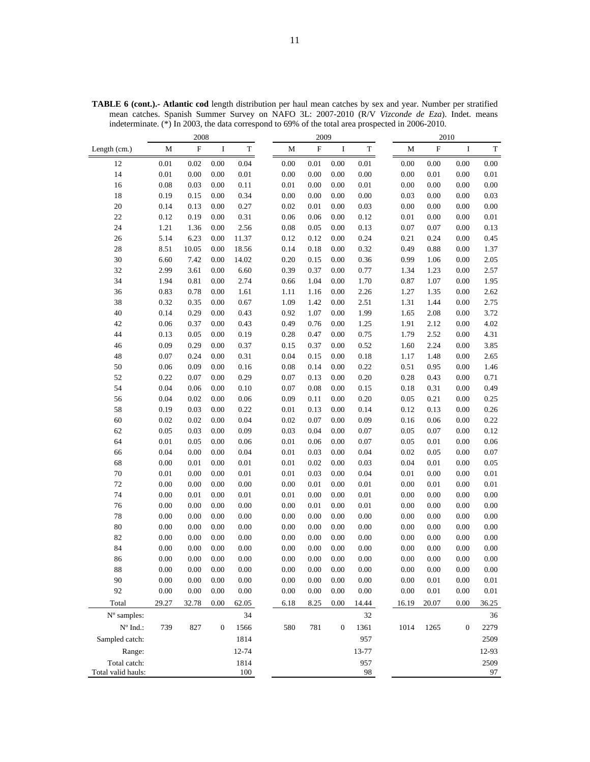|                                 |             | 2008                      |                  |             |             | 2009        |                  |             | 2010        |           |                  |             |
|---------------------------------|-------------|---------------------------|------------------|-------------|-------------|-------------|------------------|-------------|-------------|-----------|------------------|-------------|
| Length (cm.)                    | $\mathbf M$ | $\boldsymbol{\mathrm{F}}$ | $\bf I$          | $\mathbf T$ | $\mathbf M$ | $\mathbf F$ | I                | $\mathbf T$ | $\mathbf M$ | ${\rm F}$ | $\bf{I}$         | $\mathbf T$ |
| 12                              | 0.01        | 0.02                      | 0.00             | 0.04        | 0.00        | 0.01        | 0.00             | 0.01        | 0.00        | 0.00      | 0.00             | 0.00        |
| 14                              | 0.01        | 0.00                      | 0.00             | 0.01        | 0.00        | 0.00        | 0.00             | $0.00\,$    | 0.00        | 0.01      | 0.00             | 0.01        |
| 16                              | 0.08        | 0.03                      | 0.00             | 0.11        | 0.01        | 0.00        | 0.00             | $0.01\,$    | 0.00        | 0.00      | 0.00             | 0.00        |
| 18                              | 0.19        | 0.15                      | 0.00             | 0.34        | 0.00        | 0.00        | 0.00             | 0.00        | 0.03        | 0.00      | 0.00             | 0.03        |
| 20                              | 0.14        | 0.13                      | 0.00             | 0.27        | 0.02        | 0.01        | 0.00             | 0.03        | 0.00        | 0.00      | 0.00             | 0.00        |
| 22                              | 0.12        | 0.19                      | 0.00             | 0.31        | 0.06        | 0.06        | 0.00             | 0.12        | 0.01        | 0.00      | 0.00             | $0.01\,$    |
| 24                              | 1.21        | 1.36                      | 0.00             | 2.56        | 0.08        | 0.05        | 0.00             | 0.13        | 0.07        | 0.07      | 0.00             | 0.13        |
| 26                              | 5.14        | 6.23                      | 0.00             | 11.37       | 0.12        | 0.12        | 0.00             | 0.24        | 0.21        | 0.24      | 0.00             | 0.45        |
| 28                              | 8.51        | 10.05                     | 0.00             | 18.56       | 0.14        | 0.18        | 0.00             | 0.32        | 0.49        | 0.88      | 0.00             | 1.37        |
| 30                              | 6.60        | 7.42                      | 0.00             | 14.02       | 0.20        | 0.15        | 0.00             | 0.36        | 0.99        | 1.06      | 0.00             | 2.05        |
| 32                              | 2.99        | 3.61                      | 0.00             | 6.60        | 0.39        | 0.37        | 0.00             | 0.77        | 1.34        | 1.23      | 0.00             | 2.57        |
| 34                              | 1.94        | 0.81                      | 0.00             | 2.74        | 0.66        | 1.04        | 0.00             | 1.70        | 0.87        | 1.07      | 0.00             | 1.95        |
| 36                              | 0.83        | 0.78                      | 0.00             | 1.61        | 1.11        | 1.16        | 0.00             | 2.26        | 1.27        | 1.35      | 0.00             | 2.62        |
| 38                              | 0.32        | 0.35                      | 0.00             | 0.67        | 1.09        | 1.42        | 0.00             | 2.51        | 1.31        | 1.44      | 0.00             | 2.75        |
| 40                              | 0.14        | 0.29                      | 0.00             | 0.43        | 0.92        | 1.07        | 0.00             | 1.99        | 1.65        | 2.08      | 0.00             | 3.72        |
| 42                              | 0.06        | 0.37                      | 0.00             | 0.43        | 0.49        | 0.76        | 0.00             | 1.25        | 1.91        | 2.12      | 0.00             | 4.02        |
| 44                              | 0.13        | 0.05                      | 0.00             | 0.19        | 0.28        | 0.47        | 0.00             | 0.75        | 1.79        | 2.52      | 0.00             | 4.31        |
| 46                              | 0.09        | 0.29                      | 0.00             | 0.37        | 0.15        | 0.37        | 0.00             | 0.52        | 1.60        | 2.24      | 0.00             | 3.85        |
| 48                              | 0.07        | 0.24                      | 0.00             | 0.31        | 0.04        | 0.15        | 0.00             | 0.18        | 1.17        | 1.48      | 0.00             | 2.65        |
| 50                              | 0.06        | 0.09                      | 0.00             | 0.16        | 0.08        | 0.14        | 0.00             | 0.22        | 0.51        | 0.95      | 0.00             | 1.46        |
| 52                              | 0.22        | $0.07\,$                  | 0.00             | 0.29        | 0.07        | 0.13        | 0.00             | 0.20        | 0.28        | 0.43      | 0.00             | 0.71        |
| 54                              | 0.04        | 0.06                      | 0.00             | 0.10        | 0.07        | 0.08        | 0.00             | 0.15        | 0.18        | 0.31      | 0.00             | 0.49        |
| 56                              | 0.04        | 0.02                      | 0.00             | 0.06        | 0.09        | 0.11        | 0.00             | 0.20        | 0.05        | 0.21      | 0.00             | 0.25        |
| 58                              | 0.19        | 0.03                      | 0.00             | 0.22        | 0.01        | 0.13        | 0.00             | 0.14        | 0.12        | 0.13      | 0.00             | 0.26        |
| 60                              | 0.02        | 0.02                      | 0.00             | 0.04        | 0.02        | 0.07        | 0.00             | 0.09        | 0.16        | 0.06      | 0.00             | 0.22        |
| 62                              | 0.05        | 0.03                      | 0.00             | 0.09        | 0.03        | 0.04        | 0.00             | 0.07        | 0.05        | 0.07      | 0.00             | 0.12        |
| 64                              | 0.01        | 0.05                      | 0.00             | 0.06        | 0.01        | 0.06        | 0.00             | 0.07        | 0.05        | 0.01      | 0.00             | 0.06        |
| 66                              | 0.04        | $0.00\,$                  | 0.00             | 0.04        | 0.01        | 0.03        | 0.00             | 0.04        | 0.02        | 0.05      | 0.00             | 0.07        |
| 68                              | 0.00        | $0.01\,$                  | 0.00             | 0.01        | 0.01        | 0.02        | 0.00             | 0.03        | 0.04        | 0.01      | 0.00             | 0.05        |
| $70\,$                          | 0.01        | $0.00\,$                  | 0.00             | 0.01        | 0.01        | 0.03        | 0.00             | 0.04        | 0.01        | 0.00      | 0.00             | 0.01        |
| 72                              | 0.00        | $0.00\,$                  | 0.00             | 0.00        | 0.00        | 0.01        | 0.00             | 0.01        | 0.00        | 0.01      | 0.00             | 0.01        |
| 74                              | 0.00        | 0.01                      | 0.00             | $0.01\,$    | 0.01        | 0.00        | 0.00             | 0.01        | 0.00        | 0.00      | 0.00             | 0.00        |
| 76                              | 0.00        | $0.00\,$                  | 0.00             | 0.00        | 0.00        | 0.01        | 0.00             | $0.01\,$    | 0.00        | 0.00      | 0.00             | 0.00        |
| 78                              | 0.00        | $0.00\,$                  | 0.00             | 0.00        | 0.00        | 0.00        | 0.00             | 0.00        | 0.00        | 0.00      | 0.00             | 0.00        |
| 80                              | 0.00        | $0.00\,$                  | 0.00             | 0.00        | 0.00        | 0.00        | 0.00             | 0.00        | 0.00        | 0.00      | 0.00             | 0.00        |
| 82                              | 0.00        | $0.00\,$                  | 0.00             | 0.00        | 0.00        | 0.00        | 0.00             | 0.00        | 0.00        | 0.00      | 0.00             | 0.00        |
| 84                              | 0.00        | 0.00                      | $0.00\,$         | 0.00        | 0.00        | 0.00        | 0.00             | 0.00        | 0.00        | 0.00      | 0.00             | 0.00        |
| 86                              | 0.00        | $0.00\,$                  | 0.00             | 0.00        | 0.00        | 0.00        | 0.00             | 0.00        | 0.00        | 0.00      | 0.00             | 0.00        |
| 88                              | $0.00\,$    | $0.00\,$                  | $0.00\,$         | 0.00        | 0.00        | 0.00        | $0.00\,$         | 0.00        | 0.00        | $0.00\,$  | 0.00             | $0.00\,$    |
| 90                              | $0.00\,$    | $0.00\,$                  | 0.00             | 0.00        | $0.00\,$    | $0.00\,$    | 0.00             | 0.00        | $0.00\,$    | $0.01\,$  | 0.00             | $0.01\,$    |
| 92                              | 0.00        | 0.00                      | 0.00             | $0.00\,$    | 0.00        | 0.00        | 0.00             | $0.00\,$    | 0.00        | 0.01      | 0.00             | 0.01        |
| Total                           | 29.27       | 32.78                     | 0.00             | 62.05       | 6.18        | 8.25        | 0.00             | 14.44       | 16.19       | 20.07     | 0.00             | 36.25       |
| N° samples:                     |             |                           |                  | 34          |             |             |                  | 32          |             |           |                  | 36          |
| $\mathrm{N}^{\mathrm{o}}$ Ind.: | 739         | 827                       | $\boldsymbol{0}$ | 1566        | 580         | 781         | $\boldsymbol{0}$ | 1361        | 1014        | 1265      | $\boldsymbol{0}$ | 2279        |
| Sampled catch:                  |             |                           |                  | 1814        |             |             |                  | 957         |             |           |                  | 2509        |
| Range:                          |             |                           |                  | 12-74       |             |             |                  | 13-77       |             |           |                  | 12-93       |
| Total catch:                    |             |                           |                  | 1814        |             |             |                  | 957         |             |           |                  | 2509        |
| Total valid hauls:              |             |                           |                  | 100         |             |             |                  | 98          |             |           |                  | 97          |

**TABLE 6 (cont.).- Atlantic cod** length distribution per haul mean catches by sex and year. Number per stratified mean catches. Spanish Summer Survey on NAFO 3L: 2007-2010 (R/V *Vizconde de Eza*). Indet. means indeterminate. (\*) In 2003, the data correspond to 69% of the total area prospected in 2006-2010.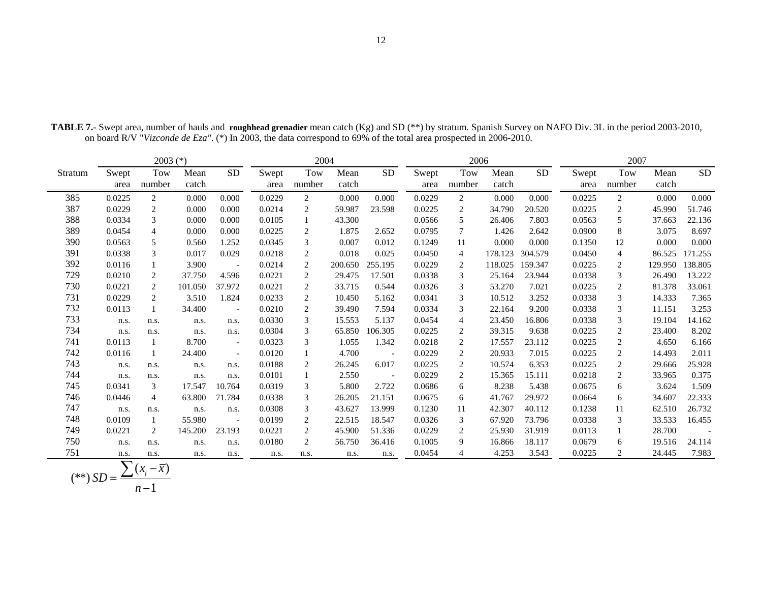|         |               | $2003$ (*)     |               |                          |               | 2004           |               |                          | 2006          |                |               |           |               | 2007           |               |           |
|---------|---------------|----------------|---------------|--------------------------|---------------|----------------|---------------|--------------------------|---------------|----------------|---------------|-----------|---------------|----------------|---------------|-----------|
| Stratum | Swept<br>area | Tow<br>number  | Mean<br>catch | <b>SD</b>                | Swept<br>area | Tow<br>number  | Mean<br>catch | <b>SD</b>                | Swept<br>area | Tow<br>number  | Mean<br>catch | <b>SD</b> | Swept<br>area | Tow<br>number  | Mean<br>catch | <b>SD</b> |
| 385     | 0.0225        | 2              | 0.000         | 0.000                    | 0.0229        | $\overline{2}$ | 0.000         | 0.000                    | 0.0229        | 2              | 0.000         | 0.000     | 0.0225        | 2              | 0.000         | 0.000     |
| 387     | 0.0229        | $\overline{2}$ | 0.000         | 0.000                    | 0.0214        | $\overline{2}$ | 59.987        | 23.598                   | 0.0225        | 2              | 34.790        | 20.520    | 0.0225        | 2              | 45.990        | 51.746    |
| 388     | 0.0334        | 3              | 0.000         | 0.000                    | 0.0105        |                | 43.300        |                          | 0.0566        | 5              | 26.406        | 7.803     | 0.0563        | 5              | 37.663        | 22.136    |
| 389     | 0.0454        | $\overline{4}$ | 0.000         | 0.000                    | 0.0225        | 2              | 1.875         | 2.652                    | 0.0795        | $\tau$         | 1.426         | 2.642     | 0.0900        | 8              | 3.075         | 8.697     |
| 390     | 0.0563        | 5              | 0.560         | 1.252                    | 0.0345        | 3              | 0.007         | 0.012                    | 0.1249        | 11             | 0.000         | 0.000     | 0.1350        | 12             | 0.000         | 0.000     |
| 391     | 0.0338        | 3              | 0.017         | 0.029                    | 0.0218        | 2              | 0.018         | 0.025                    | 0.0450        | $\overline{4}$ | 178.123       | 304.579   | 0.0450        | 4              | 86.525        | 171.255   |
| 392     | 0.0116        |                | 3.900         | $\overline{\phantom{a}}$ | 0.0214        | $\overline{2}$ | 200.650       | 255.195                  | 0.0229        | 2              | 118.025       | 159.347   | 0.0225        | 2              | 129.950       | 138.805   |
| 729     | 0.0210        | 2              | 37.750        | 4.596                    | 0.0221        | 2              | 29.475        | 17.501                   | 0.0338        | 3              | 25.164        | 23.944    | 0.0338        | 3              | 26.490        | 13.222    |
| 730     | 0.0221        | 2              | 101.050       | 37.972                   | 0.0221        | $\overline{2}$ | 33.715        | 0.544                    | 0.0326        | 3              | 53.270        | 7.021     | 0.0225        | 2              | 81.378        | 33.061    |
| 731     | 0.0229        | 2              | 3.510         | 1.824                    | 0.0233        | $\overline{2}$ | 10.450        | 5.162                    | 0.0341        | $\mathfrak{Z}$ | 10.512        | 3.252     | 0.0338        | 3              | 14.333        | 7.365     |
| 732     | 0.0113        |                | 34.400        | $\overline{\phantom{a}}$ | 0.0210        | 2              | 39.490        | 7.594                    | 0.0334        | 3              | 22.164        | 9.200     | 0.0338        | 3              | 11.151        | 3.253     |
| 733     | n.s.          | n.s.           | n.s.          | n.s.                     | 0.0330        | 3              | 15.553        | 5.137                    | 0.0454        | $\overline{4}$ | 23.450        | 16.806    | 0.0338        | 3              | 19.104        | 14.162    |
| 734     | n.s.          | n.s.           | n.s.          | n.s.                     | 0.0304        | 3              | 65.850        | 106.305                  | 0.0225        | 2              | 39.315        | 9.638     | 0.0225        | $\overline{c}$ | 23.400        | 8.202     |
| 741     | 0.0113        |                | 8.700         | $\overline{\phantom{a}}$ | 0.0323        | 3              | 1.055         | 1.342                    | 0.0218        | $\mathbf{2}$   | 17.557        | 23.112    | 0.0225        | 2              | 4.650         | 6.166     |
| 742     | 0.0116        | -1             | 24.400        | $\overline{\phantom{a}}$ | 0.0120        |                | 4.700         |                          | 0.0229        | 2              | 20.933        | 7.015     | 0.0225        | $\overline{c}$ | 14.493        | 2.011     |
| 743     | n.s.          | n.s.           | n.s.          | n.s.                     | 0.0188        | 2              | 26.245        | 6.017                    | 0.0225        | 2              | 10.574        | 6.353     | 0.0225        | $\overline{c}$ | 29.666        | 25.928    |
| 744     | n.s.          | n.s.           | n.s.          | n.s.                     | 0.0101        |                | 2.550         | $\overline{\phantom{a}}$ | 0.0229        | $\overline{c}$ | 15.365        | 15.111    | 0.0218        | 2              | 33.965        | 0.375     |
| 745     | 0.0341        | 3              | 17.547        | 10.764                   | 0.0319        | 3              | 5.800         | 2.722                    | 0.0686        | 6              | 8.238         | 5.438     | 0.0675        | 6              | 3.624         | 1.509     |
| 746     | 0.0446        | $\overline{4}$ | 63.800        | 71.784                   | 0.0338        | 3              | 26.205        | 21.151                   | 0.0675        | 6              | 41.767        | 29.972    | 0.0664        | 6              | 34.607        | 22.333    |
| 747     | n.s.          | n.s.           | n.s.          | n.s.                     | 0.0308        | 3              | 43.627        | 13.999                   | 0.1230        | 11             | 42.307        | 40.112    | 0.1238        | 11             | 62.510        | 26.732    |
| 748     | 0.0109        |                | 55.980        | $\overline{\phantom{a}}$ | 0.0199        | $\overline{2}$ | 22.515        | 18.547                   | 0.0326        | 3              | 67.920        | 73.796    | 0.0338        | 3              | 33.533        | 16.455    |
| 749     | 0.0221        | 2              | 145.200       | 23.193                   | 0.0221        | $\overline{2}$ | 45.900        | 51.336                   | 0.0229        | 2              | 25.930        | 31.919    | 0.0113        |                | 28.700        |           |
| 750     | n.s.          | n.s.           | n.s.          | n.s.                     | 0.0180        | 2              | 56.750        | 36.416                   | 0.1005        | 9              | 16.866        | 18.117    | 0.0679        | 6              | 19.516        | 24.114    |
| 751     | n.s.          | n.s.           | n.s.          | n.s.                     | n.s.          | n.s.           | n.s.          | n.s.                     | 0.0454        | $\overline{4}$ | 4.253         | 3.543     | 0.0225        | 2              | 24.445        | 7.983     |

**TABLE 7.-** Swept area, number of hauls and **roughhead grenadier** mean catch (Kg) and SD (\*\*) by stratum. Spanish Survey on NAFO Div. 3L in the period 2003-2010, on board R/V "*Vizconde de Eza"*. (\*) In 2003, the data correspond to 69% of the total area prospected in 2006-2010.

$$
(**) SD = \frac{\sum (x_i - \overline{x})}{n-1}
$$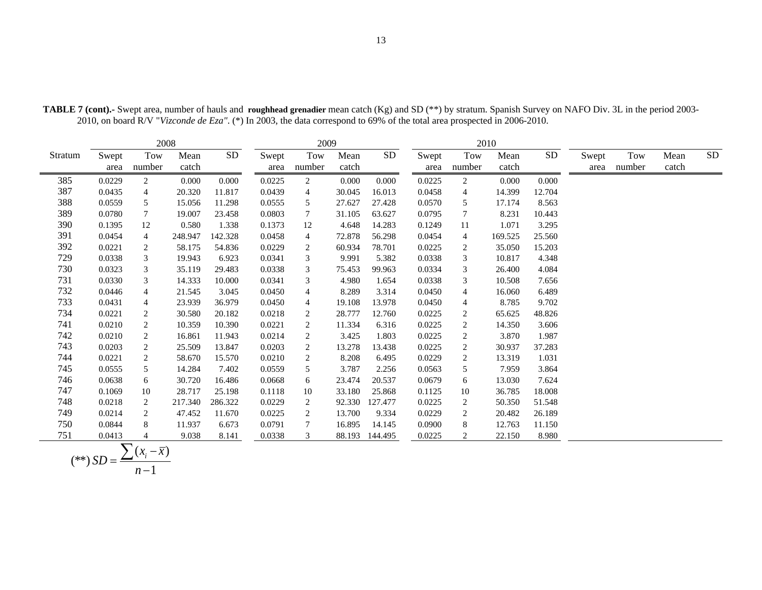|         |               | 2008           |               |           |               | 2009            |               |                |               |                  | 2010          |           |               |               |               |           |
|---------|---------------|----------------|---------------|-----------|---------------|-----------------|---------------|----------------|---------------|------------------|---------------|-----------|---------------|---------------|---------------|-----------|
| Stratum | Swept<br>area | Tow<br>number  | Mean<br>catch | <b>SD</b> | Swept<br>area | Tow<br>number   | Mean<br>catch | SD.            | Swept<br>area | Tow<br>number    | Mean<br>catch | <b>SD</b> | Swept<br>area | Tow<br>number | Mean<br>catch | <b>SD</b> |
| 385     | 0.0229        | $\overline{c}$ | 0.000         | 0.000     | 0.0225        | $\overline{c}$  | 0.000         | 0.000          | 0.0225        | 2                | 0.000         | 0.000     |               |               |               |           |
| 387     | 0.0435        | 4              | 20.320        | 11.817    | 0.0439        | 4               | 30.045        | 16.013         | 0.0458        | $\overline{4}$   | 14.399        | 12.704    |               |               |               |           |
| 388     | 0.0559        | 5              | 15.056        | 11.298    | 0.0555        | 5               | 27.627        | 27.428         | 0.0570        | 5                | 17.174        | 8.563     |               |               |               |           |
| 389     | 0.0780        | $\tau$         | 19.007        | 23.458    | 0.0803        | $7\phantom{.0}$ | 31.105        | 63.627         | 0.0795        | $\tau$           | 8.231         | 10.443    |               |               |               |           |
| 390     | 0.1395        | 12             | 0.580         | 1.338     | 0.1373        | 12              | 4.648         | 14.283         | 0.1249        | 11               | 1.071         | 3.295     |               |               |               |           |
| 391     | 0.0454        | $\overline{4}$ | 248.947       | 142.328   | 0.0458        | 4               | 72.878        | 56.298         | 0.0454        | $\overline{4}$   | 169.525       | 25.560    |               |               |               |           |
| 392     | 0.0221        | $\overline{c}$ | 58.175        | 54.836    | 0.0229        | 2               | 60.934        | 78.701         | 0.0225        | $\overline{c}$   | 35.050        | 15.203    |               |               |               |           |
| 729     | 0.0338        | 3              | 19.943        | 6.923     | 0.0341        | 3               | 9.991         | 5.382          | 0.0338        | 3                | 10.817        | 4.348     |               |               |               |           |
| 730     | 0.0323        | 3              | 35.119        | 29.483    | 0.0338        | 3               | 75.453        | 99.963         | 0.0334        | 3                | 26.400        | 4.084     |               |               |               |           |
| 731     | 0.0330        | 3              | 14.333        | 10.000    | 0.0341        | 3               | 4.980         | 1.654          | 0.0338        | 3                | 10.508        | 7.656     |               |               |               |           |
| 732     | 0.0446        | $\overline{4}$ | 21.545        | 3.045     | 0.0450        | $\overline{4}$  | 8.289         | 3.314          | 0.0450        | $\overline{4}$   | 16.060        | 6.489     |               |               |               |           |
| 733     | 0.0431        | 4              | 23.939        | 36.979    | 0.0450        | $\overline{4}$  | 19.108        | 13.978         | 0.0450        | 4                | 8.785         | 9.702     |               |               |               |           |
| 734     | 0.0221        | 2              | 30.580        | 20.182    | 0.0218        | 2               | 28.777        | 12.760         | 0.0225        | $\overline{c}$   | 65.625        | 48.826    |               |               |               |           |
| 741     | 0.0210        | 2              | 10.359        | 10.390    | 0.0221        | $\overline{c}$  | 11.334        | 6.316          | 0.0225        | 2                | 14.350        | 3.606     |               |               |               |           |
| 742     | 0.0210        | 2              | 16.861        | 11.943    | 0.0214        | 2               | 3.425         | 1.803          | 0.0225        | $\overline{c}$   | 3.870         | 1.987     |               |               |               |           |
| 743     | 0.0203        | 2              | 25.509        | 13.847    | 0.0203        | 2               | 13.278        | 13.438         | 0.0225        | $\boldsymbol{2}$ | 30.937        | 37.283    |               |               |               |           |
| 744     | 0.0221        | 2              | 58.670        | 15.570    | 0.0210        | 2               | 8.208         | 6.495          | 0.0229        | 2                | 13.319        | 1.031     |               |               |               |           |
| 745     | 0.0555        | 5              | 14.284        | 7.402     | 0.0559        | 5               | 3.787         | 2.256          | 0.0563        | 5                | 7.959         | 3.864     |               |               |               |           |
| 746     | 0.0638        | 6              | 30.720        | 16.486    | 0.0668        | 6               | 23.474        | 20.537         | 0.0679        | 6                | 13.030        | 7.624     |               |               |               |           |
| 747     | 0.1069        | 10             | 28.717        | 25.198    | 0.1118        | 10              | 33.180        | 25.868         | 0.1125        | 10               | 36.785        | 18.008    |               |               |               |           |
| 748     | 0.0218        | 2              | 217.340       | 286.322   | 0.0229        | 2               | 92.330        | 127.477        | 0.0225        | 2                | 50.350        | 51.548    |               |               |               |           |
| 749     | 0.0214        | 2              | 47.452        | 11.670    | 0.0225        | 2               | 13.700        | 9.334          | 0.0229        | $\overline{2}$   | 20.482        | 26.189    |               |               |               |           |
| 750     | 0.0844        | 8              | 11.937        | 6.673     | 0.0791        | 7               | 16.895        | 14.145         | 0.0900        | 8                | 12.763        | 11.150    |               |               |               |           |
| 751     | 0.0413        | 4              | 9.038         | 8.141     | 0.0338        | 3               |               | 88.193 144.495 | 0.0225        | 2                | 22.150        | 8.980     |               |               |               |           |

**TABLE 7 (cont).-** Swept area, number of hauls and **roughhead grenadier** mean catch (Kg) and SD (\*\*) by stratum. Spanish Survey on NAFO Div. 3L in the period 2003- 2010, on board R/V "*Vizconde de Eza"*. (\*) In 2003, the data correspond to 69% of the total area prospected in 2006-2010.

$$
(**) SD = \frac{\sum (x_i - \overline{x})}{n-1}
$$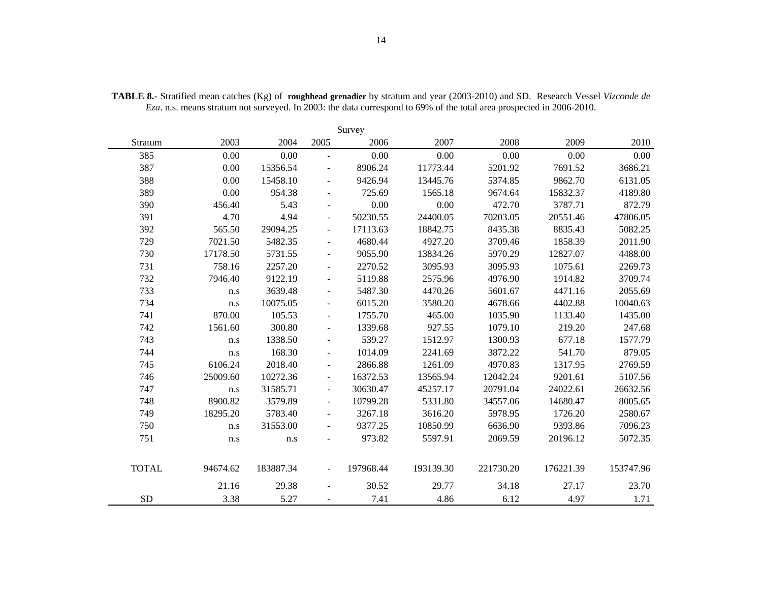|              | Survey   |           |                              |           |           |           |           |           |  |  |  |  |  |  |
|--------------|----------|-----------|------------------------------|-----------|-----------|-----------|-----------|-----------|--|--|--|--|--|--|
| Stratum      | 2003     | 2004      | 2005                         | 2006      | 2007      | 2008      | 2009      | 2010      |  |  |  |  |  |  |
| 385          | 0.00     | 0.00      | $\overline{a}$               | 0.00      | 0.00      | 0.00      | 0.00      | 0.00      |  |  |  |  |  |  |
| 387          | 0.00     | 15356.54  |                              | 8906.24   | 11773.44  | 5201.92   | 7691.52   | 3686.21   |  |  |  |  |  |  |
| 388          | 0.00     | 15458.10  | $\overline{\phantom{a}}$     | 9426.94   | 13445.76  | 5374.85   | 9862.70   | 6131.05   |  |  |  |  |  |  |
| 389          | 0.00     | 954.38    |                              | 725.69    | 1565.18   | 9674.64   | 15832.37  | 4189.80   |  |  |  |  |  |  |
| 390          | 456.40   | 5.43      | $\overline{\phantom{a}}$     | 0.00      | 0.00      | 472.70    | 3787.71   | 872.79    |  |  |  |  |  |  |
| 391          | 4.70     | 4.94      | $\overline{\phantom{a}}$     | 50230.55  | 24400.05  | 70203.05  | 20551.46  | 47806.05  |  |  |  |  |  |  |
| 392          | 565.50   | 29094.25  | $\frac{1}{2}$                | 17113.63  | 18842.75  | 8435.38   | 8835.43   | 5082.25   |  |  |  |  |  |  |
| 729          | 7021.50  | 5482.35   | $\overline{\phantom{a}}$     | 4680.44   | 4927.20   | 3709.46   | 1858.39   | 2011.90   |  |  |  |  |  |  |
| 730          | 17178.50 | 5731.55   |                              | 9055.90   | 13834.26  | 5970.29   | 12827.07  | 4488.00   |  |  |  |  |  |  |
| 731          | 758.16   | 2257.20   | $\overline{\phantom{a}}$     | 2270.52   | 3095.93   | 3095.93   | 1075.61   | 2269.73   |  |  |  |  |  |  |
| 732          | 7946.40  | 9122.19   | $\overline{\phantom{a}}$     | 5119.88   | 2575.96   | 4976.90   | 1914.82   | 3709.74   |  |  |  |  |  |  |
| 733          | n.s      | 3639.48   | $\qquad \qquad \blacksquare$ | 5487.30   | 4470.26   | 5601.67   | 4471.16   | 2055.69   |  |  |  |  |  |  |
| 734          | n.s      | 10075.05  | $\overline{\phantom{a}}$     | 6015.20   | 3580.20   | 4678.66   | 4402.88   | 10040.63  |  |  |  |  |  |  |
| 741          | 870.00   | 105.53    |                              | 1755.70   | 465.00    | 1035.90   | 1133.40   | 1435.00   |  |  |  |  |  |  |
| 742          | 1561.60  | 300.80    | $\overline{\phantom{a}}$     | 1339.68   | 927.55    | 1079.10   | 219.20    | 247.68    |  |  |  |  |  |  |
| 743          | n.s      | 1338.50   | $\blacksquare$               | 539.27    | 1512.97   | 1300.93   | 677.18    | 1577.79   |  |  |  |  |  |  |
| 744          | n.s      | 168.30    | $\overline{\phantom{a}}$     | 1014.09   | 2241.69   | 3872.22   | 541.70    | 879.05    |  |  |  |  |  |  |
| 745          | 6106.24  | 2018.40   | $\overline{\phantom{a}}$     | 2866.88   | 1261.09   | 4970.83   | 1317.95   | 2769.59   |  |  |  |  |  |  |
| 746          | 25009.60 | 10272.36  | $\overline{\phantom{m}}$     | 16372.53  | 13565.94  | 12042.24  | 9201.61   | 5107.56   |  |  |  |  |  |  |
| 747          | n.s      | 31585.71  | $\overline{\phantom{a}}$     | 30630.47  | 45257.17  | 20791.04  | 24022.61  | 26632.56  |  |  |  |  |  |  |
| 748          | 8900.82  | 3579.89   | $\blacksquare$               | 10799.28  | 5331.80   | 34557.06  | 14680.47  | 8005.65   |  |  |  |  |  |  |
| 749          | 18295.20 | 5783.40   | $\overline{\phantom{a}}$     | 3267.18   | 3616.20   | 5978.95   | 1726.20   | 2580.67   |  |  |  |  |  |  |
| 750          | n.s      | 31553.00  |                              | 9377.25   | 10850.99  | 6636.90   | 9393.86   | 7096.23   |  |  |  |  |  |  |
| 751          | n.s      | n.s       |                              | 973.82    | 5597.91   | 2069.59   | 20196.12  | 5072.35   |  |  |  |  |  |  |
| <b>TOTAL</b> | 94674.62 | 183887.34 | $\overline{\phantom{a}}$     | 197968.44 | 193139.30 | 221730.20 | 176221.39 | 153747.96 |  |  |  |  |  |  |
|              | 21.16    | 29.38     | $\blacksquare$               | 30.52     | 29.77     | 34.18     | 27.17     | 23.70     |  |  |  |  |  |  |
| <b>SD</b>    | 3.38     | 5.27      |                              | 7.41      | 4.86      | 6.12      | 4.97      | 1.71      |  |  |  |  |  |  |

**TABLE 8.-** Stratified mean catches (Kg) of **roughhead grenadier** by stratum and year (2003-2010) and SD. Research Vessel *Vizconde de Eza*. n.s. means stratum not surveyed. In 2003: the data correspond to 69% of the total area prospected in 2006-2010.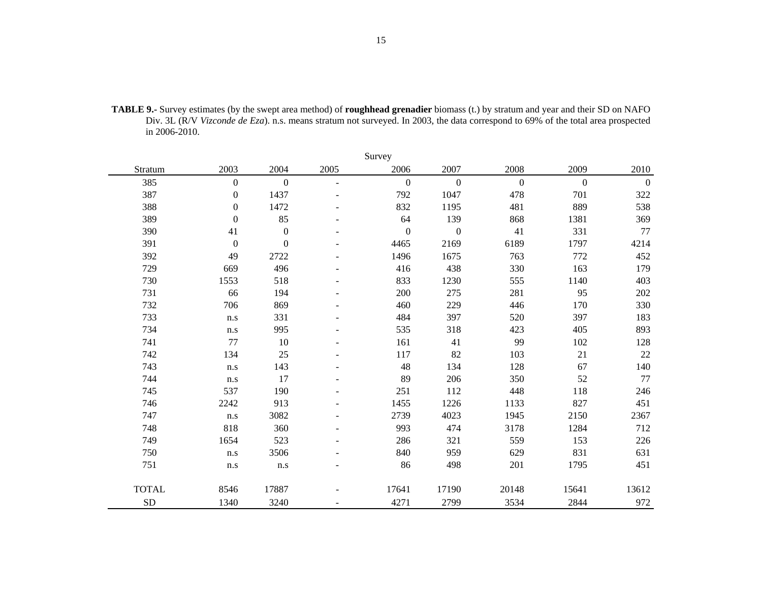| <b>TABLE 9.-</b> Survey estimates (by the swept area method) of <b>roughhead grenadier</b> biomass (t.) by stratum and year and their SD on NAFO |
|--------------------------------------------------------------------------------------------------------------------------------------------------|
| Div. 3L (R/V Vizconde de Eza). n.s. means stratum not surveyed. In 2003, the data correspond to 69% of the total area prospected                 |
| in $2006 - 2010$ .                                                                                                                               |

|              |                  |                  |        | Survey         |                  |              |              |                  |
|--------------|------------------|------------------|--------|----------------|------------------|--------------|--------------|------------------|
| Stratum      | 2003             | 2004             | 2005   | 2006           | 2007             | 2008         | 2009         | 2010             |
| 385          | $\boldsymbol{0}$ | $\boldsymbol{0}$ | $\sim$ | $\mathbf{0}$   | $\boldsymbol{0}$ | $\mathbf{0}$ | $\mathbf{0}$ | $\boldsymbol{0}$ |
| 387          | $\boldsymbol{0}$ | 1437             | L.     | 792            | 1047             | 478          | 701          | 322              |
| 388          | $\mathbf{0}$     | 1472             |        | 832            | 1195             | 481          | 889          | 538              |
| 389          | $\boldsymbol{0}$ | 85               |        | 64             | 139              | 868          | 1381         | 369              |
| 390          | 41               | $\boldsymbol{0}$ | ۰      | $\overline{0}$ | $\boldsymbol{0}$ | 41           | 331          | 77               |
| 391          | $\boldsymbol{0}$ | $\boldsymbol{0}$ |        | 4465           | 2169             | 6189         | 1797         | 4214             |
| 392          | 49               | 2722             | ۰      | 1496           | 1675             | 763          | 772          | 452              |
| 729          | 669              | 496              |        | 416            | 438              | 330          | 163          | 179              |
| 730          | 1553             | 518              |        | 833            | 1230             | 555          | 1140         | 403              |
| 731          | 66               | 194              |        | 200            | 275              | 281          | 95           | 202              |
| 732          | 706              | 869              |        | 460            | 229              | 446          | 170          | 330              |
| 733          | n.s              | 331              |        | 484            | 397              | 520          | 397          | 183              |
| 734          | $\rm n.s$        | 995              |        | 535            | 318              | 423          | 405          | 893              |
| 741          | 77               | 10               |        | 161            | 41               | 99           | 102          | 128              |
| 742          | 134              | 25               |        | 117            | 82               | 103          | 21           | $22\,$           |
| 743          | n.s              | 143              |        | 48             | 134              | 128          | 67           | 140              |
| 744          | n.s              | 17               |        | 89             | 206              | 350          | 52           | $77 \,$          |
| 745          | 537              | 190              | ۰      | 251            | 112              | 448          | 118          | 246              |
| 746          | 2242             | 913              |        | 1455           | 1226             | 1133         | 827          | 451              |
| 747          | n.s              | 3082             | ۰      | 2739           | 4023             | 1945         | 2150         | 2367             |
| 748          | 818              | 360              |        | 993            | 474              | 3178         | 1284         | 712              |
| 749          | 1654             | 523              |        | 286            | 321              | 559          | 153          | 226              |
| 750          | $\rm n.s$        | 3506             |        | 840            | 959              | 629          | 831          | 631              |
| 751          | n.s              | n.s              |        | 86             | 498              | 201          | 1795         | 451              |
| <b>TOTAL</b> | 8546             | 17887            |        | 17641          | 17190            | 20148        | 15641        | 13612            |
| <b>SD</b>    | 1340             | 3240             |        | 4271           | 2799             | 3534         | 2844         | 972              |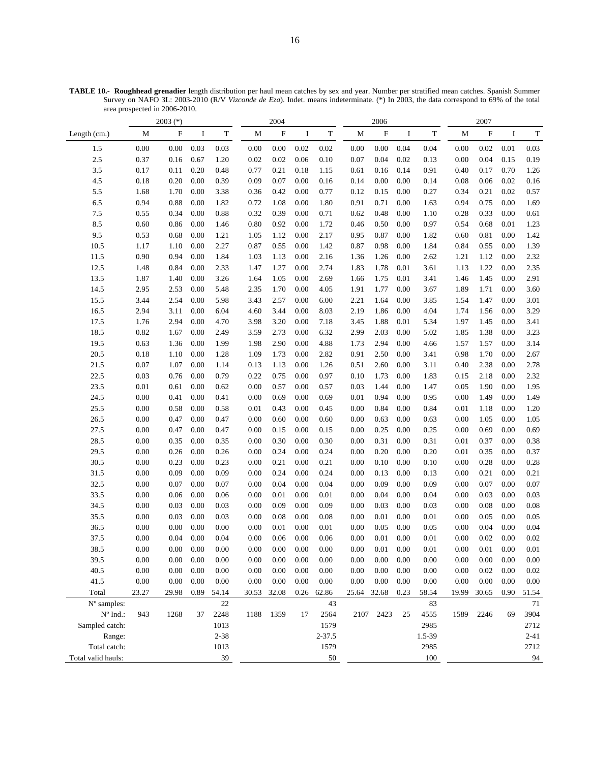|                                 |          | $2003$ (*) |          |             |          | 2004                      |          |             |             | 2006      |          |             |          | 2007     |          |             |
|---------------------------------|----------|------------|----------|-------------|----------|---------------------------|----------|-------------|-------------|-----------|----------|-------------|----------|----------|----------|-------------|
| Length (cm.)                    | М        | ${\bf F}$  | I        | $\mathbf T$ | M        | $\boldsymbol{\mathrm{F}}$ | Ι        | $\mathbf T$ | М           | F         | I        | $\mathbf T$ | М        | F        | I        | $\mathbf T$ |
| 1.5                             | 0.00     | 0.00       | 0.03     | 0.03        | 0.00     | 0.00                      | 0.02     | 0.02        | 0.00        | 0.00      | 0.04     | 0.04        | 0.00     | 0.02     | 0.01     | 0.03        |
| 2.5                             | 0.37     | 0.16       | 0.67     | 1.20        | 0.02     | 0.02                      | 0.06     | 0.10        | 0.07        | 0.04      | 0.02     | 0.13        | 0.00     | 0.04     | 0.15     | 0.19        |
| 3.5                             | 0.17     | 0.11       | 0.20     | 0.48        | 0.77     | 0.21                      | 0.18     | 1.15        | 0.61        | 0.16      | 0.14     | 0.91        | 0.40     | 0.17     | 0.70     | 1.26        |
| 4.5                             | 0.18     | 0.20       | 0.00     | 0.39        | 0.09     | 0.07                      | 0.00     | 0.16        | 0.14        | 0.00      | 0.00     | 0.14        | 0.08     | 0.06     | 0.02     | 0.16        |
| 5.5                             | 1.68     | 1.70       | 0.00     | 3.38        | 0.36     | 0.42                      | 0.00     | 0.77        | 0.12        | 0.15      | 0.00     | 0.27        | 0.34     | 0.21     | 0.02     | 0.57        |
| 6.5                             | 0.94     | 0.88       | 0.00     | 1.82        | 0.72     | 1.08                      | 0.00     | 1.80        | 0.91        | 0.71      | 0.00     | 1.63        | 0.94     | 0.75     | 0.00     | 1.69        |
| 7.5                             | 0.55     | 0.34       | 0.00     | 0.88        | 0.32     | 0.39                      | 0.00     | 0.71        | 0.62        | 0.48      | 0.00     | 1.10        | 0.28     | 0.33     | 0.00     | 0.61        |
| 8.5                             | 0.60     | 0.86       | 0.00     | 1.46        | 0.80     | 0.92                      | 0.00     | 1.72        | 0.46        | 0.50      | $0.00\,$ | 0.97        | 0.54     | 0.68     | 0.01     | 1.23        |
| 9.5                             | 0.53     | 0.68       | 0.00     | 1.21        | 1.05     | 1.12                      | 0.00     | 2.17        | 0.95        | 0.87      | 0.00     | 1.82        | 0.60     | 0.81     | 0.00     | 1.42        |
| 10.5                            | 1.17     | 1.10       | 0.00     | 2.27        | 0.87     | 0.55                      | 0.00     | 1.42        | 0.87        | 0.98      | 0.00     | 1.84        | 0.84     | 0.55     | 0.00     | 1.39        |
| 11.5                            | 0.90     | 0.94       | 0.00     | 1.84        | 1.03     | 1.13                      | 0.00     | 2.16        | 1.36        | 1.26      | 0.00     | 2.62        | 1.21     | 1.12     | 0.00     | 2.32        |
| 12.5                            | 1.48     | 0.84       | 0.00     | 2.33        | 1.47     | 1.27                      | 0.00     | 2.74        | 1.83        | 1.78      | 0.01     | 3.61        | 1.13     | 1.22     | 0.00     | 2.35        |
| 13.5                            | 1.87     | 1.40       | 0.00     | 3.26        | 1.64     | 1.05                      | 0.00     | 2.69        | 1.66        | 1.75      | 0.01     | 3.41        | 1.46     | 1.45     | 0.00     | 2.91        |
| 14.5                            | 2.95     | 2.53       | 0.00     | 5.48        | 2.35     | 1.70                      | 0.00     | 4.05        | 1.91        | 1.77      | 0.00     | 3.67        | 1.89     | 1.71     | 0.00     | 3.60        |
| 15.5                            | 3.44     | 2.54       | 0.00     | 5.98        | 3.43     | 2.57                      | 0.00     | 6.00        | 2.21        | 1.64      | 0.00     | 3.85        | 1.54     | 1.47     | 0.00     | 3.01        |
| 16.5                            | 2.94     | 3.11       | 0.00     | 6.04        | 4.60     | 3.44                      | 0.00     | 8.03        | 2.19        | 1.86      | $0.00\,$ | 4.04        | 1.74     | 1.56     | 0.00     | 3.29        |
| 17.5                            | 1.76     | 2.94       | 0.00     | 4.70        | 3.98     | 3.20                      | 0.00     | 7.18        | 3.45        | 1.88      | 0.01     | 5.34        | 1.97     | 1.45     | 0.00     | 3.41        |
| 18.5                            | 0.82     | 1.67       | 0.00     | 2.49        | 3.59     | 2.73                      | 0.00     | 6.32        | 2.99        | 2.03      | 0.00     | 5.02        | 1.85     | 1.38     | 0.00     | 3.23        |
| 19.5                            | 0.63     | 1.36       | 0.00     | 1.99        | 1.98     | 2.90                      | 0.00     | 4.88        | 1.73        | 2.94      | 0.00     | 4.66        | 1.57     | 1.57     | 0.00     | 3.14        |
| 20.5                            | 0.18     | 1.10       | 0.00     | 1.28        | 1.09     | 1.73                      | 0.00     | 2.82        | 0.91        | 2.50      | 0.00     | 3.41        | 0.98     | 1.70     | 0.00     | 2.67        |
| 21.5                            | 0.07     | 1.07       | 0.00     | 1.14        | 0.13     | 1.13                      | 0.00     | 1.26        | 0.51        | 2.60      | 0.00     | 3.11        | 0.40     | 2.38     | 0.00     | 2.78        |
| 22.5                            | 0.03     | 0.76       | 0.00     | 0.79        | 0.22     | 0.75                      | 0.00     | 0.97        | 0.10        | 1.73      | 0.00     | 1.83        | 0.15     | 2.18     | 0.00     | 2.32        |
| 23.5                            | 0.01     | 0.61       | 0.00     | 0.62        | 0.00     | 0.57                      | 0.00     | 0.57        | 0.03        | 1.44      | 0.00     | 1.47        | 0.05     | 1.90     | 0.00     | 1.95        |
| 24.5                            | 0.00     | 0.41       | 0.00     | 0.41        | 0.00     | 0.69                      | 0.00     | 0.69        | 0.01        | 0.94      | 0.00     | 0.95        | 0.00     | 1.49     | 0.00     | 1.49        |
| 25.5                            | 0.00     | 0.58       | 0.00     | 0.58        | 0.01     | 0.43                      | 0.00     | 0.45        | 0.00        | 0.84      | 0.00     | 0.84        | 0.01     | 1.18     | 0.00     | 1.20        |
| 26.5                            | 0.00     | 0.47       | 0.00     | 0.47        | 0.00     | 0.60                      | 0.00     | 0.60        | 0.00        | 0.63      | 0.00     | 0.63        | 0.00     | 1.05     | 0.00     | 1.05        |
| 27.5                            | 0.00     | 0.47       | 0.00     | 0.47        | 0.00     | 0.15                      | 0.00     | 0.15        | 0.00        | 0.25      | 0.00     | 0.25        | 0.00     | 0.69     | 0.00     | 0.69        |
| 28.5                            | 0.00     | 0.35       | 0.00     | 0.35        | 0.00     | 0.30                      | 0.00     | 0.30        | 0.00        | 0.31      | 0.00     | 0.31        | 0.01     | 0.37     | 0.00     | 0.38        |
| 29.5                            | 0.00     | 0.26       | 0.00     | 0.26        | 0.00     | 0.24                      | 0.00     | 0.24        | 0.00        | 0.20      | 0.00     | 0.20        | 0.01     | 0.35     | 0.00     | 0.37        |
| 30.5                            | 0.00     | 0.23       | 0.00     | 0.23        | 0.00     | 0.21                      | 0.00     | 0.21        | 0.00        | 0.10      | 0.00     | 0.10        | 0.00     | 0.28     | 0.00     | 0.28        |
| 31.5                            | 0.00     | 0.09       | 0.00     | 0.09        | 0.00     | 0.24                      | 0.00     | 0.24        | 0.00        | 0.13      | 0.00     | 0.13        | 0.00     | 0.21     | 0.00     | 0.21        |
| 32.5                            | 0.00     | 0.07       | 0.00     | 0.07        | 0.00     | 0.04                      | 0.00     | 0.04        | 0.00        | 0.09      | 0.00     | 0.09        | 0.00     | 0.07     | 0.00     | 0.07        |
| 33.5                            | 0.00     | 0.06       | 0.00     | 0.06        | 0.00     | 0.01                      | 0.00     | 0.01        | 0.00        | 0.04      | 0.00     | 0.04        | 0.00     | 0.03     | 0.00     | 0.03        |
| 34.5                            | 0.00     | 0.03       | 0.00     | 0.03        | 0.00     | 0.09                      | 0.00     | 0.09        | 0.00        | 0.03      | 0.00     | 0.03        | 0.00     | 0.08     | 0.00     | $0.08\,$    |
| 35.5                            | 0.00     | 0.03       | 0.00     | 0.03        | 0.00     | 0.08                      | 0.00     | 0.08        | 0.00        | 0.01      | 0.00     | 0.01        | 0.00     | 0.05     | 0.00     | 0.05        |
| 36.5                            | 0.00     | 0.00       | 0.00     | 0.00        | 0.00     | 0.01                      | 0.00     | 0.01        | 0.00        | 0.05      | 0.00     | 0.05        | 0.00     | 0.04     | 0.00     | 0.04        |
| 37.5                            | 0.00     | 0.04       | 0.00     | 0.04        | 0.00     | 0.06                      | 0.00     | 0.06        | 0.00        | 0.01      | 0.00     | 0.01        | 0.00     | 0.02     | 0.00     | 0.02        |
| 38.5                            | $0.00\,$ | $0.00\,$   | $0.00\,$ | $0.00\,$    | $0.00\,$ | $0.00\,$                  | $0.00\,$ | $0.00\,$    | $0.00\,$    | $0.01\,$  | 0.00     | 0.01        | 0.00     | $0.01\,$ | $0.00\,$ | $0.01\,$    |
| 39.5                            | 0.00     | 0.00       | 0.00     | 0.00        | 0.00     | 0.00                      | 0.00     | 0.00        | 0.00        | 0.00      | 0.00     | 0.00        | 0.00     | 0.00     | 0.00     | $0.00\,$    |
| 40.5                            | 0.00     | 0.00       | 0.00     | 0.00        | 0.00     | 0.00                      | 0.00     | 0.00        | 0.00        | 0.00      | 0.00     | 0.00        | $0.00\,$ | 0.02     | 0.00     | 0.02        |
| 41.5                            | 0.00     | $0.00\,$   | 0.00     | 0.00        | 0.00     | 0.00                      | 0.00     | 0.00        | 0.00        | 0.00      | 0.00     | 0.00        | 0.00     | 0.00     | 0.00     | $0.00\,$    |
| Total                           | 23.27    | 29.98      | 0.89     | 54.14       | 30.53    | 32.08                     |          | 0.26 62.86  | 25.64 32.68 |           | 0.23     | 58.54       | 19.99    | 30.65    | 0.90     | 51.54       |
| N° samples:                     |          |            |          | 22          |          |                           |          | 43          |             |           |          | 83          |          |          |          | 71          |
| $\mathrm{N}^{\mathrm{o}}$ Ind.: | 943      | 1268       | 37       | 2248        | 1188     | 1359                      | 17       | 2564        |             | 2107 2423 | 25       | 4555        | 1589     | 2246     | 69       | 3904        |
| Sampled catch:                  |          |            |          | 1013        |          |                           |          | 1579        |             |           |          | 2985        |          |          |          | 2712        |
| Range:                          |          |            |          | $2 - 38$    |          |                           |          | $2 - 37.5$  |             |           |          | 1.5-39      |          |          |          | $2 - 41$    |
| Total catch:                    |          |            |          | 1013        |          |                           |          | 1579        |             |           |          | 2985        |          |          |          | 2712        |
| Total valid hauls:              |          |            |          | 39          |          |                           |          | 50          |             |           |          | 100         |          |          |          | 94          |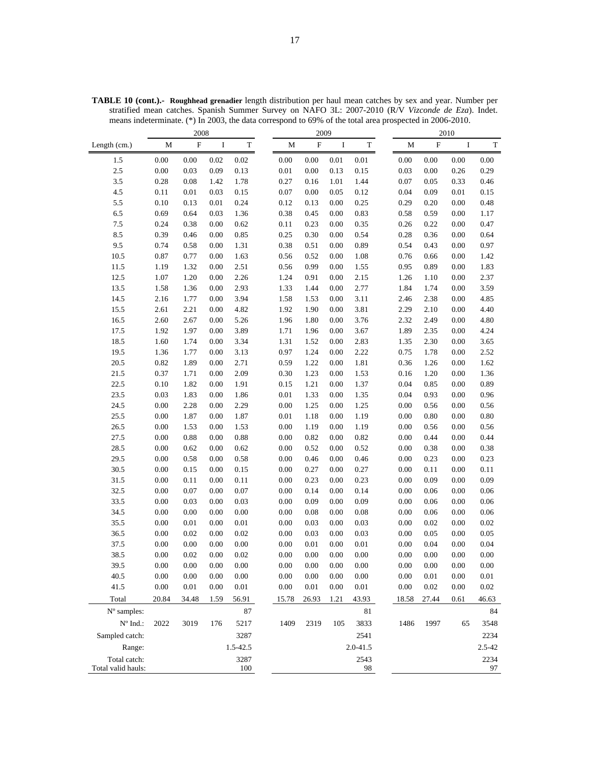|                    |          | 2008                      |          |             |          | 2009        |          |              |          |          | 2010     |             |
|--------------------|----------|---------------------------|----------|-------------|----------|-------------|----------|--------------|----------|----------|----------|-------------|
| Length (cm.)       | M        | $\boldsymbol{\mathrm{F}}$ | I        | $\mathbf T$ | М        | $\mathbf F$ | $\bf{I}$ | $\mathbf T$  | М        | $\rm F$  | $\bf I$  | $\mathbf T$ |
| 1.5                | $0.00\,$ | $0.00\,$                  | 0.02     | 0.02        | 0.00     | $0.00\,$    | 0.01     | 0.01         | 0.00     | 0.00     | $0.00\,$ | 0.00        |
| $2.5\,$            | $0.00\,$ | 0.03                      | 0.09     | 0.13        | 0.01     | $0.00\,$    | 0.13     | 0.15         | 0.03     | 0.00     | 0.26     | 0.29        |
| 3.5                | $0.28\,$ | 0.08                      | 1.42     | 1.78        | 0.27     | 0.16        | 1.01     | 1.44         | 0.07     | 0.05     | 0.33     | 0.46        |
| 4.5                | 0.11     | 0.01                      | 0.03     | 0.15        | 0.07     | 0.00        | 0.05     | 0.12         | 0.04     | 0.09     | $0.01\,$ | 0.15        |
| $5.5\,$            | $0.10\,$ | 0.13                      | $0.01\,$ | 0.24        | 0.12     | 0.13        | 0.00     | 0.25         | 0.29     | 0.20     | 0.00     | 0.48        |
| 6.5                | 0.69     | 0.64                      | 0.03     | 1.36        | 0.38     | 0.45        | 0.00     | 0.83         | 0.58     | 0.59     | 0.00     | 1.17        |
| $7.5\,$            | 0.24     | 0.38                      | 0.00     | 0.62        | 0.11     | 0.23        | 0.00     | 0.35         | 0.26     | 0.22     | 0.00     | 0.47        |
| 8.5                | 0.39     | 0.46                      | 0.00     | 0.85        | 0.25     | 0.30        | 0.00     | 0.54         | 0.28     | 0.36     | 0.00     | 0.64        |
| 9.5                | 0.74     | 0.58                      | 0.00     | 1.31        | 0.38     | 0.51        | 0.00     | 0.89         | 0.54     | 0.43     | 0.00     | 0.97        |
| 10.5               | 0.87     | 0.77                      | 0.00     | 1.63        | 0.56     | 0.52        | 0.00     | 1.08         | 0.76     | 0.66     | 0.00     | 1.42        |
| 11.5               | 1.19     | 1.32                      | 0.00     | 2.51        | 0.56     | 0.99        | 0.00     | 1.55         | 0.95     | 0.89     | 0.00     | 1.83        |
| 12.5               | 1.07     | 1.20                      | 0.00     | 2.26        | 1.24     | 0.91        | 0.00     | 2.15         | 1.26     | 1.10     | 0.00     | 2.37        |
| 13.5               | 1.58     | 1.36                      | 0.00     | 2.93        | 1.33     | 1.44        | 0.00     | 2.77         | 1.84     | 1.74     | 0.00     | 3.59        |
| 14.5               | 2.16     | 1.77                      | 0.00     | 3.94        | 1.58     | 1.53        | 0.00     | 3.11         | 2.46     | 2.38     | 0.00     | 4.85        |
| 15.5               | 2.61     | 2.21                      | 0.00     | 4.82        | 1.92     | 1.90        | 0.00     | 3.81         | 2.29     | 2.10     | 0.00     | 4.40        |
| 16.5               | 2.60     | 2.67                      | 0.00     | 5.26        | 1.96     | 1.80        | 0.00     | 3.76         | 2.32     | 2.49     | 0.00     | 4.80        |
| 17.5               | 1.92     | 1.97                      | 0.00     | 3.89        | 1.71     | 1.96        | 0.00     | 3.67         | 1.89     | 2.35     | 0.00     | 4.24        |
| 18.5               | 1.60     | 1.74                      | 0.00     | 3.34        | 1.31     | 1.52        | 0.00     | 2.83         | 1.35     | 2.30     | 0.00     | 3.65        |
| 19.5               | 1.36     | 1.77                      | 0.00     | 3.13        | 0.97     | 1.24        | 0.00     | 2.22         | 0.75     | 1.78     | 0.00     | 2.52        |
| 20.5               | 0.82     | 1.89                      | 0.00     | 2.71        | 0.59     | 1.22        | 0.00     | 1.81         | 0.36     | 1.26     | 0.00     | 1.62        |
| 21.5               | 0.37     | 1.71                      | 0.00     | 2.09        | 0.30     | 1.23        | 0.00     | 1.53         | 0.16     | 1.20     | 0.00     | 1.36        |
| 22.5               | 0.10     | 1.82                      | $0.00\,$ | 1.91        | 0.15     | 1.21        | 0.00     | 1.37         | 0.04     | 0.85     | 0.00     | 0.89        |
| 23.5               | 0.03     | 1.83                      | 0.00     | 1.86        | 0.01     | 1.33        | 0.00     | 1.35         | 0.04     | 0.93     | 0.00     | 0.96        |
| 24.5               | 0.00     | 2.28                      | 0.00     | 2.29        | 0.00     | 1.25        | 0.00     | 1.25         | 0.00     | 0.56     | 0.00     | 0.56        |
| 25.5               | $0.00\,$ | 1.87                      | 0.00     | 1.87        | 0.01     | 1.18        | 0.00     | 1.19         | 0.00     | 0.80     | 0.00     | 0.80        |
| 26.5               | $0.00\,$ | 1.53                      | 0.00     | 1.53        | 0.00     | 1.19        | 0.00     | 1.19         | 0.00     | 0.56     | 0.00     | 0.56        |
| 27.5               | $0.00\,$ | 0.88                      | 0.00     | 0.88        | 0.00     | 0.82        | 0.00     | 0.82         | 0.00     | 0.44     | 0.00     | 0.44        |
| 28.5               | $0.00\,$ | 0.62                      | 0.00     | 0.62        | 0.00     | 0.52        | 0.00     | 0.52         | 0.00     | 0.38     | 0.00     | 0.38        |
| 29.5               | $0.00\,$ | 0.58                      | 0.00     | 0.58        | 0.00     | 0.46        | 0.00     | 0.46         | 0.00     | 0.23     | 0.00     | 0.23        |
| 30.5               | $0.00\,$ | 0.15                      | 0.00     | 0.15        | 0.00     | 0.27        | 0.00     | 0.27         | 0.00     | 0.11     | 0.00     | $0.11\,$    |
| 31.5               | 0.00     | 0.11                      | 0.00     | 0.11        | 0.00     | 0.23        | 0.00     | 0.23         | 0.00     | 0.09     | 0.00     | 0.09        |
| 32.5               | $0.00\,$ | 0.07                      | 0.00     | 0.07        | 0.00     | 0.14        | 0.00     | 0.14         | 0.00     | 0.06     | 0.00     | 0.06        |
| 33.5               | $0.00\,$ | 0.03                      | 0.00     | 0.03        | 0.00     | 0.09        | 0.00     | 0.09         | 0.00     | 0.06     | 0.00     | 0.06        |
| 34.5               | 0.00     | 0.00                      | 0.00     | 0.00        | 0.00     | 0.08        | 0.00     | 0.08         | 0.00     | 0.06     | 0.00     | 0.06        |
| 35.5               | $0.00\,$ | 0.01                      | 0.00     | 0.01        | 0.00     | 0.03        | 0.00     | 0.03         | 0.00     | 0.02     | 0.00     | 0.02        |
| 36.5               | $0.00\,$ | 0.02                      | 0.00     | 0.02        | 0.00     | 0.03        | 0.00     | 0.03         | 0.00     | 0.05     | 0.00     | 0.05        |
| 37.5               | 0.00     | 0.00                      | 0.00     | 0.00        | 0.00     | 0.01        | 0.00     | 0.01         | 0.00     | 0.04     | 0.00     | 0.04        |
| 38.5               | 0.00     | 0.02                      | 0.00     | 0.02        | 0.00     | 0.00        | 0.00     | 0.00         | 0.00     | 0.00     | 0.00     | 0.00        |
| 39.5               | $0.00\,$ | $0.00\,$                  | 0.00     | 0.00        | 0.00     | $0.00\,$    | 0.00     | $0.00\,$     | 0.00     | 0.00     | 0.00     | $0.00\,$    |
| 40.5               | $0.00\,$ | $0.00\,$                  | 0.00     | 0.00        | 0.00     | $0.00\,$    | 0.00     | $0.00\,$     | $0.00\,$ | $0.01\,$ | $0.00\,$ | 0.01        |
| 41.5               | $0.00\,$ | $0.01\,$                  | $0.00\,$ | $0.01\,$    | $0.00\,$ | $0.01\,$    | 0.00     | $0.01\,$     | $0.00\,$ | $0.02\,$ | $0.00\,$ | 0.02        |
| Total              | 20.84    | 34.48                     | 1.59     | 56.91       | 15.78    | 26.93       | 1.21     | 43.93        | 18.58    | 27.44    | 0.61     | 46.63       |
| N° samples:        |          |                           |          | 87          |          |             |          | 81           |          |          |          | 84          |
| $N^{\circ}$ Ind.:  | 2022     | 3019                      | 176      | 5217        | 1409     | 2319        | 105      | 3833         | 1486     | 1997     | 65       | 3548        |
| Sampled catch:     |          |                           |          | 3287        |          |             |          | 2541         |          |          |          | 2234        |
| Range:             |          |                           |          | 1.5-42.5    |          |             |          | $2.0 - 41.5$ |          |          |          | 2.5-42      |
| Total catch:       |          |                           |          | 3287        |          |             |          | 2543         |          |          |          | 2234        |
| Total valid hauls: |          |                           |          | 100         |          |             |          | 98           |          |          |          | 97          |

**TABLE 10 (cont.).- Roughhead grenadier** length distribution per haul mean catches by sex and year. Number per stratified mean catches. Spanish Summer Survey on NAFO 3L: 2007-2010 (R/V *Vizconde de Eza*). Indet. means indeterminate. (\*) In 2003, the data correspond to 69% of the total area prospected in 2006-2010.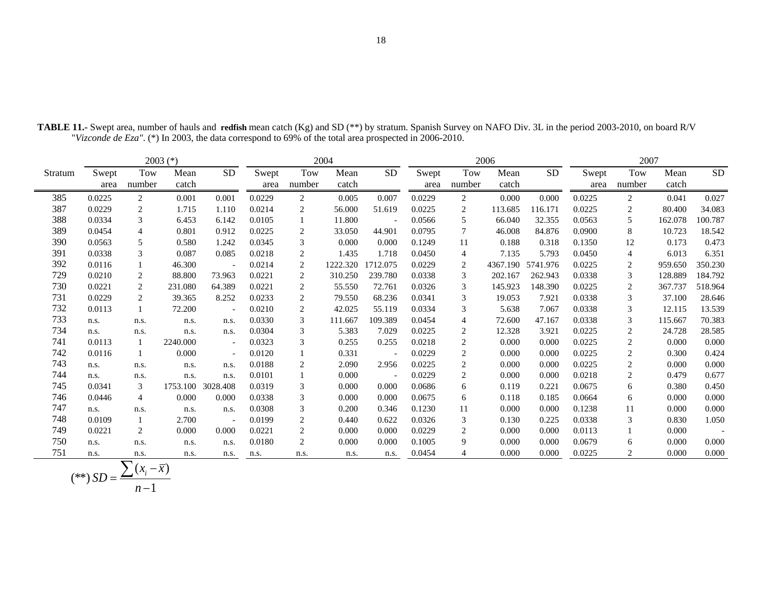|         |               |                | $2003$ (*)    |                          |               |                | 2004          |           |               |                | 2006              |           |               | 2007                 |               |           |
|---------|---------------|----------------|---------------|--------------------------|---------------|----------------|---------------|-----------|---------------|----------------|-------------------|-----------|---------------|----------------------|---------------|-----------|
| Stratum | Swept<br>area | Tow<br>number  | Mean<br>catch | SD                       | Swept<br>area | Tow<br>number  | Mean<br>catch | <b>SD</b> | Swept<br>area | Tow<br>number  | Mean<br>catch     | <b>SD</b> | Swept<br>area | <b>Tow</b><br>number | Mean<br>catch | <b>SD</b> |
| 385     | 0.0225        | 2              | 0.001         | 0.001                    | 0.0229        | $\overline{2}$ | 0.005         | 0.007     | 0.0229        | $\overline{2}$ | 0.000             | 0.000     | 0.0225        | 2                    | 0.041         | 0.027     |
| 387     | 0.0229        | 2              | 1.715         | 1.110                    | 0.0214        | 2              | 56.000        | 51.619    | 0.0225        | 2              | 113.685           | 116.171   | 0.0225        | 2                    | 80.400        | 34.083    |
| 388     | 0.0334        | 3              | 6.453         | 6.142                    | 0.0105        |                | 11.800        |           | 0.0566        | 5              | 66.040            | 32.355    | 0.0563        | 5                    | 162.078       | 100.787   |
| 389     | 0.0454        | 4              | 0.801         | 0.912                    | 0.0225        | 2              | 33.050        | 44.901    | 0.0795        | $\tau$         | 46.008            | 84.876    | 0.0900        | 8                    | 10.723        | 18.542    |
| 390     | 0.0563        | 5              | 0.580         | 1.242                    | 0.0345        | 3              | 0.000         | 0.000     | 0.1249        | 11             | 0.188             | 0.318     | 0.1350        | 12                   | 0.173         | 0.473     |
| 391     | 0.0338        | 3              | 0.087         | 0.085                    | 0.0218        | 2              | 1.435         | 1.718     | 0.0450        | 4              | 7.135             | 5.793     | 0.0450        | 4                    | 6.013         | 6.351     |
| 392     | 0.0116        |                | 46.300        | $\sim$                   | 0.0214        | 2              | 1222.320      | 1712.075  | 0.0229        | 2              | 4367.190 5741.976 |           | 0.0225        | $\overline{c}$       | 959.650       | 350.230   |
| 729     | 0.0210        | $\overline{c}$ | 88.800        | 73.963                   | 0.0221        | 2              | 310.250       | 239.780   | 0.0338        | 3              | 202.167           | 262.943   | 0.0338        | 3                    | 128.889       | 184.792   |
| 730     | 0.0221        | 2              | 231.080       | 64.389                   | 0.0221        | 2              | 55.550        | 72.761    | 0.0326        | 3              | 145.923           | 148.390   | 0.0225        | $\overline{c}$       | 367.737       | 518.964   |
| 731     | 0.0229        | 2              | 39.365        | 8.252                    | 0.0233        | 2              | 79.550        | 68.236    | 0.0341        | 3              | 19.053            | 7.921     | 0.0338        | 3                    | 37.100        | 28.646    |
| 732     | 0.0113        |                | 72.200        | $\overline{\phantom{a}}$ | 0.0210        | 2              | 42.025        | 55.119    | 0.0334        | 3              | 5.638             | 7.067     | 0.0338        | 3                    | 12.115        | 13.539    |
| 733     | n.s.          | n.s.           | n.s.          | n.s.                     | 0.0330        | 3              | 111.667       | 109.389   | 0.0454        | $\overline{4}$ | 72.600            | 47.167    | 0.0338        | 3                    | 115.667       | 70.383    |
| 734     | n.s.          | n.s.           | n.s.          | n.s.                     | 0.0304        | 3              | 5.383         | 7.029     | 0.0225        | 2              | 12.328            | 3.921     | 0.0225        | $\overline{c}$       | 24.728        | 28.585    |
| 741     | 0.0113        |                | 2240.000      | $\overline{\phantom{a}}$ | 0.0323        | 3              | 0.255         | 0.255     | 0.0218        | $\overline{2}$ | 0.000             | 0.000     | 0.0225        | 2                    | 0.000         | 0.000     |
| 742     | 0.0116        |                | 0.000         | $\overline{\phantom{a}}$ | 0.0120        |                | 0.331         |           | 0.0229        | 2              | 0.000             | 0.000     | 0.0225        | 2                    | 0.300         | 0.424     |
| 743     | n.s.          | n.s.           | n.s.          | n.s.                     | 0.0188        | 2              | 2.090         | 2.956     | 0.0225        | 2              | 0.000             | 0.000     | 0.0225        | 2                    | 0.000         | 0.000     |
| 744     | n.s.          | n.s.           | n.s.          | n.s.                     | 0.0101        |                | 0.000         |           | 0.0229        | 2              | 0.000             | 0.000     | 0.0218        | 2                    | 0.479         | 0.677     |
| 745     | 0.0341        | 3              |               | 1753.100 3028.408        | 0.0319        | 3              | 0.000         | 0.000     | 0.0686        | 6              | 0.119             | 0.221     | 0.0675        | 6                    | 0.380         | 0.450     |
| 746     | 0.0446        | 4              | 0.000         | 0.000                    | 0.0338        | 3              | 0.000         | 0.000     | 0.0675        | 6              | 0.118             | 0.185     | 0.0664        | 6                    | 0.000         | 0.000     |
| 747     | n.s.          | n.s.           | n.s.          | n.s.                     | 0.0308        | 3              | 0.200         | 0.346     | 0.1230        | 11             | 0.000             | 0.000     | 0.1238        | 11                   | 0.000         | 0.000     |
| 748     | 0.0109        |                | 2.700         | $\overline{\phantom{a}}$ | 0.0199        | 2              | 0.440         | 0.622     | 0.0326        | 3              | 0.130             | 0.225     | 0.0338        | 3                    | 0.830         | 1.050     |
| 749     | 0.0221        | 2              | 0.000         | 0.000                    | 0.0221        | 2              | 0.000         | 0.000     | 0.0229        | 2              | 0.000             | 0.000     | 0.0113        |                      | 0.000         |           |
| 750     | n.s.          | n.s.           | n.s.          | n.s.                     | 0.0180        | 2              | 0.000         | 0.000     | 0.1005        | 9              | 0.000             | 0.000     | 0.0679        | 6                    | 0.000         | 0.000     |
| 751     | n.s.          | n.s.           | n.s.          | n.s.                     | n.s.          | n.s.           | n.s.          | n.s.      | 0.0454        | $\overline{4}$ | 0.000             | 0.000     | 0.0225        | 2                    | 0.000         | 0.000     |

**TABLE 11.-** Swept area, number of hauls and **redfish** mean catch (Kg) and SD (\*\*) by stratum. Spanish Survey on NAFO Div. 3L in the period 2003-2010, on board R/V "*Vizconde de Eza"*. (\*) In 2003, the data correspond to 69% of the total area prospected in 2006-2010.

$$
(**) SD = \frac{\sum (x_i - \overline{x})}{n-1}
$$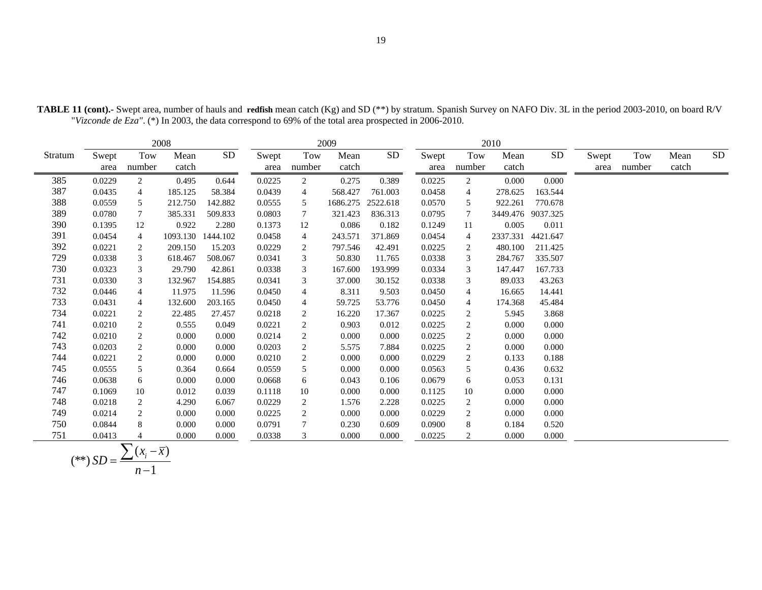|         |               |                  | 2008          |           |               |                | 2009          |            |               |                | 2010          |                   |       |                    |               |            |
|---------|---------------|------------------|---------------|-----------|---------------|----------------|---------------|------------|---------------|----------------|---------------|-------------------|-------|--------------------|---------------|------------|
| Stratum | Swept<br>area | Tow<br>number    | Mean<br>catch | <b>SD</b> | Swept<br>area | Tow<br>number  | Mean<br>catch | ${\rm SD}$ | Swept<br>area | Tow<br>number  | Mean<br>catch | ${\rm SD}$        | Swept | Tow<br>area number | Mean<br>catch | ${\rm SD}$ |
| 385     | 0.0229        | $\overline{2}$   | 0.495         | 0.644     | 0.0225        | $\overline{2}$ | 0.275         | 0.389      | 0.0225        | $\overline{c}$ | 0.000         | 0.000             |       |                    |               |            |
| 387     | 0.0435        | 4                | 185.125       | 58.384    | 0.0439        | $\overline{4}$ | 568.427       | 761.003    | 0.0458        | 4              | 278.625       | 163.544           |       |                    |               |            |
| 388     | 0.0559        | 5                | 212.750       | 142.882   | 0.0555        | 5              | 1686.275      | 2522.618   | 0.0570        | 5              | 922.261       | 770.678           |       |                    |               |            |
| 389     | 0.0780        | 7                | 385.331       | 509.833   | 0.0803        | 7              | 321.423       | 836.313    | 0.0795        | 7              |               | 3449.476 9037.325 |       |                    |               |            |
| 390     | 0.1395        | 12               | 0.922         | 2.280     | 0.1373        | 12             | 0.086         | 0.182      | 0.1249        | 11             | 0.005         | 0.011             |       |                    |               |            |
| 391     | 0.0454        | 4                | 1093.130      | 1444.102  | 0.0458        | 4              | 243.571       | 371.869    | 0.0454        | 4              | 2337.331      | 4421.647          |       |                    |               |            |
| 392     | 0.0221        | 2                | 209.150       | 15.203    | 0.0229        | 2              | 797.546       | 42.491     | 0.0225        | 2              | 480.100       | 211.425           |       |                    |               |            |
| 729     | 0.0338        | 3                | 618.467       | 508.067   | 0.0341        | 3              | 50.830        | 11.765     | 0.0338        | 3              | 284.767       | 335.507           |       |                    |               |            |
| 730     | 0.0323        | 3                | 29.790        | 42.861    | 0.0338        | 3              | 167.600       | 193.999    | 0.0334        | 3              | 147.447       | 167.733           |       |                    |               |            |
| 731     | 0.0330        | 3                | 132.967       | 154.885   | 0.0341        | 3              | 37.000        | 30.152     | 0.0338        | 3              | 89.033        | 43.263            |       |                    |               |            |
| 732     | 0.0446        | 4                | 11.975        | 11.596    | 0.0450        | 4              | 8.311         | 9.503      | 0.0450        | 4              | 16.665        | 14.441            |       |                    |               |            |
| 733     | 0.0431        | 4                | 132.600       | 203.165   | 0.0450        | $\overline{4}$ | 59.725        | 53.776     | 0.0450        | 4              | 174.368       | 45.484            |       |                    |               |            |
| 734     | 0.0221        | 2                | 22.485        | 27.457    | 0.0218        | 2              | 16.220        | 17.367     | 0.0225        | 2              | 5.945         | 3.868             |       |                    |               |            |
| 741     | 0.0210        | $\overline{c}$   | 0.555         | 0.049     | 0.0221        | $\overline{2}$ | 0.903         | 0.012      | 0.0225        | 2              | 0.000         | 0.000             |       |                    |               |            |
| 742     | 0.0210        | $\overline{c}$   | 0.000         | 0.000     | 0.0214        | 2              | 0.000         | 0.000      | 0.0225        | 2              | 0.000         | 0.000             |       |                    |               |            |
| 743     | 0.0203        | $\boldsymbol{2}$ | 0.000         | 0.000     | 0.0203        | $\overline{2}$ | 5.575         | 7.884      | 0.0225        | $\overline{c}$ | 0.000         | 0.000             |       |                    |               |            |
| 744     | 0.0221        | 2                | 0.000         | 0.000     | 0.0210        | 2              | 0.000         | 0.000      | 0.0229        | 2              | 0.133         | 0.188             |       |                    |               |            |
| 745     | 0.0555        | 5                | 0.364         | 0.664     | 0.0559        | 5              | 0.000         | 0.000      | 0.0563        | 5              | 0.436         | 0.632             |       |                    |               |            |
| 746     | 0.0638        | 6                | 0.000         | 0.000     | 0.0668        | 6              | 0.043         | 0.106      | 0.0679        | 6              | 0.053         | 0.131             |       |                    |               |            |
| 747     | 0.1069        | 10               | 0.012         | 0.039     | 0.1118        | 10             | 0.000         | 0.000      | 0.1125        | 10             | 0.000         | 0.000             |       |                    |               |            |
| 748     | 0.0218        | 2                | 4.290         | 6.067     | 0.0229        | 2              | 1.576         | 2.228      | 0.0225        | 2              | 0.000         | 0.000             |       |                    |               |            |
| 749     | 0.0214        | $\overline{c}$   | 0.000         | 0.000     | 0.0225        | $\overline{2}$ | 0.000         | 0.000      | 0.0229        | 2              | 0.000         | 0.000             |       |                    |               |            |
| 750     | 0.0844        | 8                | 0.000         | 0.000     | 0.0791        | $\tau$         | 0.230         | 0.609      | 0.0900        | 8              | 0.184         | 0.520             |       |                    |               |            |
| 751     | 0.0413        | 4                | 0.000         | 0.000     | 0.0338        | 3              | 0.000         | 0.000      | 0.0225        | 2              | 0.000         | 0.000             |       |                    |               |            |

**TABLE 11 (cont).-** Swept area, number of hauls and **redfish** mean catch (Kg) and SD (\*\*) by stratum. Spanish Survey on NAFO Div. 3L in the period 2003-2010, on board R/V "*Vizconde de Eza"*. (\*) In 2003, the data correspond to 69% of the total area prospected in 2006-2010.

$$
(**) SD = \frac{\sum (x_i - \overline{x})}{n-1}
$$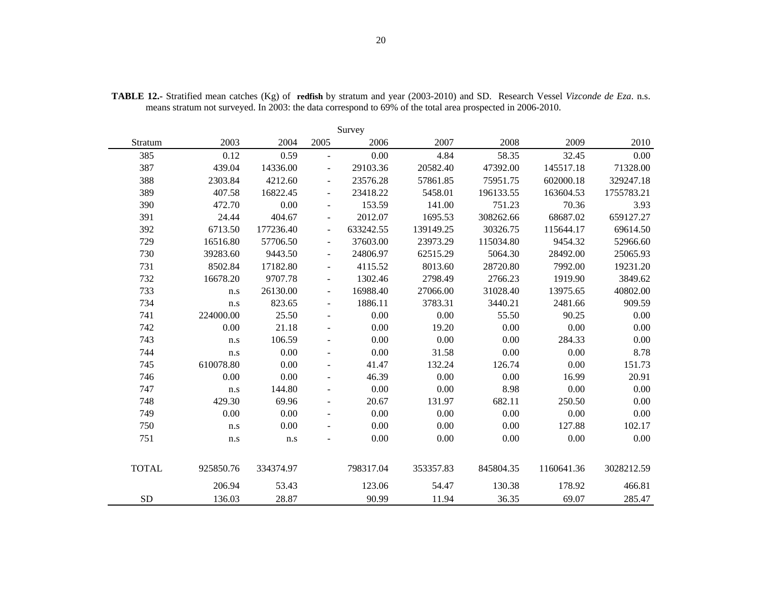|              |           |           |                          | Survey    |           |           |            |            |
|--------------|-----------|-----------|--------------------------|-----------|-----------|-----------|------------|------------|
| Stratum      | 2003      | 2004      | 2005                     | 2006      | 2007      | 2008      | 2009       | 2010       |
| 385          | 0.12      | 0.59      | $\blacksquare$           | 0.00      | 4.84      | 58.35     | 32.45      | 0.00       |
| 387          | 439.04    | 14336.00  | $\overline{\phantom{a}}$ | 29103.36  | 20582.40  | 47392.00  | 145517.18  | 71328.00   |
| 388          | 2303.84   | 4212.60   | $\overline{\phantom{a}}$ | 23576.28  | 57861.85  | 75951.75  | 602000.18  | 329247.18  |
| 389          | 407.58    | 16822.45  |                          | 23418.22  | 5458.01   | 196133.55 | 163604.53  | 1755783.21 |
| 390          | 472.70    | 0.00      | $\overline{\phantom{a}}$ | 153.59    | 141.00    | 751.23    | 70.36      | 3.93       |
| 391          | 24.44     | 404.67    | $\overline{\phantom{a}}$ | 2012.07   | 1695.53   | 308262.66 | 68687.02   | 659127.27  |
| 392          | 6713.50   | 177236.40 | $\overline{\phantom{a}}$ | 633242.55 | 139149.25 | 30326.75  | 115644.17  | 69614.50   |
| 729          | 16516.80  | 57706.50  | $\overline{\phantom{a}}$ | 37603.00  | 23973.29  | 115034.80 | 9454.32    | 52966.60   |
| 730          | 39283.60  | 9443.50   | $\overline{\phantom{a}}$ | 24806.97  | 62515.29  | 5064.30   | 28492.00   | 25065.93   |
| 731          | 8502.84   | 17182.80  | $\overline{\phantom{a}}$ | 4115.52   | 8013.60   | 28720.80  | 7992.00    | 19231.20   |
| 732          | 16678.20  | 9707.78   | $\overline{\phantom{a}}$ | 1302.46   | 2798.49   | 2766.23   | 1919.90    | 3849.62    |
| 733          | n.s       | 26130.00  | $\overline{\phantom{a}}$ | 16988.40  | 27066.00  | 31028.40  | 13975.65   | 40802.00   |
| 734          | n.s       | 823.65    | $\overline{\phantom{a}}$ | 1886.11   | 3783.31   | 3440.21   | 2481.66    | 909.59     |
| 741          | 224000.00 | 25.50     |                          | 0.00      | 0.00      | 55.50     | 90.25      | 0.00       |
| 742          | 0.00      | 21.18     | $\blacksquare$           | 0.00      | 19.20     | 0.00      | 0.00       | 0.00       |
| 743          | n.s       | 106.59    | $\blacksquare$           | 0.00      | 0.00      | 0.00      | 284.33     | 0.00       |
| 744          | n.s       | 0.00      | $\overline{\phantom{a}}$ | 0.00      | 31.58     | 0.00      | 0.00       | 8.78       |
| 745          | 610078.80 | 0.00      |                          | 41.47     | 132.24    | 126.74    | 0.00       | 151.73     |
| 746          | 0.00      | 0.00      |                          | 46.39     | 0.00      | 0.00      | 16.99      | 20.91      |
| 747          | n.s       | 144.80    |                          | 0.00      | 0.00      | 8.98      | 0.00       | 0.00       |
| 748          | 429.30    | 69.96     | $\blacksquare$           | 20.67     | 131.97    | 682.11    | 250.50     | 0.00       |
| 749          | 0.00      | 0.00      | $\overline{\phantom{a}}$ | 0.00      | 0.00      | 0.00      | 0.00       | 0.00       |
| 750          | n.s       | 0.00      |                          | 0.00      | 0.00      | 0.00      | 127.88     | 102.17     |
| 751          | $\rm n.s$ | $\rm n.s$ |                          | 0.00      | 0.00      | 0.00      | $0.00\,$   | 0.00       |
| <b>TOTAL</b> | 925850.76 | 334374.97 |                          | 798317.04 | 353357.83 | 845804.35 | 1160641.36 | 3028212.59 |
|              | 206.94    | 53.43     |                          | 123.06    | 54.47     | 130.38    | 178.92     | 466.81     |
| <b>SD</b>    | 136.03    | 28.87     |                          | 90.99     | 11.94     | 36.35     | 69.07      | 285.47     |

**TABLE 12.-** Stratified mean catches (Kg) of **redfish** by stratum and year (2003-2010) and SD. Research Vessel *Vizconde de Eza*. n.s. means stratum not surveyed. In 2003: the data correspond to 69% of the total area prospected in 2006-2010.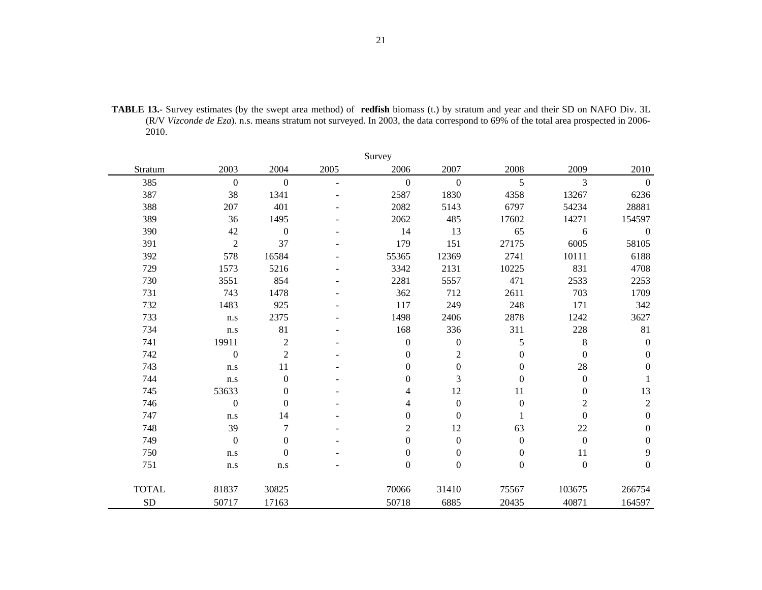**TABLE 13.-** Survey estimates (by the swept area method) of **redfish** biomass (t.) by stratum and year and their SD on NAFO Div. 3L (R/V *Vizconde de Eza*). n.s. means stratum not surveyed. In 2003, the data correspond to 69% of the total area prospected in 2006- 2010.

|              |                         |                  |      | Survey           |                  |                  |                  |                  |
|--------------|-------------------------|------------------|------|------------------|------------------|------------------|------------------|------------------|
| Stratum      | 2003                    | 2004             | 2005 | 2006             | 2007             | 2008             | 2009             | 2010             |
| 385          | $\boldsymbol{0}$        | $\mathbf{0}$     |      | $\overline{0}$   | $\mathbf{0}$     | 5                | $\overline{3}$   | $\mathbf{0}$     |
| 387          | 38                      | 1341             |      | 2587             | 1830             | 4358             | 13267            | 6236             |
| 388          | 207                     | 401              |      | 2082             | 5143             | 6797             | 54234            | 28881            |
| 389          | 36                      | 1495             |      | 2062             | 485              | 17602            | 14271            | 154597           |
| 390          | 42                      | $\boldsymbol{0}$ |      | 14               | 13               | 65               | 6                | $\boldsymbol{0}$ |
| 391          | $\overline{2}$          | 37               |      | 179              | 151              | 27175            | 6005             | 58105            |
| 392          | 578                     | 16584            |      | 55365            | 12369            | 2741             | 10111            | 6188             |
| 729          | 1573                    | 5216             |      | 3342             | 2131             | 10225            | 831              | 4708             |
| 730          | 3551                    | 854              |      | 2281             | 5557             | 471              | 2533             | 2253             |
| 731          | 743                     | 1478             |      | 362              | 712              | 2611             | 703              | 1709             |
| 732          | 1483                    | 925              |      | 117              | 249              | 248              | 171              | 342              |
| 733          | n.s                     | 2375             |      | 1498             | 2406             | 2878             | 1242             | 3627             |
| 734          | n.s                     | 81               |      | 168              | 336              | 311              | 228              | 81               |
| 741          | 19911                   | $\sqrt{2}$       |      | $\boldsymbol{0}$ | $\boldsymbol{0}$ | 5                | $8\,$            | $\boldsymbol{0}$ |
| 742          | $\boldsymbol{0}$        | $\sqrt{2}$       |      | $\mathbf{0}$     | $\sqrt{2}$       | $\boldsymbol{0}$ | $\boldsymbol{0}$ | $\boldsymbol{0}$ |
| 743          | n.s                     | 11               |      | $\boldsymbol{0}$ | $\boldsymbol{0}$ | $\boldsymbol{0}$ | 28               | $\boldsymbol{0}$ |
| 744          | n.s                     | $\boldsymbol{0}$ |      | $\theta$         | 3                | $\Omega$         | $\boldsymbol{0}$ | 1                |
| 745          | 53633                   | $\boldsymbol{0}$ |      | 4                | 12               | 11               | $\boldsymbol{0}$ | 13               |
| 746          | $\boldsymbol{0}$        | $\mathbf{0}$     |      | 4                | $\boldsymbol{0}$ | $\mathbf{0}$     | $\overline{2}$   | $\sqrt{2}$       |
| 747          | $\mathbf{n}.\mathbf{s}$ | 14               |      | $\boldsymbol{0}$ | $\boldsymbol{0}$ |                  | $\boldsymbol{0}$ | $\boldsymbol{0}$ |
| 748          | 39                      | $\overline{7}$   |      | $\overline{c}$   | 12               | 63               | 22               | $\boldsymbol{0}$ |
| 749          | $\boldsymbol{0}$        | $\boldsymbol{0}$ |      | $\boldsymbol{0}$ | $\boldsymbol{0}$ | $\boldsymbol{0}$ | $\boldsymbol{0}$ | $\boldsymbol{0}$ |
| 750          | n.s                     | $\boldsymbol{0}$ |      | $\boldsymbol{0}$ | $\boldsymbol{0}$ | $\mathbf{0}$     | 11               | 9                |
| 751          | n.s                     | n.s              |      | $\boldsymbol{0}$ | $\boldsymbol{0}$ | $\boldsymbol{0}$ | $\boldsymbol{0}$ | $\boldsymbol{0}$ |
| <b>TOTAL</b> | 81837                   | 30825            |      | 70066            | 31410            | 75567            | 103675           | 266754           |
| ${\rm SD}$   | 50717                   | 17163            |      | 50718            | 6885             | 20435            | 40871            | 164597           |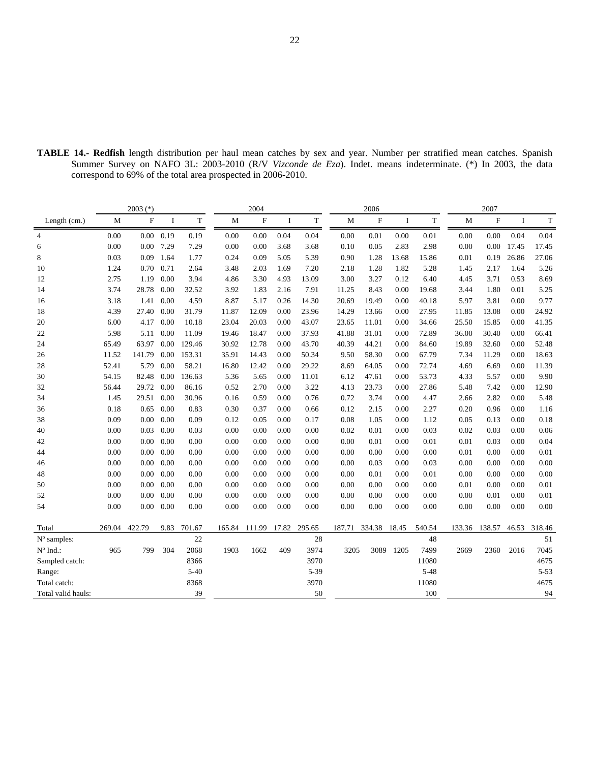| <b>TABLE 14.- Redfish</b> length distribution per haul mean catches by sex and year. Number per stratified mean catches. Spanish |                                                              |  |  |  |  |  |  |  |
|----------------------------------------------------------------------------------------------------------------------------------|--------------------------------------------------------------|--|--|--|--|--|--|--|
| Summer Survey on NAFO 3L: 2003-2010 (R/V Vizconde de Eza). Indet. means indeterminate. (*) In 2003, the data                     |                                                              |  |  |  |  |  |  |  |
|                                                                                                                                  | correspond to 69% of the total area prospected in 2006-2010. |  |  |  |  |  |  |  |
|                                                                                                                                  |                                                              |  |  |  |  |  |  |  |

|                    |        | $2003$ (*)  |                   |          |        | 2004   |       |        |        | 2006         |          |          |       | 2007          |       |          |
|--------------------|--------|-------------|-------------------|----------|--------|--------|-------|--------|--------|--------------|----------|----------|-------|---------------|-------|----------|
| Length (cm.)       | M      | $\mathbf F$ | $\mathbf{I}$      | T        | M      | F      | I     | T      | M      | $\mathbf{F}$ | <b>I</b> | T        | М     | $\mathbf F$   | L     | T        |
| $\overline{4}$     | 0.00   |             | $0.00 \quad 0.19$ | 0.19     | 0.00   | 0.00   | 0.04  | 0.04   | 0.00   | 0.01         | 0.00     | 0.01     | 0.00  | 0.00          | 0.04  | 0.04     |
| 6                  | 0.00   | $0.00\,$    | 7.29              | 7.29     | 0.00   | 0.00   | 3.68  | 3.68   | 0.10   | 0.05         | 2.83     | 2.98     | 0.00  | 0.00          | 17.45 | 17.45    |
| 8                  | 0.03   | 0.09        | 1.64              | 1.77     | 0.24   | 0.09   | 5.05  | 5.39   | 0.90   | 1.28         | 13.68    | 15.86    | 0.01  | 0.19          | 26.86 | 27.06    |
| 10                 | 1.24   | 0.70        | 0.71              | 2.64     | 3.48   | 2.03   | 1.69  | 7.20   | 2.18   | 1.28         | 1.82     | 5.28     | 1.45  | 2.17          | 1.64  | 5.26     |
| 12                 | 2.75   | 1.19        | 0.00              | 3.94     | 4.86   | 3.30   | 4.93  | 13.09  | 3.00   | 3.27         | 0.12     | 6.40     | 4.45  | 3.71          | 0.53  | 8.69     |
| 14                 | 3.74   | 28.78       | 0.00              | 32.52    | 3.92   | 1.83   | 2.16  | 7.91   | 11.25  | 8.43         | 0.00     | 19.68    | 3.44  | 1.80          | 0.01  | 5.25     |
| 16                 | 3.18   | 1.41        | 0.00              | 4.59     | 8.87   | 5.17   | 0.26  | 14.30  | 20.69  | 19.49        | 0.00     | 40.18    | 5.97  | 3.81          | 0.00  | 9.77     |
| 18                 | 4.39   | 27.40       | 0.00              | 31.79    | 11.87  | 12.09  | 0.00  | 23.96  | 14.29  | 13.66        | 0.00     | 27.95    | 11.85 | 13.08         | 0.00  | 24.92    |
| 20                 | 6.00   | 4.17        | 0.00              | 10.18    | 23.04  | 20.03  | 0.00  | 43.07  | 23.65  | 11.01        | 0.00     | 34.66    | 25.50 | 15.85         | 0.00  | 41.35    |
| 22                 | 5.98   | 5.11        | 0.00              | 11.09    | 19.46  | 18.47  | 0.00  | 37.93  | 41.88  | 31.01        | 0.00     | 72.89    | 36.00 | 30.40         | 0.00  | 66.41    |
| 24                 | 65.49  | 63.97       | 0.00              | 129.46   | 30.92  | 12.78  | 0.00  | 43.70  | 40.39  | 44.21        | 0.00     | 84.60    | 19.89 | 32.60         | 0.00  | 52.48    |
| 26                 | 11.52  | 141.79      | 0.00              | 153.31   | 35.91  | 14.43  | 0.00  | 50.34  | 9.50   | 58.30        | 0.00     | 67.79    | 7.34  | 11.29         | 0.00  | 18.63    |
| 28                 | 52.41  | 5.79        | 0.00              | 58.21    | 16.80  | 12.42  | 0.00  | 29.22  | 8.69   | 64.05        | 0.00     | 72.74    | 4.69  | 6.69          | 0.00  | 11.39    |
| 30                 | 54.15  | 82.48       | 0.00              | 136.63   | 5.36   | 5.65   | 0.00  | 11.01  | 6.12   | 47.61        | 0.00     | 53.73    | 4.33  | 5.57          | 0.00  | 9.90     |
| 32                 | 56.44  | 29.72       | 0.00              | 86.16    | 0.52   | 2.70   | 0.00  | 3.22   | 4.13   | 23.73        | 0.00     | 27.86    | 5.48  | 7.42          | 0.00  | 12.90    |
| 34                 | 1.45   | 29.51       | 0.00              | 30.96    | 0.16   | 0.59   | 0.00  | 0.76   | 0.72   | 3.74         | 0.00     | 4.47     | 2.66  | 2.82          | 0.00  | 5.48     |
| 36                 | 0.18   | 0.65        | 0.00              | 0.83     | 0.30   | 0.37   | 0.00  | 0.66   | 0.12   | 2.15         | 0.00     | 2.27     | 0.20  | 0.96          | 0.00  | 1.16     |
| 38                 | 0.09   | 0.00        | 0.00              | 0.09     | 0.12   | 0.05   | 0.00  | 0.17   | 0.08   | 1.05         | 0.00     | 1.12     | 0.05  | 0.13          | 0.00  | 0.18     |
| 40                 | 0.00   | 0.03        | 0.00              | 0.03     | 0.00   | 0.00   | 0.00  | 0.00   | 0.02   | 0.01         | 0.00     | 0.03     | 0.02  | 0.03          | 0.00  | 0.06     |
| 42                 | 0.00   | 0.00        | 0.00              | 0.00     | 0.00   | 0.00   | 0.00  | 0.00   | 0.00   | 0.01         | 0.00     | 0.01     | 0.01  | 0.03          | 0.00  | 0.04     |
| 44                 | 0.00   | 0.00        | 0.00              | 0.00     | 0.00   | 0.00   | 0.00  | 0.00   | 0.00   | 0.00         | 0.00     | 0.00     | 0.01  | 0.00          | 0.00  | 0.01     |
| 46                 | 0.00   | 0.00        | 0.00              | 0.00     | 0.00   | 0.00   | 0.00  | 0.00   | 0.00   | 0.03         | 0.00     | 0.03     | 0.00  | 0.00          | 0.00  | 0.00     |
| 48                 | 0.00   | 0.00        | 0.00              | 0.00     | 0.00   | 0.00   | 0.00  | 0.00   | 0.00   | 0.01         | 0.00     | 0.01     | 0.00  | 0.00          | 0.00  | 0.00     |
| 50                 | 0.00   | 0.00        | 0.00              | 0.00     | 0.00   | 0.00   | 0.00  | 0.00   | 0.00   | 0.00         | 0.00     | 0.00     | 0.01  | 0.00          | 0.00  | 0.01     |
| 52                 | 0.00   | 0.00        | 0.00              | 0.00     | 0.00   | 0.00   | 0.00  | 0.00   | 0.00   | 0.00         | 0.00     | 0.00     | 0.00  | 0.01          | 0.00  | 0.01     |
| 54                 | 0.00   |             | $0.00\ 0.00$      | 0.00     | 0.00   | 0.00   | 0.00  | 0.00   | 0.00   | 0.00         | 0.00     | 0.00     | 0.00  | 0.00          | 0.00  | $0.00\,$ |
| Total              | 269.04 | 422.79      | 9.83              | 701.67   | 165.84 | 111.99 | 17.82 | 295.65 | 187.71 | 334.38       | 18.45    | 540.54   |       | 133.36 138.57 | 46.53 | 318.46   |
| N° samples:        |        |             |                   | $22\,$   |        |        |       | 28     |        |              |          | 48       |       |               |       | 51       |
| $N^{\circ}$ Ind.:  | 965    | 799         | 304               | 2068     | 1903   | 1662   | 409   | 3974   | 3205   | 3089         | 1205     | 7499     | 2669  | 2360          | 2016  | 7045     |
| Sampled catch:     |        |             |                   | 8366     |        |        |       | 3970   |        |              |          | 11080    |       |               |       | 4675     |
| Range:             |        |             |                   | $5 - 40$ |        |        |       | 5-39   |        |              |          | $5 - 48$ |       |               |       | $5 - 53$ |
| Total catch:       |        |             |                   | 8368     |        |        |       | 3970   |        |              |          | 11080    |       |               |       | 4675     |
| Total valid hauls: |        |             |                   | 39       |        |        |       | 50     |        |              |          | 100      |       |               |       | 94       |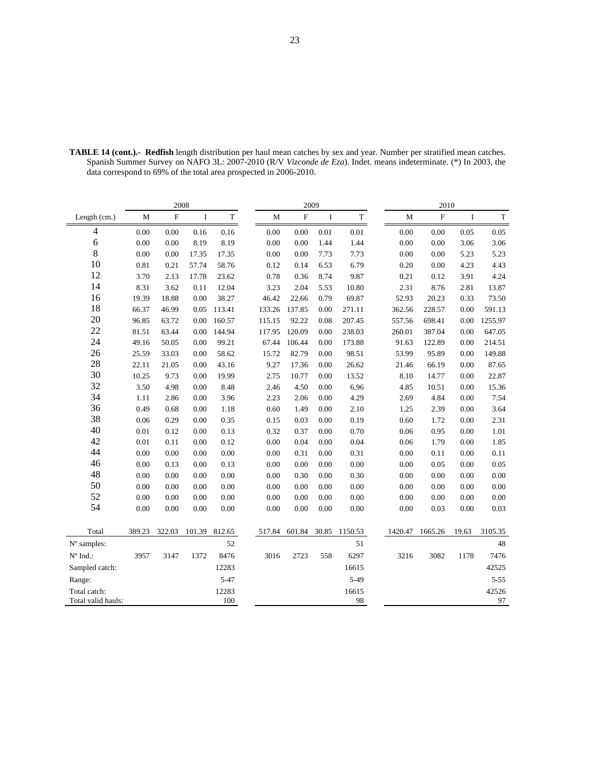|                                    |          | 2008        |          |              |             | 2009      |          |             |             | 2010      |          |             |
|------------------------------------|----------|-------------|----------|--------------|-------------|-----------|----------|-------------|-------------|-----------|----------|-------------|
| Length (cm.)                       | M        | $\mathbf F$ | $\bf{I}$ | $\mathbf T$  | $\mathbf M$ | ${\bf F}$ | $\bf{I}$ | $\mathbf T$ | $\mathbf M$ | ${\bf F}$ | $\bf I$  | $\mathbf T$ |
| $\overline{4}$                     | $0.00\,$ | 0.00        | 0.16     | 0.16         | $0.00\,$    | 0.00      | 0.01     | $0.01\,$    | $0.00\,$    | 0.00      | $0.05\,$ | 0.05        |
| $\sqrt{6}$                         | 0.00     | 0.00        | 8.19     | 8.19         | 0.00        | 0.00      | 1.44     | 1.44        | $0.00\,$    | 0.00      | 3.06     | 3.06        |
| $\,8\,$                            | 0.00     | 0.00        | 17.35    | 17.35        | 0.00        | 0.00      | 7.73     | 7.73        | 0.00        | 0.00      | 5.23     | 5.23        |
| 10                                 | 0.81     | 0.21        | 57.74    | 58.76        | 0.12        | 0.14      | 6.53     | 6.79        | 0.20        | 0.00      | 4.23     | 4.43        |
| 12                                 | 3.70     | 2.13        | 17.78    | 23.62        | 0.78        | 0.36      | 8.74     | 9.87        | 0.21        | 0.12      | 3.91     | 4.24        |
| 14                                 | 8.31     | 3.62        | 0.11     | 12.04        | 3.23        | 2.04      | 5.53     | 10.80       | 2.31        | 8.76      | 2.81     | 13.87       |
| 16                                 | 19.39    | 18.88       | 0.00     | 38.27        | 46.42       | 22.66     | 0.79     | 69.87       | 52.93       | 20.23     | 0.33     | 73.50       |
| 18                                 | 66.37    | 46.99       | 0.05     | 113.41       | 133.26      | 137.85    | 0.00     | 271.11      | 362.56      | 228.57    | 0.00     | 591.13      |
| 20                                 | 96.85    | 63.72       | 0.00     | 160.57       | 115.15      | 92.22     | 0.08     | 207.45      | 557.56      | 698.41    | 0.00     | 1255.97     |
| 22                                 | 81.51    | 63.44       | 0.00     | 144.94       | 117.95      | 120.09    | 0.00     | 238.03      | 260.01      | 387.04    | 0.00     | 647.05      |
| 24                                 | 49.16    | 50.05       | 0.00     | 99.21        | 67.44       | 106.44    | 0.00     | 173.88      | 91.63       | 122.89    | 0.00     | 214.51      |
| 26                                 | 25.59    | 33.03       | 0.00     | 58.62        | 15.72       | 82.79     | 0.00     | 98.51       | 53.99       | 95.89     | 0.00     | 149.88      |
| 28                                 | 22.11    | 21.05       | 0.00     | 43.16        | 9.27        | 17.36     | 0.00     | 26.62       | 21.46       | 66.19     | 0.00     | 87.65       |
| 30                                 | 10.25    | 9.73        | 0.00     | 19.99        | 2.75        | 10.77     | 0.00     | 13.52       | 8.10        | 14.77     | 0.00     | 22.87       |
| 32                                 | 3.50     | 4.98        | 0.00     | 8.48         | 2.46        | 4.50      | 0.00     | 6.96        | 4.85        | 10.51     | 0.00     | 15.36       |
| 34                                 | 1.11     | 2.86        | 0.00     | 3.96         | 2.23        | 2.06      | 0.00     | 4.29        | 2.69        | 4.84      | 0.00     | 7.54        |
| 36                                 | 0.49     | 0.68        | 0.00     | 1.18         | 0.60        | 1.49      | 0.00     | 2.10        | 1.25        | 2.39      | 0.00     | 3.64        |
| 38                                 | 0.06     | 0.29        | 0.00     | 0.35         | 0.15        | 0.03      | 0.00     | 0.19        | 0.60        | 1.72      | 0.00     | 2.31        |
| 40                                 | 0.01     | 0.12        | 0.00     | 0.13         | 0.32        | 0.37      | 0.00     | 0.70        | 0.06        | 0.95      | 0.00     | 1.01        |
| 42                                 | 0.01     | 0.11        | 0.00     | 0.12         | 0.00        | 0.04      | 0.00     | 0.04        | 0.06        | 1.79      | 0.00     | 1.85        |
| 44                                 | 0.00     | 0.00        | 0.00     | 0.00         | 0.00        | 0.31      | 0.00     | 0.31        | 0.00        | 0.11      | 0.00     | 0.11        |
| 46                                 | 0.00     | 0.13        | 0.00     | 0.13         | 0.00        | 0.00      | 0.00     | 0.00        | 0.00        | 0.05      | 0.00     | 0.05        |
| 48                                 | 0.00     | 0.00        | 0.00     | 0.00         | 0.00        | 0.30      | 0.00     | 0.30        | 0.00        | 0.00      | 0.00     | 0.00        |
| 50                                 | 0.00     | 0.00        | 0.00     | $0.00\,$     | 0.00        | 0.00      | 0.00     | 0.00        | 0.00        | 0.00      | 0.00     | $0.00\,$    |
| 52                                 | 0.00     | 0.00        | 0.00     | $0.00\,$     | 0.00        | 0.00      | 0.00     | 0.00        | $0.00\,$    | 0.00      | 0.00     | $0.00\,$    |
| 54                                 | 0.00     | 0.00        | 0.00     | 0.00         | 0.00        | 0.00      | 0.00     | 0.00        | 0.00        | 0.03      | 0.00     | 0.03        |
|                                    |          |             |          |              |             |           |          |             |             |           |          |             |
| Total                              | 389.23   | 322.03      | 101.39   | 812.65       | 517.84      | 601.84    | 30.85    | 1150.53     | 1420.47     | 1665.26   | 19.63    | 3105.35     |
| N° samples:                        |          |             |          | 52           |             |           |          | 51          |             |           |          | 48          |
| $N^{\circ}$ Ind.:                  | 3957     | 3147        | 1372     | 8476         | 3016        | 2723      | 558      | 6297        | 3216        | 3082      | 1178     | 7476        |
| Sampled catch:                     |          |             |          | 12283        |             |           |          | 16615       |             |           |          | 42525       |
| Range:                             |          |             |          | $5 - 47$     |             |           |          | $5-49$      |             |           |          | $5 - 55$    |
| Total catch:<br>Total valid hauls: |          |             |          | 12283<br>100 |             |           |          | 16615<br>98 |             |           |          | 42526<br>97 |

**TABLE 14 (cont.).- Redfish** length distribution per haul mean catches by sex and year. Number per stratified mean catches. Spanish Summer Survey on NAFO 3L: 2007-2010 (R/V *Vizconde de Eza*). Indet. means indeterminate. (\*) In 2003, the data correspond to 69% of the total area prospected in 2006-2010.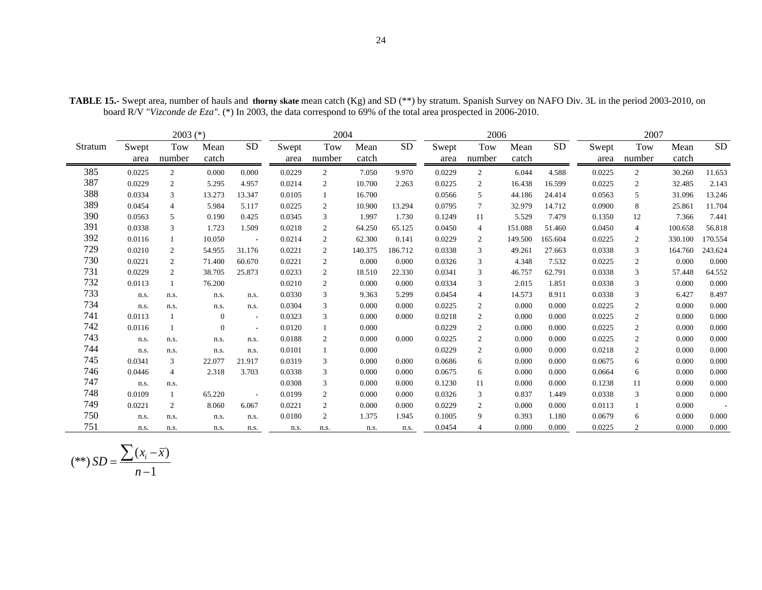|         |        | $2003$ (*)     |                |                          |        | 2004           |         |           |        | 2006            |         |           |        | 2007           |         |           |
|---------|--------|----------------|----------------|--------------------------|--------|----------------|---------|-----------|--------|-----------------|---------|-----------|--------|----------------|---------|-----------|
| Stratum | Swept  | Tow            | Mean           | <b>SD</b>                | Swept  | Tow            | Mean    | <b>SD</b> | Swept  | Tow             | Mean    | <b>SD</b> | Swept  | Tow            | Mean    | <b>SD</b> |
|         | area   | number         | catch          |                          | area   | number         | catch   |           | area   | number          | catch   |           | area   | number         | catch   |           |
| 385     | 0.0225 | $\overline{c}$ | 0.000          | 0.000                    | 0.0229 | $\overline{c}$ | 7.050   | 9.970     | 0.0229 | 2               | 6.044   | 4.588     | 0.0225 | 2              | 30.260  | 11.653    |
| 387     | 0.0229 | $\overline{c}$ | 5.295          | 4.957                    | 0.0214 | 2              | 10.700  | 2.263     | 0.0225 | $\overline{c}$  | 16.438  | 16.599    | 0.0225 | 2              | 32.485  | 2.143     |
| 388     | 0.0334 | 3              | 13.273         | 13.347                   | 0.0105 |                | 16.700  |           | 0.0566 | 5               | 44.186  | 24.414    | 0.0563 | 5              | 31.096  | 13.246    |
| 389     | 0.0454 | $\overline{4}$ | 5.984          | 5.117                    | 0.0225 | 2              | 10.900  | 13.294    | 0.0795 | $7\overline{ }$ | 32.979  | 14.712    | 0.0900 | 8              | 25.861  | 11.704    |
| 390     | 0.0563 | 5              | 0.190          | 0.425                    | 0.0345 | 3              | 1.997   | 1.730     | 0.1249 | 11              | 5.529   | 7.479     | 0.1350 | 12             | 7.366   | 7.441     |
| 391     | 0.0338 | 3              | 1.723          | 1.509                    | 0.0218 | $\overline{c}$ | 64.250  | 65.125    | 0.0450 | $\overline{4}$  | 151.088 | 51.460    | 0.0450 | $\overline{4}$ | 100.658 | 56.818    |
| 392     | 0.0116 |                | 10.050         | $\sim$                   | 0.0214 | 2              | 62.300  | 0.141     | 0.0229 | $\overline{2}$  | 149.500 | 165.604   | 0.0225 | 2              | 330.100 | 170.554   |
| 729     | 0.0210 | 2              | 54.955         | 31.176                   | 0.0221 | 2              | 140.375 | 186.712   | 0.0338 | 3               | 49.261  | 27.663    | 0.0338 | 3              | 164.760 | 243.624   |
| 730     | 0.0221 | $\overline{c}$ | 71.400         | 60.670                   | 0.0221 | 2              | 0.000   | 0.000     | 0.0326 | 3               | 4.348   | 7.532     | 0.0225 | 2              | 0.000   | 0.000     |
| 731     | 0.0229 | $\overline{c}$ | 38.705         | 25.873                   | 0.0233 | $\overline{c}$ | 18.510  | 22.330    | 0.0341 | 3               | 46.757  | 62.791    | 0.0338 | 3              | 57.448  | 64.552    |
| 732     | 0.0113 |                | 76.200         |                          | 0.0210 | $\overline{c}$ | 0.000   | 0.000     | 0.0334 | 3               | 2.015   | 1.851     | 0.0338 | 3              | 0.000   | 0.000     |
| 733     | n.s.   | n.s.           | n.s.           | n.s.                     | 0.0330 | 3              | 9.363   | 5.299     | 0.0454 | $\overline{4}$  | 14.573  | 8.911     | 0.0338 | 3              | 6.427   | 8.497     |
| 734     | n.s.   | n.s.           | n.s.           | n.s.                     | 0.0304 | 3              | 0.000   | 0.000     | 0.0225 | $\overline{c}$  | 0.000   | 0.000     | 0.0225 | $\overline{2}$ | 0.000   | 0.000     |
| 741     | 0.0113 |                | $\mathbf{0}$   | $\sim$                   | 0.0323 | 3              | 0.000   | 0.000     | 0.0218 | $\overline{c}$  | 0.000   | 0.000     | 0.0225 | $\overline{2}$ | 0.000   | 0.000     |
| 742     | 0.0116 |                | $\overline{0}$ | $\overline{\phantom{a}}$ | 0.0120 |                | 0.000   |           | 0.0229 | $\overline{c}$  | 0.000   | 0.000     | 0.0225 | $\overline{c}$ | 0.000   | 0.000     |
| 743     | n.s.   | n.s.           | n.s.           | n.s.                     | 0.0188 | 2              | 0.000   | 0.000     | 0.0225 | 2               | 0.000   | 0.000     | 0.0225 | 2              | 0.000   | 0.000     |
| 744     | n.s.   | n.s.           | n.s.           | n.s.                     | 0.0101 | 1              | 0.000   |           | 0.0229 | $\overline{2}$  | 0.000   | 0.000     | 0.0218 | 2              | 0.000   | 0.000     |
| 745     | 0.0341 | 3              | 22.077         | 21.917                   | 0.0319 | 3              | 0.000   | 0.000     | 0.0686 | 6               | 0.000   | 0.000     | 0.0675 | 6              | 0.000   | 0.000     |
| 746     | 0.0446 | $\overline{4}$ | 2.318          | 3.703                    | 0.0338 | 3              | 0.000   | 0.000     | 0.0675 | 6               | 0.000   | 0.000     | 0.0664 | 6              | 0.000   | 0.000     |
| 747     | n.s.   | n.s.           |                |                          | 0.0308 | 3              | 0.000   | 0.000     | 0.1230 | 11              | 0.000   | 0.000     | 0.1238 | 11             | 0.000   | 0.000     |
| 748     | 0.0109 | 1              | 65.220         | $\overline{\phantom{a}}$ | 0.0199 | 2              | 0.000   | 0.000     | 0.0326 | 3               | 0.837   | 1.449     | 0.0338 | 3              | 0.000   | 0.000     |
| 749     | 0.0221 | 2              | 8.060          | 6.067                    | 0.0221 | $\overline{c}$ | 0.000   | 0.000     | 0.0229 | 2               | 0.000   | 0.000     | 0.0113 |                | 0.000   |           |
| 750     | n.s.   | n.s.           | n.s.           | n.s.                     | 0.0180 | $\overline{c}$ | 1.375   | 1.945     | 0.1005 | 9               | 0.393   | 1.180     | 0.0679 | 6              | 0.000   | 0.000     |
| 751     | n.s.   | n.s.           | n.s.           | n.s.                     | n.s.   | n.s.           | n.s.    | n.s.      | 0.0454 | $\overline{4}$  | 0.000   | 0.000     | 0.0225 | 2              | 0.000   | 0.000     |

**TABLE 15.-** Swept area, number of hauls and **thorny skate** mean catch (Kg) and SD (\*\*) by stratum. Spanish Survey on NAFO Div. 3L in the period 2003-2010, on board R/V "*Vizconde de Eza"*. (\*) In 2003, the data correspond to 69% of the total area prospected in 2006-2010.

$$
(**) SD = \frac{\sum (x_i - \overline{x})}{n-1}
$$

 $\overline{\phantom{a}}$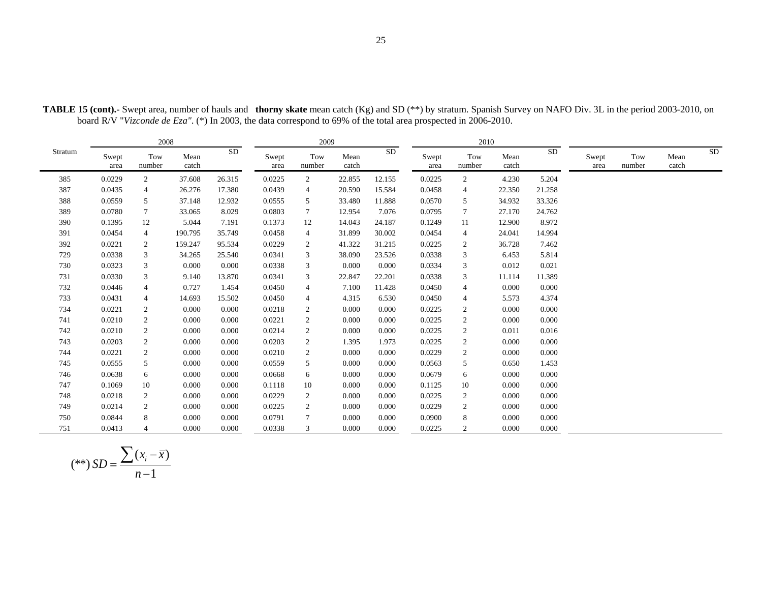|         |               | 2008           |               |        |               | 2009           |               |            |               | 2010           |               |        |               |               |               |    |
|---------|---------------|----------------|---------------|--------|---------------|----------------|---------------|------------|---------------|----------------|---------------|--------|---------------|---------------|---------------|----|
| Stratum | Swept<br>area | Tow<br>number  | Mean<br>catch | SD     | Swept<br>area | Tow<br>number  | Mean<br>catch | ${\rm SD}$ | Swept<br>area | Tow<br>number  | Mean<br>catch | SD     | Swept<br>area | Tow<br>number | Mean<br>catch | SD |
| 385     | 0.0229        | 2              | 37.608        | 26.315 | 0.0225        | $\overline{2}$ | 22.855        | 12.155     | 0.0225        | $\overline{2}$ | 4.230         | 5.204  |               |               |               |    |
| 387     | 0.0435        | $\overline{4}$ | 26.276        | 17.380 | 0.0439        | 4              | 20.590        | 15.584     | 0.0458        | 4              | 22.350        | 21.258 |               |               |               |    |
| 388     | 0.0559        | 5              | 37.148        | 12.932 | 0.0555        | 5              | 33.480        | 11.888     | 0.0570        | 5              | 34.932        | 33.326 |               |               |               |    |
| 389     | 0.0780        | 7              | 33.065        | 8.029  | 0.0803        | $\tau$         | 12.954        | 7.076      | 0.0795        | 7              | 27.170        | 24.762 |               |               |               |    |
| 390     | 0.1395        | 12             | 5.044         | 7.191  | 0.1373        | 12             | 14.043        | 24.187     | 0.1249        | 11             | 12.900        | 8.972  |               |               |               |    |
| 391     | 0.0454        | $\overline{4}$ | 190.795       | 35.749 | 0.0458        | 4              | 31.899        | 30.002     | 0.0454        | $\overline{4}$ | 24.041        | 14.994 |               |               |               |    |
| 392     | 0.0221        | 2              | 159.247       | 95.534 | 0.0229        | 2              | 41.322        | 31.215     | 0.0225        | 2              | 36.728        | 7.462  |               |               |               |    |
| 729     | 0.0338        | 3              | 34.265        | 25.540 | 0.0341        | 3              | 38.090        | 23.526     | 0.0338        | 3              | 6.453         | 5.814  |               |               |               |    |
| 730     | 0.0323        | 3              | 0.000         | 0.000  | 0.0338        | 3              | 0.000         | 0.000      | 0.0334        | 3              | 0.012         | 0.021  |               |               |               |    |
| 731     | 0.0330        | 3              | 9.140         | 13.870 | 0.0341        | 3              | 22.847        | 22.201     | 0.0338        | 3              | 11.114        | 11.389 |               |               |               |    |
| 732     | 0.0446        | $\overline{4}$ | 0.727         | 1.454  | 0.0450        | 4              | 7.100         | 11.428     | 0.0450        | 4              | 0.000         | 0.000  |               |               |               |    |
| 733     | 0.0431        | $\overline{4}$ | 14.693        | 15.502 | 0.0450        | 4              | 4.315         | 6.530      | 0.0450        | 4              | 5.573         | 4.374  |               |               |               |    |
| 734     | 0.0221        | $\overline{2}$ | 0.000         | 0.000  | 0.0218        | 2              | 0.000         | 0.000      | 0.0225        | 2              | 0.000         | 0.000  |               |               |               |    |
| 741     | 0.0210        | 2              | 0.000         | 0.000  | 0.0221        | 2              | 0.000         | 0.000      | 0.0225        | $\overline{2}$ | 0.000         | 0.000  |               |               |               |    |
| 742     | 0.0210        | $\overline{c}$ | 0.000         | 0.000  | 0.0214        | 2              | 0.000         | 0.000      | 0.0225        | 2              | 0.011         | 0.016  |               |               |               |    |
| 743     | 0.0203        | $\overline{2}$ | 0.000         | 0.000  | 0.0203        | 2              | 1.395         | 1.973      | 0.0225        | $\overline{2}$ | 0.000         | 0.000  |               |               |               |    |
| 744     | 0.0221        | $\overline{2}$ | 0.000         | 0.000  | 0.0210        | 2              | 0.000         | 0.000      | 0.0229        | $\overline{c}$ | 0.000         | 0.000  |               |               |               |    |
| 745     | 0.0555        | 5              | 0.000         | 0.000  | 0.0559        | 5              | 0.000         | 0.000      | 0.0563        | 5              | 0.650         | 1.453  |               |               |               |    |
| 746     | 0.0638        | 6              | 0.000         | 0.000  | 0.0668        | 6              | 0.000         | 0.000      | 0.0679        | 6              | 0.000         | 0.000  |               |               |               |    |
| 747     | 0.1069        | 10             | 0.000         | 0.000  | 0.1118        | 10             | 0.000         | 0.000      | 0.1125        | 10             | 0.000         | 0.000  |               |               |               |    |
| 748     | 0.0218        | 2              | 0.000         | 0.000  | 0.0229        | $\overline{2}$ | 0.000         | 0.000      | 0.0225        | $\overline{2}$ | 0.000         | 0.000  |               |               |               |    |
| 749     | 0.0214        | 2              | 0.000         | 0.000  | 0.0225        | 2              | 0.000         | 0.000      | 0.0229        | 2              | 0.000         | 0.000  |               |               |               |    |
| 750     | 0.0844        | 8              | 0.000         | 0.000  | 0.0791        | $\tau$         | 0.000         | 0.000      | 0.0900        | 8              | 0.000         | 0.000  |               |               |               |    |
| 751     | 0.0413        |                | 0.000         | 0.000  | 0.0338        | 3              | 0.000         | 0.000      | 0.0225        | $\overline{c}$ | 0.000         | 0.000  |               |               |               |    |

**TABLE 15 (cont).-** Swept area, number of hauls and **thorny skate** mean catch (Kg) and SD (\*\*) by stratum. Spanish Survey on NAFO Div. 3L in the period 2003-2010, on board R/V "*Vizconde de Eza"*. (\*) In 2003, the data correspond to 69% of the total area prospected in 2006-2010.

$$
(**) SD = \frac{\sum (x_i - \overline{x})}{n - 1}
$$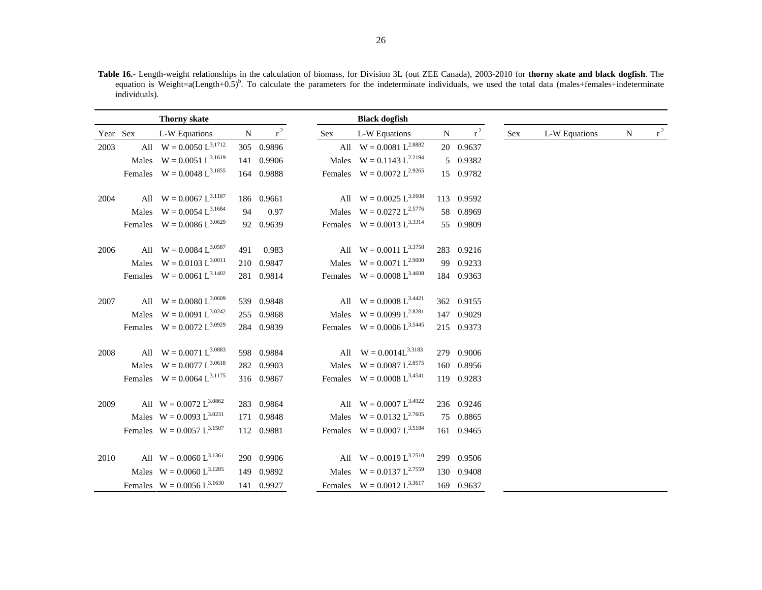**Table 16.-** Length-weight relationships in the calculation of biomass, for Division 3L (out ZEE Canada), 2003-2010 for **thorny skate and black dogfish**. The equation is Weight=a(Length+0.5)<sup>b</sup>. To calculate the parameters for the indeterminate individuals, we used the total data (males+females+indeterminate individuals).

|          | <b>Thorny skate</b>             |    |            |     | <b>Black dogfish</b>            |   |            |     |               |           |       |
|----------|---------------------------------|----|------------|-----|---------------------------------|---|------------|-----|---------------|-----------|-------|
| Year Sex | L-W Equations                   | N  | $r^2$      | Sex | L-W Equations                   | N | $r^2$      | Sex | L-W Equations | ${\bf N}$ | $r^2$ |
| 2003     | All $W = 0.0050 L^{3.1712}$     |    | 305 0.9896 |     | All $W = 0.0081 L^{2.8882}$     |   | 20 0.9637  |     |               |           |       |
|          | Males $W = 0.0051 L^{3.1619}$   |    | 141 0.9906 |     | Males $W = 0.1143 L^{2.2194}$   |   | 5 0.9382   |     |               |           |       |
|          | Females $W = 0.0048 L^{3.1855}$ |    | 164 0.9888 |     | Females $W = 0.0072 L^{2.9265}$ |   | 15 0.9782  |     |               |           |       |
| 2004     | All $W = 0.0067 L^{3.1187}$     |    | 186 0.9661 |     | All $W = 0.0025 L^{3.1608}$     |   | 113 0.9592 |     |               |           |       |
|          | Males $W = 0.0054 L^{3.1684}$   | 94 | 0.97       |     | Males $W = 0.0272 L^{2.5776}$   |   | 58 0.8969  |     |               |           |       |
|          | Females $W = 0.0086 L^{3.0629}$ |    | 92 0.9639  |     | Females $W = 0.0013 L^{3.3314}$ |   | 55 0.9809  |     |               |           |       |
| 2006     | All $W = 0.0084 L^{3.0587}$     |    | 491 0.983  |     | All $W = 0.0011 L^{3.3758}$     |   | 283 0.9216 |     |               |           |       |
|          | Males $W = 0.0103 L^{3.0011}$   |    | 210 0.9847 |     | Males $W = 0.0071 L^{2.9000}$   |   | 99 0.9233  |     |               |           |       |
|          | Females $W = 0.0061 L^{3.1402}$ |    | 281 0.9814 |     | Females $W = 0.0008 L^{3.4608}$ |   | 184 0.9363 |     |               |           |       |
| 2007     | All $W = 0.0080 L^{3.0609}$     |    | 539 0.9848 |     | All $W = 0.0008 L^{3.4421}$     |   | 362 0.9155 |     |               |           |       |
|          | Males $W = 0.0091 L^{3.0242}$   |    | 255 0.9868 |     | Males $W = 0.0099 L^{2.8281}$   |   | 147 0.9029 |     |               |           |       |
|          | Females $W = 0.0072 L^{3.0929}$ |    | 284 0.9839 |     | Females $W = 0.0006 L^{3.5445}$ |   | 215 0.9373 |     |               |           |       |
| 2008     | All $W = 0.0071 L^{3.0883}$     |    | 598 0.9884 |     | All $W = 0.0014L^{3.3183}$      |   | 279 0.9006 |     |               |           |       |
|          | Males $W = 0.0077 L^{3.0618}$   |    | 282 0.9903 |     | Males $W = 0.0087 L^{2.8575}$   |   | 160 0.8956 |     |               |           |       |
|          | Females $W = 0.0064 L^{3.1175}$ |    | 316 0.9867 |     | Females $W = 0.0008 L^{3.4541}$ |   | 119 0.9283 |     |               |           |       |
| 2009     | All $W = 0.0072 L^{3.0862}$     |    | 283 0.9864 |     | All $W = 0.0007 L^{3.4922}$     |   | 236 0.9246 |     |               |           |       |
|          | Males $W = 0.0093 L^{3.0231}$   |    | 171 0.9848 |     | Males $W = 0.0132 L^{2.7605}$   |   | 75 0.8865  |     |               |           |       |
|          | Females $W = 0.0057 L^{3.1507}$ |    | 112 0.9881 |     | Females $W = 0.0007 L^{3.5184}$ |   | 161 0.9465 |     |               |           |       |
| 2010     | All $W = 0.0060 L^{3.1361}$     |    | 290 0.9906 |     | All $W = 0.0019 L^{3.2510}$     |   | 299 0.9506 |     |               |           |       |
|          | Males $W = 0.0060 L^{3.1285}$   |    | 149 0.9892 |     | Males $W = 0.0137 L^{2.7559}$   |   | 130 0.9408 |     |               |           |       |
|          | Females $W = 0.0056 L^{3.1630}$ |    | 141 0.9927 |     | Females $W = 0.0012 L^{3.3617}$ |   | 169 0.9637 |     |               |           |       |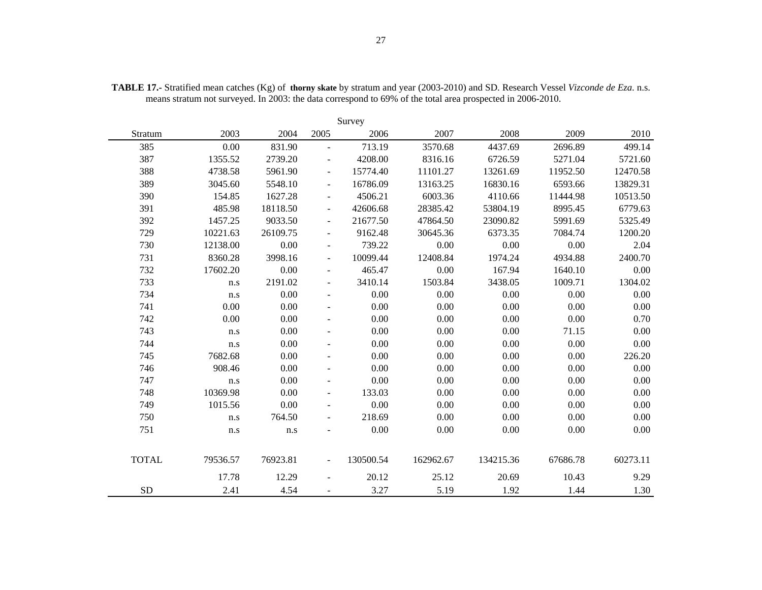| Survey       |          |          |                              |           |           |           |          |          |  |  |  |  |  |
|--------------|----------|----------|------------------------------|-----------|-----------|-----------|----------|----------|--|--|--|--|--|
| Stratum      | 2003     | 2004     | 2005                         | 2006      | 2007      | 2008      | 2009     | 2010     |  |  |  |  |  |
| 385          | 0.00     | 831.90   | $\overline{a}$               | 713.19    | 3570.68   | 4437.69   | 2696.89  | 499.14   |  |  |  |  |  |
| 387          | 1355.52  | 2739.20  |                              | 4208.00   | 8316.16   | 6726.59   | 5271.04  | 5721.60  |  |  |  |  |  |
| 388          | 4738.58  | 5961.90  |                              | 15774.40  | 11101.27  | 13261.69  | 11952.50 | 12470.58 |  |  |  |  |  |
| 389          | 3045.60  | 5548.10  | $\overline{\phantom{a}}$     | 16786.09  | 13163.25  | 16830.16  | 6593.66  | 13829.31 |  |  |  |  |  |
| 390          | 154.85   | 1627.28  |                              | 4506.21   | 6003.36   | 4110.66   | 11444.98 | 10513.50 |  |  |  |  |  |
| 391          | 485.98   | 18118.50 | $\qquad \qquad \blacksquare$ | 42606.68  | 28385.42  | 53804.19  | 8995.45  | 6779.63  |  |  |  |  |  |
| 392          | 1457.25  | 9033.50  | $\overline{\phantom{a}}$     | 21677.50  | 47864.50  | 23090.82  | 5991.69  | 5325.49  |  |  |  |  |  |
| 729          | 10221.63 | 26109.75 |                              | 9162.48   | 30645.36  | 6373.35   | 7084.74  | 1200.20  |  |  |  |  |  |
| 730          | 12138.00 | 0.00     | $\blacksquare$               | 739.22    | 0.00      | $0.00\,$  | 0.00     | 2.04     |  |  |  |  |  |
| 731          | 8360.28  | 3998.16  |                              | 10099.44  | 12408.84  | 1974.24   | 4934.88  | 2400.70  |  |  |  |  |  |
| 732          | 17602.20 | 0.00     |                              | 465.47    | 0.00      | 167.94    | 1640.10  | 0.00     |  |  |  |  |  |
| 733          | n.s      | 2191.02  |                              | 3410.14   | 1503.84   | 3438.05   | 1009.71  | 1304.02  |  |  |  |  |  |
| 734          | n.s      | 0.00     |                              | 0.00      | 0.00      | $0.00\,$  | 0.00     | 0.00     |  |  |  |  |  |
| 741          | 0.00     | 0.00     |                              | 0.00      | 0.00      | 0.00      | 0.00     | 0.00     |  |  |  |  |  |
| 742          | 0.00     | 0.00     |                              | 0.00      | 0.00      | 0.00      | 0.00     | 0.70     |  |  |  |  |  |
| 743          | n.s      | 0.00     |                              | 0.00      | 0.00      | 0.00      | 71.15    | 0.00     |  |  |  |  |  |
| 744          | n.s      | 0.00     |                              | 0.00      | 0.00      | 0.00      | 0.00     | 0.00     |  |  |  |  |  |
| 745          | 7682.68  | 0.00     |                              | 0.00      | 0.00      | 0.00      | 0.00     | 226.20   |  |  |  |  |  |
| 746          | 908.46   | 0.00     |                              | 0.00      | 0.00      | 0.00      | 0.00     | 0.00     |  |  |  |  |  |
| 747          | n.s      | 0.00     |                              | 0.00      | 0.00      | 0.00      | 0.00     | 0.00     |  |  |  |  |  |
| 748          | 10369.98 | 0.00     | $\overline{a}$               | 133.03    | 0.00      | 0.00      | 0.00     | 0.00     |  |  |  |  |  |
| 749          | 1015.56  | 0.00     |                              | 0.00      | 0.00      | 0.00      | 0.00     | 0.00     |  |  |  |  |  |
| 750          | n.s      | 764.50   |                              | 218.69    | 0.00      | $0.00\,$  | $0.00\,$ | $0.00\,$ |  |  |  |  |  |
| 751          | n.s      | n.s      |                              | 0.00      | 0.00      | 0.00      | 0.00     | 0.00     |  |  |  |  |  |
| <b>TOTAL</b> | 79536.57 | 76923.81 |                              | 130500.54 | 162962.67 | 134215.36 | 67686.78 | 60273.11 |  |  |  |  |  |
|              | 17.78    | 12.29    |                              | 20.12     | 25.12     | 20.69     | 10.43    | 9.29     |  |  |  |  |  |
| <b>SD</b>    | 2.41     | 4.54     |                              | 3.27      | 5.19      | 1.92      | 1.44     | 1.30     |  |  |  |  |  |

**TABLE 17.-** Stratified mean catches (Kg) of **thorny skate** by stratum and year (2003-2010) and SD. Research Vessel *Vizconde de Eza*. n.s. means stratum not surveyed. In 2003: the data correspond to 69% of the total area prospected in 2006-2010.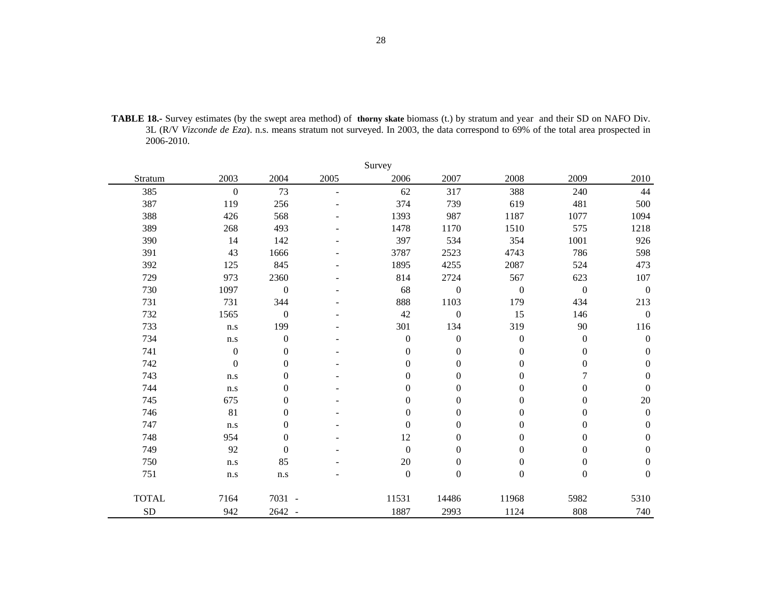| <b>TABLE 18.-</b> Survey estimates (by the swept area method) of thorny skate biomass (t.) by stratum and year and their SD on NAFO Div. |
|------------------------------------------------------------------------------------------------------------------------------------------|
| 3L (R/V Vizconde de Eza). n.s. means stratum not surveyed. In 2003, the data correspond to 69% of the total area prospected in           |
| 2006-2010.                                                                                                                               |

| Survey       |                         |                  |                          |                  |                  |                  |                  |                  |  |  |  |  |  |
|--------------|-------------------------|------------------|--------------------------|------------------|------------------|------------------|------------------|------------------|--|--|--|--|--|
| Stratum      | 2003                    | 2004             | 2005                     | 2006             | 2007             | 2008             | 2009             | 2010             |  |  |  |  |  |
| 385          | $\boldsymbol{0}$        | 73               | $\overline{\phantom{a}}$ | 62               | 317              | 388              | 240              | 44               |  |  |  |  |  |
| 387          | 119                     | 256              |                          | 374              | 739              | 619              | 481              | 500              |  |  |  |  |  |
| 388          | 426                     | 568              |                          | 1393             | 987              | 1187             | 1077             | 1094             |  |  |  |  |  |
| 389          | 268                     | 493              |                          | 1478             | 1170             | 1510             | 575              | 1218             |  |  |  |  |  |
| 390          | 14                      | 142              |                          | 397              | 534              | 354              | 1001             | 926              |  |  |  |  |  |
| 391          | 43                      | 1666             |                          | 3787             | 2523             | 4743             | 786              | 598              |  |  |  |  |  |
| 392          | 125                     | 845              |                          | 1895             | 4255             | 2087             | 524              | 473              |  |  |  |  |  |
| 729          | 973                     | 2360             |                          | 814              | 2724             | 567              | 623              | $107\,$          |  |  |  |  |  |
| 730          | 1097                    | $\boldsymbol{0}$ |                          | 68               | $\boldsymbol{0}$ | $\boldsymbol{0}$ | $\boldsymbol{0}$ | $\boldsymbol{0}$ |  |  |  |  |  |
| 731          | 731                     | 344              |                          | 888              | 1103             | 179              | 434              | 213              |  |  |  |  |  |
| 732          | 1565                    | $\boldsymbol{0}$ |                          | 42               | $\boldsymbol{0}$ | 15               | 146              | $\boldsymbol{0}$ |  |  |  |  |  |
| 733          | $\mathbf{n}.\mathbf{s}$ | 199              |                          | 301              | 134              | 319              | 90               | 116              |  |  |  |  |  |
| 734          | $\mathbf{n}.\mathbf{s}$ | $\boldsymbol{0}$ |                          | $\boldsymbol{0}$ | $\boldsymbol{0}$ | $\boldsymbol{0}$ | $\boldsymbol{0}$ | $\boldsymbol{0}$ |  |  |  |  |  |
| 741          | $\boldsymbol{0}$        | $\boldsymbol{0}$ |                          | $\boldsymbol{0}$ | $\boldsymbol{0}$ | $\boldsymbol{0}$ | $\boldsymbol{0}$ | $\boldsymbol{0}$ |  |  |  |  |  |
| 742          | $\mathbf{0}$            | $\boldsymbol{0}$ |                          | $\Omega$         | $\boldsymbol{0}$ | $\Omega$         | $\boldsymbol{0}$ | $\boldsymbol{0}$ |  |  |  |  |  |
| 743          | n.s                     | $\boldsymbol{0}$ |                          | $\boldsymbol{0}$ | $\boldsymbol{0}$ | $\boldsymbol{0}$ | 7                | $\boldsymbol{0}$ |  |  |  |  |  |
| 744          | n.s                     | $\boldsymbol{0}$ |                          | $\mathbf{0}$     | $\boldsymbol{0}$ | $\mathbf{0}$     | $\overline{0}$   | $\boldsymbol{0}$ |  |  |  |  |  |
| 745          | 675                     | $\boldsymbol{0}$ |                          | $\boldsymbol{0}$ | $\boldsymbol{0}$ | $\boldsymbol{0}$ | $\boldsymbol{0}$ | 20               |  |  |  |  |  |
| 746          | 81                      | $\boldsymbol{0}$ |                          | $\Omega$         | $\boldsymbol{0}$ | $\mathbf{0}$     | $\boldsymbol{0}$ | $\boldsymbol{0}$ |  |  |  |  |  |
| 747          | n.s                     | $\boldsymbol{0}$ |                          | $\boldsymbol{0}$ | $\boldsymbol{0}$ | $\boldsymbol{0}$ | $\boldsymbol{0}$ | $\boldsymbol{0}$ |  |  |  |  |  |
| 748          | 954                     | $\boldsymbol{0}$ |                          | 12               | $\boldsymbol{0}$ | $\boldsymbol{0}$ | $\boldsymbol{0}$ | $\boldsymbol{0}$ |  |  |  |  |  |
| 749          | 92                      | $\boldsymbol{0}$ |                          | $\boldsymbol{0}$ | $\boldsymbol{0}$ | $\mathbf{0}$     | $\overline{0}$   | $\boldsymbol{0}$ |  |  |  |  |  |
| 750          | n.s                     | 85               |                          | 20               | $\boldsymbol{0}$ | $\boldsymbol{0}$ | $\boldsymbol{0}$ | $\boldsymbol{0}$ |  |  |  |  |  |
| 751          | n.s                     | n.s              |                          | $\boldsymbol{0}$ | $\boldsymbol{0}$ | $\boldsymbol{0}$ | $\boldsymbol{0}$ | $\boldsymbol{0}$ |  |  |  |  |  |
| <b>TOTAL</b> | 7164                    | 7031 -           |                          | 11531            | 14486            | 11968            | 5982             | 5310             |  |  |  |  |  |
| <b>SD</b>    | 942                     | 2642 -           |                          | 1887             | 2993             | 1124             | 808              | 740              |  |  |  |  |  |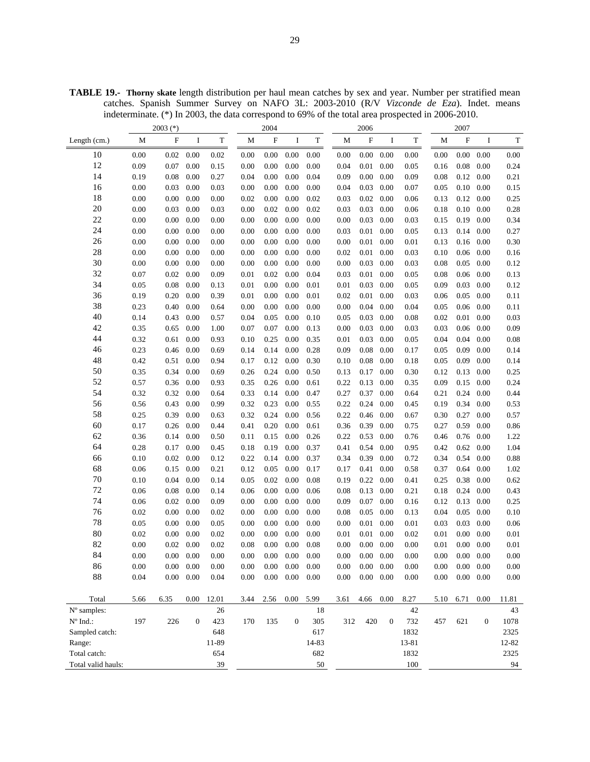**TABLE 19.- Thorny skate** length distribution per haul mean catches by sex and year. Number per stratified mean catches. Spanish Summer Survey on NAFO 3L: 2003-2010 (R/V *Vizconde de Eza*). Indet. means indeterminate. (\*) In 2003, the data correspond to 69% of the total area prospected in 2006-2010.

|                    | $2003$ (*) |                   |                  |             | 2004         |          |                  |             | 2006         |                           |                  |             | 2007         |                   |                  |             |
|--------------------|------------|-------------------|------------------|-------------|--------------|----------|------------------|-------------|--------------|---------------------------|------------------|-------------|--------------|-------------------|------------------|-------------|
| Length $(cm.)$     | M          | $\mathbf F$       | I                | $\mathbf T$ | $\mathbf{M}$ | F        | I                | $\mathbf T$ | $\mathbf{M}$ | $\boldsymbol{\mathrm{F}}$ | $\bf{I}$         | $\mathbf T$ | $\mathbf{M}$ | $\rm F$           | I                | $\mathbf T$ |
| 10                 | 0.00       | 0.02              | 0.00             | 0.02        | 0.00         | 0.00     | 0.00             | 0.00        | 0.00         | 0.00                      | 0.00             | 0.00        | 0.00         | 0.00              | 0.00             | 0.00        |
| 12                 | 0.09       | 0.07              | 0.00             | 0.15        | 0.00         | 0.00     | 0.00             | 0.00        | 0.04         | 0.01                      | 0.00             | 0.05        | 0.16         | 0.08              | 0.00             | 0.24        |
| 14                 | 0.19       | 0.08              | 0.00             | 0.27        | 0.04         | 0.00     | 0.00             | 0.04        | 0.09         | $0.00\,$                  | 0.00             | 0.09        | 0.08         | 0.12              | 0.00             | 0.21        |
| 16                 | 0.00       | 0.03              | 0.00             | 0.03        | 0.00         | 0.00     | 0.00             | 0.00        | 0.04         | 0.03                      | 0.00             | 0.07        | 0.05         | 0.10              | 0.00             | 0.15        |
| 18                 | 0.00       | 0.00              | 0.00             | 0.00        | 0.02         | 0.00     | 0.00             | 0.02        | 0.03         | 0.02                      | 0.00             | 0.06        | 0.13         | 0.12              | 0.00             | 0.25        |
| 20                 | 0.00       | 0.03              | 0.00             | 0.03        | 0.00         | 0.02     | $0.00\,$         | 0.02        | 0.03         | 0.03                      | 0.00             | 0.06        | 0.18         | 0.10              | 0.00             | 0.28        |
| 22                 | 0.00       | 0.00              | 0.00             | 0.00        | 0.00         | 0.00     | 0.00             | 0.00        | 0.00         | 0.03                      | 0.00             | 0.03        | 0.15         | 0.19              | 0.00             | 0.34        |
| 24                 | 0.00       | 0.00              | 0.00             | 0.00        | 0.00         | 0.00     | 0.00             | 0.00        | 0.03         | 0.01                      | 0.00             | 0.05        | 0.13         | 0.14              | 0.00             | 0.27        |
| 26                 | 0.00       | 0.00              | 0.00             | 0.00        | 0.00         | 0.00     | 0.00             | 0.00        | 0.00         | 0.01                      | 0.00             | 0.01        | 0.13         | 0.16              | 0.00             | 0.30        |
| 28                 | 0.00       | 0.00              | 0.00             | 0.00        | 0.00         | 0.00     | $0.00\,$         | 0.00        | 0.02         | 0.01                      | 0.00             | 0.03        | 0.10         | 0.06              | 0.00             | 0.16        |
| 30                 | 0.00       | 0.00              | 0.00             | 0.00        | 0.00         | 0.00     | 0.00             | 0.00        | 0.00         | 0.03                      | 0.00             | 0.03        | 0.08         | 0.05              | 0.00             | 0.12        |
| 32                 | 0.07       | 0.02              | 0.00             | 0.09        | 0.01         | 0.02     | 0.00             | 0.04        | 0.03         | 0.01                      | 0.00             | 0.05        | 0.08         | 0.06              | 0.00             | 0.13        |
| 34                 | 0.05       | 0.08              | 0.00             | 0.13        | 0.01         | 0.00     | 0.00             | 0.01        | 0.01         | 0.03                      | 0.00             | 0.05        | 0.09         | 0.03              | 0.00             | 0.12        |
| 36                 | 0.19       | 0.20              | 0.00             | 0.39        | 0.01         | 0.00     | $0.00\,$         | 0.01        | 0.02         | 0.01                      | 0.00             | 0.03        | 0.06         | 0.05              | 0.00             | 0.11        |
| 38                 | 0.23       | 0.40              | 0.00             | 0.64        | 0.00         | 0.00     | 0.00             | 0.00        | 0.00         | 0.04                      | 0.00             | 0.04        | 0.05         | 0.06              | 0.00             | 0.11        |
| 40                 | 0.14       | 0.43              | 0.00             | 0.57        | 0.04         | 0.05     | 0.00             | 0.10        | 0.05         | 0.03                      | 0.00             | 0.08        | 0.02         | 0.01              | 0.00             | 0.03        |
| 42                 | 0.35       | 0.65              | 0.00             | 1.00        | 0.07         | 0.07     | 0.00             | 0.13        | 0.00         | 0.03                      | 0.00             | 0.03        | 0.03         | 0.06              | 0.00             | 0.09        |
| 44                 | 0.32       | 0.61              | 0.00             | 0.93        | 0.10         | 0.25     | 0.00             | 0.35        | 0.01         | 0.03                      | 0.00             | 0.05        | 0.04         | 0.04              | 0.00             | 0.08        |
| 46                 | 0.23       | 0.46              | 0.00             | 0.69        | 0.14         | 0.14     | 0.00             | 0.28        | 0.09         | $0.08\,$                  | 0.00             | 0.17        | 0.05         | 0.09              | 0.00             | 0.14        |
| 48                 | 0.42       | 0.51              | 0.00             | 0.94        | 0.17         | 0.12     | 0.00             | 0.30        | 0.10         | $0.08\,$                  | 0.00             | 0.18        | 0.05         | 0.09              | 0.00             | 0.14        |
| 50                 | 0.35       | 0.34              | 0.00             | 0.69        | 0.26         | 0.24     | 0.00             | 0.50        | 0.13         | 0.17                      | 0.00             | 0.30        | 0.12         | 0.13              | 0.00             | 0.25        |
| 52                 | 0.57       | 0.36              | 0.00             | 0.93        | 0.35         | 0.26     | 0.00             | 0.61        | 0.22         | 0.13                      | 0.00             | 0.35        | 0.09         | 0.15              | 0.00             | 0.24        |
| 54                 | 0.32       | 0.32              | 0.00             | 0.64        | 0.33         | 0.14     | 0.00             | 0.47        | 0.27         | 0.37                      | 0.00             | 0.64        | 0.21         | 0.24              | 0.00             | 0.44        |
| 56                 | 0.56       | 0.43              | 0.00             | 0.99        | 0.32         | 0.23     | 0.00             | 0.55        | 0.22         | 0.24                      | 0.00             | 0.45        | 0.19         | 0.34              | 0.00             | 0.53        |
| 58                 | 0.25       | 0.39              | 0.00             | 0.63        | 0.32         | 0.24     | 0.00             | 0.56        | 0.22         | 0.46                      | 0.00             | 0.67        | 0.30         | 0.27              | 0.00             | 0.57        |
| 60                 | 0.17       | 0.26              | 0.00             | 0.44        | 0.41         | 0.20     | 0.00             | 0.61        | 0.36         | 0.39                      | 0.00             | 0.75        | 0.27         | 0.59              | 0.00             | 0.86        |
| 62                 | 0.36       | 0.14              | 0.00             | 0.50        | 0.11         | 0.15     | 0.00             | 0.26        | 0.22         | 0.53                      | 0.00             | 0.76        | 0.46         | 0.76              | 0.00             | 1.22        |
| 64                 | 0.28       | 0.17              | 0.00             | 0.45        | 0.18         | 0.19     | 0.00             | 0.37        | 0.41         | 0.54                      | 0.00             | 0.95        | 0.42         | 0.62              | 0.00             | 1.04        |
| 66                 | 0.10       | 0.02              | 0.00             | 0.12        | 0.22         | 0.14     | 0.00             | 0.37        | 0.34         | 0.39                      | 0.00             | 0.72        | 0.34         | 0.54              | 0.00             | 0.88        |
| 68                 | 0.06       | 0.15              | 0.00             | 0.21        | 0.12         | 0.05     | 0.00             | 0.17        | 0.17         | 0.41                      | 0.00             | 0.58        | 0.37         | 0.64              | 0.00             | 1.02        |
| 70                 | 0.10       | 0.04              | 0.00             | 0.14        | 0.05         | 0.02     | 0.00             | 0.08        | 0.19         | 0.22                      | 0.00             | 0.41        | 0.25         | 0.38              | 0.00             | 0.62        |
| 72                 | 0.06       | 0.08              | 0.00             | 0.14        | 0.06         | 0.00     | 0.00             | 0.06        | 0.08         | 0.13                      | 0.00             | 0.21        | 0.18         | 0.24              | 0.00             | 0.43        |
| 74                 | 0.06       | 0.02              | 0.00             | 0.09        | 0.00         | 0.00     | 0.00             | 0.00        | 0.09         | 0.07                      | 0.00             | 0.16        | 0.12         | 0.13              | 0.00             | 0.25        |
| 76                 | 0.02       | 0.00              | 0.00             | 0.02        | 0.00         | 0.00     | 0.00             | 0.00        | 0.08         | 0.05                      | 0.00             | 0.13        | 0.04         | 0.05              | 0.00             | 0.10        |
| 78                 | 0.05       | 0.00              | 0.00             | 0.05        | 0.00         | 0.00     | 0.00             | 0.00        | 0.00         | 0.01                      | 0.00             | 0.01        | 0.03         | 0.03              | 0.00             | 0.06        |
| 80                 | 0.02       | 0.00              | 0.00             | 0.02        | 0.00         | 0.00     | 0.00             | 0.00        | 0.01         | 0.01                      | 0.00             | 0.02        | 0.01         | 0.00              | 0.00             | 0.01        |
| 82                 | 0.00       | 0.02              | 0.00             | 0.02        | 0.08         | 0.00     | 0.00             | 0.08        | 0.00         | 0.00                      | 0.00             | 0.00        | 0.01         | $0.00\,$          | 0.00             | 0.01        |
| 84                 | $0.00\,$   |                   | $0.00\quad 0.00$ | 0.00        | 0.00         | 0.00     | 0.00             | 0.00        | $0.00\,$     | $0.00 \quad 0.00$         |                  | 0.00        | $0.00\,$     | $0.00 \quad 0.00$ |                  | $0.00\,$    |
| 86                 | 0.00       | $0.00 \quad 0.00$ |                  | 0.00        | 0.00         | $0.00\,$ | $0.00\,$         | 0.00        | 0.00         | $0.00\ 0.00$              |                  | 0.00        | 0.00         | $0.00 \quad 0.00$ |                  | 0.00        |
| 88                 | 0.04       | 0.00              | 0.00             | 0.04        | 0.00         | 0.00     | $0.00\,$         | 0.00        | 0.00         | $0.00\ 0.00$              |                  | 0.00        | 0.00         | $0.00 \quad 0.00$ |                  | 0.00        |
|                    |            |                   |                  |             |              |          |                  |             |              |                           |                  |             |              |                   |                  |             |
| Total              | 5.66       | 6.35              | $0.00\,$         | 12.01       | 3.44         | 2.56     | $0.00$ 5.99      |             | 3.61         | 4.66                      | 0.00             | 8.27        | 5.10         | 6.71              | 0.00             | 11.81       |
| N° samples:        |            |                   |                  | 26          |              |          |                  | 18          |              |                           |                  | 42          |              |                   |                  | 43          |
| $N^{\circ}$ Ind.:  | 197        | 226               | $\mathbf{0}$     | 423         | 170          | 135      | $\boldsymbol{0}$ | 305         | 312          | 420                       | $\boldsymbol{0}$ | 732         | 457          | 621               | $\boldsymbol{0}$ | 1078        |
| Sampled catch:     |            |                   |                  | 648         |              |          |                  | 617         |              |                           |                  | 1832        |              |                   |                  | 2325        |
| Range:             |            |                   |                  | 11-89       |              |          |                  | 14-83       |              |                           |                  | 13-81       |              |                   |                  | 12-82       |
| Total catch:       |            |                   |                  | 654         |              |          |                  | 682         |              |                           |                  | 1832        |              |                   |                  | 2325        |
| Total valid hauls: |            |                   |                  | 39          |              |          |                  | 50          |              |                           |                  | $100\,$     |              |                   |                  | 94          |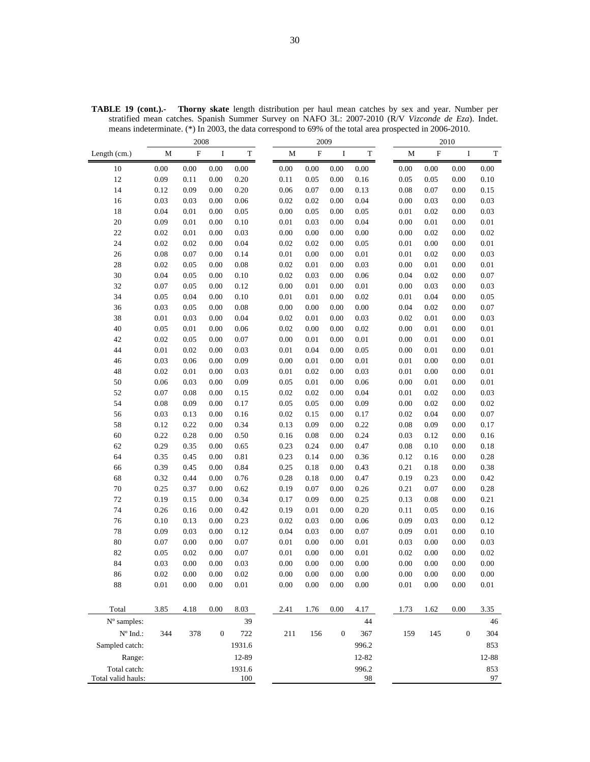|                                 | 2008        |             |                  |             | 2009     |          |                  |             |             | 2010     |                  |             |
|---------------------------------|-------------|-------------|------------------|-------------|----------|----------|------------------|-------------|-------------|----------|------------------|-------------|
| Length (cm.)                    | $\mathbf M$ | $\mathbf F$ | I                | $\mathbf T$ | M        | $\rm F$  | I                | $\mathbf T$ | $\mathbf M$ | $\rm F$  | $\bf I$          | $\mathbf T$ |
| 10                              | $0.00\,$    | 0.00        | 0.00             | 0.00        | $0.00\,$ | $0.00\,$ | $0.00\,$         | 0.00        | 0.00        | $0.00\,$ | 0.00             | $0.00\,$    |
| 12                              | 0.09        | 0.11        | 0.00             | 0.20        | 0.11     | 0.05     | 0.00             | 0.16        | 0.05        | 0.05     | 0.00             | 0.10        |
| 14                              | 0.12        | 0.09        | 0.00             | 0.20        | 0.06     | 0.07     | 0.00             | 0.13        | 0.08        | 0.07     | 0.00             | 0.15        |
| 16                              | 0.03        | 0.03        | 0.00             | $0.06\,$    | 0.02     | 0.02     | 0.00             | 0.04        | 0.00        | 0.03     | 0.00             | 0.03        |
| 18                              | 0.04        | 0.01        | 0.00             | 0.05        | 0.00     | 0.05     | 0.00             | 0.05        | $0.01\,$    | 0.02     | 0.00             | 0.03        |
| 20                              | 0.09        | 0.01        | 0.00             | 0.10        | 0.01     | 0.03     | 0.00             | 0.04        | 0.00        | 0.01     | 0.00             | 0.01        |
| $22\,$                          | 0.02        | 0.01        | 0.00             | 0.03        | 0.00     | 0.00     | 0.00             | $0.00\,$    | 0.00        | 0.02     | 0.00             | 0.02        |
| 24                              | 0.02        | 0.02        | 0.00             | 0.04        | 0.02     | 0.02     | 0.00             | 0.05        | $0.01\,$    | 0.00     | 0.00             | $0.01\,$    |
| 26                              | $0.08\,$    | 0.07        | 0.00             | 0.14        | 0.01     | 0.00     | 0.00             | $0.01\,$    | $0.01\,$    | 0.02     | 0.00             | 0.03        |
| 28                              | 0.02        | 0.05        | 0.00             | 0.08        | 0.02     | 0.01     | 0.00             | 0.03        | 0.00        | 0.01     | 0.00             | $0.01\,$    |
| 30                              | 0.04        | 0.05        | 0.00             | 0.10        | 0.02     | 0.03     | 0.00             | 0.06        | 0.04        | 0.02     | 0.00             | 0.07        |
| 32                              | $0.07\,$    | 0.05        | 0.00             | 0.12        | 0.00     | 0.01     | 0.00             | $0.01\,$    | 0.00        | 0.03     | 0.00             | 0.03        |
| 34                              | 0.05        | 0.04        | 0.00             | 0.10        | 0.01     | 0.01     | 0.00             | 0.02        | 0.01        | 0.04     | 0.00             | 0.05        |
| 36                              | 0.03        | 0.05        | 0.00             | 0.08        | 0.00     | 0.00     | 0.00             | $0.00\,$    | 0.04        | 0.02     | 0.00             | 0.07        |
| 38                              | $0.01\,$    | 0.03        | 0.00             | 0.04        | 0.02     | 0.01     | 0.00             | 0.03        | 0.02        | 0.01     | 0.00             | 0.03        |
| 40                              | 0.05        | 0.01        | 0.00             | 0.06        | 0.02     | 0.00     | 0.00             | 0.02        | 0.00        | 0.01     | 0.00             | 0.01        |
| 42                              | 0.02        | 0.05        | 0.00             | 0.07        | 0.00     | 0.01     | 0.00             | 0.01        | 0.00        | 0.01     | $0.00\,$         | 0.01        |
| 44                              | $0.01\,$    | 0.02        | 0.00             | 0.03        | 0.01     | 0.04     | 0.00             | 0.05        | 0.00        | 0.01     | 0.00             | $0.01\,$    |
| 46                              | 0.03        | 0.06        | 0.00             | 0.09        | 0.00     | 0.01     | 0.00             | $0.01\,$    | $0.01\,$    | 0.00     | 0.00             | 0.01        |
| 48                              | 0.02        | 0.01        | 0.00             | 0.03        | 0.01     | 0.02     | 0.00             | 0.03        | $0.01\,$    | 0.00     | 0.00             | 0.01        |
| 50                              | 0.06        | 0.03        | 0.00             | 0.09        | 0.05     | $0.01\,$ | 0.00             | 0.06        | 0.00        | 0.01     | 0.00             | $0.01\,$    |
| 52                              | $0.07\,$    | 0.08        | 0.00             | 0.15        | 0.02     | 0.02     | 0.00             | 0.04        | $0.01\,$    | 0.02     | 0.00             | 0.03        |
| 54                              | $0.08\,$    | 0.09        | 0.00             | 0.17        | 0.05     | 0.05     | 0.00             | 0.09        | 0.00        | 0.02     | 0.00             | 0.02        |
| 56                              | 0.03        | 0.13        | 0.00             | 0.16        | 0.02     | 0.15     | 0.00             | 0.17        | 0.02        | 0.04     | 0.00             | 0.07        |
| 58                              | 0.12        | 0.22        | 0.00             | 0.34        | 0.13     | 0.09     | 0.00             | 0.22        | 0.08        | 0.09     | 0.00             | 0.17        |
| 60                              | 0.22        | 0.28        | 0.00             | 0.50        | 0.16     | 0.08     | 0.00             | 0.24        | 0.03        | 0.12     | 0.00             | 0.16        |
| 62                              | 0.29        | 0.35        | 0.00             | 0.65        | 0.23     | 0.24     | 0.00             | 0.47        | 0.08        | 0.10     | 0.00             | $0.18\,$    |
| 64                              | 0.35        | 0.45        | 0.00             | 0.81        | 0.23     | 0.14     | 0.00             | 0.36        | 0.12        | 0.16     | 0.00             | 0.28        |
| 66                              | 0.39        | 0.45        | 0.00             | 0.84        | 0.25     | 0.18     | 0.00             | 0.43        | 0.21        | 0.18     | 0.00             | 0.38        |
| 68                              | 0.32        | 0.44        | 0.00             | 0.76        | 0.28     | 0.18     | 0.00             | 0.47        | 0.19        | 0.23     | 0.00             | 0.42        |
| 70                              | 0.25        | 0.37        | 0.00             | 0.62        | 0.19     | 0.07     | 0.00             | 0.26        | 0.21        | 0.07     | 0.00             | 0.28        |
| $72\,$                          | 0.19        | 0.15        | 0.00             | 0.34        | 0.17     | 0.09     | 0.00             | 0.25        | 0.13        | 0.08     | 0.00             | 0.21        |
| 74                              | 0.26        | 0.16        | 0.00             | 0.42        | 0.19     | 0.01     | 0.00             | 0.20        | 0.11        | 0.05     | 0.00             | 0.16        |
| 76                              | 0.10        | 0.13        | 0.00             | 0.23        | 0.02     | 0.03     | 0.00             | 0.06        | 0.09        | 0.03     | 0.00             | 0.12        |
| 78                              | 0.09        | 0.03        | 0.00             | 0.12        | 0.04     | 0.03     | 0.00             | 0.07        | 0.09        | 0.01     | 0.00             | 0.10        |
| 80                              | 0.07        | 0.00        | 0.00             | 0.07        | 0.01     | 0.00     | 0.00             | 0.01        | 0.03        | 0.00     | 0.00             | 0.03        |
| 82                              | 0.05        | 0.02        | 0.00             | 0.07        | 0.01     | 0.00     | 0.00             | 0.01        | 0.02        | 0.00     | 0.00             | 0.02        |
| 84                              | 0.03        | 0.00        | 0.00             | 0.03        | 0.00     | 0.00     | 0.00             | 0.00        | 0.00        | 0.00     | 0.00             | 0.00        |
| 86                              | 0.02        | 0.00        | $0.00\,$         | 0.02        | 0.00     | $0.00\,$ | $0.00\,$         | 0.00        | $0.00\,$    | 0.00     | 0.00             | 0.00        |
| 88                              | $0.01\,$    | $0.00\,$    | $0.00\,$         | 0.01        | 0.00     | 0.00     | 0.00             | 0.00        | $0.01\,$    | 0.00     | $0.00\,$         | 0.01        |
|                                 |             |             |                  |             |          |          |                  |             |             |          |                  |             |
| Total                           | 3.85        | 4.18        | 0.00             | 8.03        | 2.41     | 1.76     | 0.00             | 4.17        | 1.73        | 1.62     | 0.00             | 3.35        |
| N° samples:                     |             |             |                  | 39          |          |          |                  | 44          |             |          |                  | 46          |
| $\mathrm{N}^{\mathrm{o}}$ Ind.: | 344         | 378         | $\boldsymbol{0}$ | 722         | 211      | 156      | $\boldsymbol{0}$ | 367         | 159         | 145      | $\boldsymbol{0}$ | 304         |
|                                 |             |             |                  |             |          |          |                  |             |             |          |                  |             |
| Sampled catch:                  |             |             |                  | 1931.6      |          |          |                  | 996.2       |             |          |                  | 853         |
| Range:                          |             |             |                  | 12-89       |          |          |                  | 12-82       |             |          |                  | 12-88       |
| Total catch:                    |             |             |                  | 1931.6      |          |          |                  | 996.2       |             |          |                  | 853         |
| Total valid hauls:              |             |             |                  | 100         |          |          |                  | 98          |             |          |                  | 97          |

**TABLE 19 (cont.).- Thorny skate** length distribution per haul mean catches by sex and year. Number per stratified mean catches. Spanish Summer Survey on NAFO 3L: 2007-2010 (R/V *Vizconde de Eza*). Indet. means indeterminate. (\*) In 2003, the data correspond to 69% of the total area prospected in 2006-2010.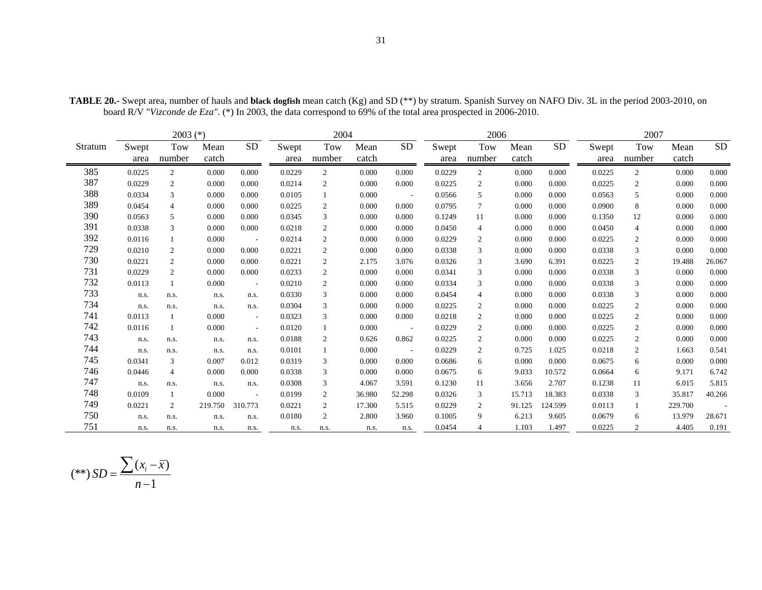|         |        | $2003$ (*)     |         |                          |        | 2004           |        |           |        | 2006           |        |           |        | 2007           |         |           |
|---------|--------|----------------|---------|--------------------------|--------|----------------|--------|-----------|--------|----------------|--------|-----------|--------|----------------|---------|-----------|
| Stratum | Swept  | <b>Tow</b>     | Mean    | <b>SD</b>                | Swept  | Tow            | Mean   | <b>SD</b> | Swept  | Tow            | Mean   | <b>SD</b> | Swept  | Tow            | Mean    | <b>SD</b> |
|         | area   | number         | catch   |                          | area   | number         | catch  |           | area   | number         | catch  |           | area   | number         | catch   |           |
| 385     | 0.0225 | $\overline{c}$ | 0.000   | 0.000                    | 0.0229 | 2              | 0.000  | 0.000     | 0.0229 | 2              | 0.000  | 0.000     | 0.0225 | 2              | 0.000   | 0.000     |
| 387     | 0.0229 | $\overline{c}$ | 0.000   | 0.000                    | 0.0214 | $\overline{c}$ | 0.000  | 0.000     | 0.0225 | $\overline{c}$ | 0.000  | 0.000     | 0.0225 | $\overline{2}$ | 0.000   | 0.000     |
| 388     | 0.0334 | 3              | 0.000   | 0.000                    | 0.0105 |                | 0.000  | $\sim$    | 0.0566 | 5              | 0.000  | 0.000     | 0.0563 | 5              | 0.000   | 0.000     |
| 389     | 0.0454 | 4              | 0.000   | 0.000                    | 0.0225 | 2              | 0.000  | 0.000     | 0.0795 | 7              | 0.000  | 0.000     | 0.0900 | 8              | 0.000   | 0.000     |
| 390     | 0.0563 | 5              | 0.000   | 0.000                    | 0.0345 | 3              | 0.000  | 0.000     | 0.1249 | 11             | 0.000  | 0.000     | 0.1350 | 12             | 0.000   | 0.000     |
| 391     | 0.0338 | 3              | 0.000   | 0.000                    | 0.0218 | $\overline{2}$ | 0.000  | 0.000     | 0.0450 | $\overline{4}$ | 0.000  | 0.000     | 0.0450 | $\overline{4}$ | 0.000   | 0.000     |
| 392     | 0.0116 | $\mathbf{1}$   | 0.000   | $\sim$                   | 0.0214 | 2              | 0.000  | 0.000     | 0.0229 | $\overline{2}$ | 0.000  | 0.000     | 0.0225 | 2              | 0.000   | 0.000     |
| 729     | 0.0210 | 2              | 0.000   | 0.000                    | 0.0221 | 2              | 0.000  | 0.000     | 0.0338 | 3              | 0.000  | 0.000     | 0.0338 | 3              | 0.000   | 0.000     |
| 730     | 0.0221 | $\overline{c}$ | 0.000   | 0.000                    | 0.0221 | 2              | 2.175  | 3.076     | 0.0326 | 3              | 3.690  | 6.391     | 0.0225 | 2              | 19.488  | 26.067    |
| 731     | 0.0229 | $\overline{c}$ | 0.000   | 0.000                    | 0.0233 | $\overline{2}$ | 0.000  | 0.000     | 0.0341 | 3              | 0.000  | 0.000     | 0.0338 | 3              | 0.000   | 0.000     |
| 732     | 0.0113 |                | 0.000   | $\overline{\phantom{a}}$ | 0.0210 | 2              | 0.000  | 0.000     | 0.0334 | 3              | 0.000  | 0.000     | 0.0338 | 3              | 0.000   | 0.000     |
| 733     | n.s.   | n.s.           | n.s.    | n.s.                     | 0.0330 | 3              | 0.000  | 0.000     | 0.0454 | $\overline{4}$ | 0.000  | 0.000     | 0.0338 | 3              | 0.000   | 0.000     |
| 734     | n.s.   | n.s.           | n.s.    | n.s.                     | 0.0304 | 3              | 0.000  | 0.000     | 0.0225 | $\overline{2}$ | 0.000  | 0.000     | 0.0225 | $\overline{2}$ | 0.000   | 0.000     |
| 741     | 0.0113 | 1              | 0.000   | $\sim$                   | 0.0323 | 3              | 0.000  | 0.000     | 0.0218 | $\overline{c}$ | 0.000  | 0.000     | 0.0225 | $\overline{c}$ | 0.000   | 0.000     |
| 742     | 0.0116 | 1              | 0.000   | $\sim$                   | 0.0120 |                | 0.000  | $\sim$    | 0.0229 | $\overline{2}$ | 0.000  | 0.000     | 0.0225 | $\overline{2}$ | 0.000   | 0.000     |
| 743     | n.s.   | n.s.           | n.s.    | n.s.                     | 0.0188 | 2              | 0.626  | 0.862     | 0.0225 | $\overline{2}$ | 0.000  | 0.000     | 0.0225 | $\overline{2}$ | 0.000   | 0.000     |
| 744     | n.s.   | n.s.           | n.s.    | n.s.                     | 0.0101 |                | 0.000  | $\sim$    | 0.0229 | $\overline{2}$ | 0.725  | 1.025     | 0.0218 | 2              | 1.663   | 0.541     |
| 745     | 0.0341 | 3              | 0.007   | 0.012                    | 0.0319 | 3              | 0.000  | 0.000     | 0.0686 | 6              | 0.000  | 0.000     | 0.0675 | 6              | 0.000   | 0.000     |
| 746     | 0.0446 | 4              | 0.000   | 0.000                    | 0.0338 | 3              | 0.000  | 0.000     | 0.0675 | 6              | 9.033  | 10.572    | 0.0664 | 6              | 9.171   | 6.742     |
| 747     | n.s.   | n.s.           | n.s.    | n.s.                     | 0.0308 | 3              | 4.067  | 3.591     | 0.1230 | 11             | 3.656  | 2.707     | 0.1238 | 11             | 6.015   | 5.815     |
| 748     | 0.0109 | $\mathbf{1}$   | 0.000   | $\sim$                   | 0.0199 | 2              | 36.980 | 52.298    | 0.0326 | 3              | 15.713 | 18.383    | 0.0338 | 3              | 35.817  | 40.266    |
| 749     | 0.0221 | 2              | 219.750 | 310.773                  | 0.0221 | 2              | 17.300 | 5.515     | 0.0229 | 2              | 91.125 | 124.599   | 0.0113 |                | 229.700 |           |
| 750     | n.s.   | n.s.           | n.s.    | n.s.                     | 0.0180 | 2              | 2.800  | 3.960     | 0.1005 | 9              | 6.213  | 9.605     | 0.0679 | 6              | 13.979  | 28.671    |
| 751     | n.s.   | n.s.           | n.s.    | n.s.                     | n.s.   | n.s.           | n.s.   | n.s.      | 0.0454 | $\overline{4}$ | 1.103  | 1.497     | 0.0225 | 2              | 4.405   | 0.191     |

**TABLE 20.-** Swept area, number of hauls and **black dogfish** mean catch (Kg) and SD (\*\*) by stratum. Spanish Survey on NAFO Div. 3L in the period 2003-2010, on board R/V "*Vizconde de Eza"*. (\*) In 2003, the data correspond to 69% of the total area prospected in 2006-2010.

$$
(**) SD = \frac{\sum (x_i - \overline{x})}{n-1}
$$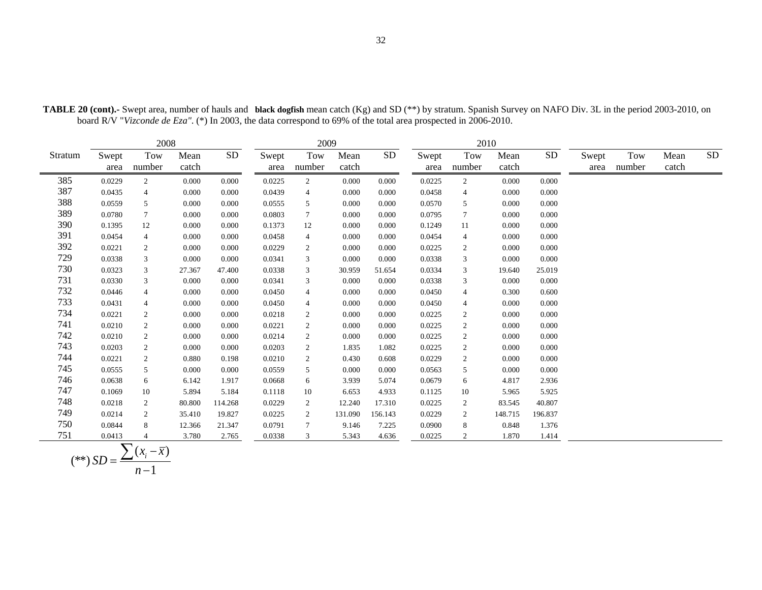|         |               | 2008           |               |                 |               | 2009           |               |           |               | 2010           |               |           |               |               |               |           |
|---------|---------------|----------------|---------------|-----------------|---------------|----------------|---------------|-----------|---------------|----------------|---------------|-----------|---------------|---------------|---------------|-----------|
| Stratum | Swept<br>area | Tow<br>number  | Mean<br>catch | SD <sub>1</sub> | Swept<br>area | Tow<br>number  | Mean<br>catch | <b>SD</b> | Swept<br>area | Tow<br>number  | Mean<br>catch | <b>SD</b> | Swept<br>area | Tow<br>number | Mean<br>catch | <b>SD</b> |
| 385     | 0.0229        | 2              | 0.000         | 0.000           | 0.0225        | 2              | 0.000         | 0.000     | 0.0225        | 2              | 0.000         | 0.000     |               |               |               |           |
| 387     | 0.0435        | $\overline{4}$ | 0.000         | 0.000           | 0.0439        | 4              | 0.000         | 0.000     | 0.0458        | $\overline{4}$ | 0.000         | 0.000     |               |               |               |           |
| 388     | 0.0559        | 5              | 0.000         | 0.000           | 0.0555        | 5              | 0.000         | 0.000     | 0.0570        | 5              | 0.000         | 0.000     |               |               |               |           |
| 389     | 0.0780        | $\tau$         | 0.000         | 0.000           | 0.0803        | 7              | 0.000         | 0.000     | 0.0795        | $\overline{7}$ | 0.000         | 0.000     |               |               |               |           |
| 390     | 0.1395        | 12             | 0.000         | 0.000           | 0.1373        | 12             | 0.000         | 0.000     | 0.1249        | 11             | 0.000         | 0.000     |               |               |               |           |
| 391     | 0.0454        | $\overline{4}$ | 0.000         | 0.000           | 0.0458        | 4              | 0.000         | 0.000     | 0.0454        | $\overline{4}$ | 0.000         | 0.000     |               |               |               |           |
| 392     | 0.0221        | 2              | 0.000         | 0.000           | 0.0229        | 2              | 0.000         | 0.000     | 0.0225        | $\overline{c}$ | 0.000         | 0.000     |               |               |               |           |
| 729     | 0.0338        | 3              | 0.000         | 0.000           | 0.0341        | 3              | 0.000         | 0.000     | 0.0338        | 3              | 0.000         | 0.000     |               |               |               |           |
| 730     | 0.0323        | 3              | 27.367        | 47.400          | 0.0338        | 3              | 30.959        | 51.654    | 0.0334        | 3              | 19.640        | 25.019    |               |               |               |           |
| 731     | 0.0330        | $\mathbf{3}$   | 0.000         | 0.000           | 0.0341        | 3              | 0.000         | 0.000     | 0.0338        | 3              | 0.000         | 0.000     |               |               |               |           |
| 732     | 0.0446        | $\overline{4}$ | 0.000         | 0.000           | 0.0450        | $\overline{4}$ | 0.000         | 0.000     | 0.0450        | $\overline{4}$ | 0.300         | 0.600     |               |               |               |           |
| 733     | 0.0431        | $\overline{4}$ | 0.000         | 0.000           | 0.0450        | $\overline{4}$ | 0.000         | 0.000     | 0.0450        | $\overline{4}$ | 0.000         | 0.000     |               |               |               |           |
| 734     | 0.0221        | 2              | 0.000         | 0.000           | 0.0218        | 2              | 0.000         | 0.000     | 0.0225        | $\overline{2}$ | 0.000         | 0.000     |               |               |               |           |
| 741     | 0.0210        | 2              | 0.000         | 0.000           | 0.0221        | $\overline{2}$ | 0.000         | 0.000     | 0.0225        | 2              | 0.000         | 0.000     |               |               |               |           |
| 742     | 0.0210        | 2              | 0.000         | 0.000           | 0.0214        | $\overline{2}$ | 0.000         | 0.000     | 0.0225        | 2              | 0.000         | 0.000     |               |               |               |           |
| 743     | 0.0203        | 2              | 0.000         | 0.000           | 0.0203        | 2              | 1.835         | 1.082     | 0.0225        | 2              | 0.000         | 0.000     |               |               |               |           |
| 744     | 0.0221        | $\overline{c}$ | 0.880         | 0.198           | 0.0210        | $\overline{2}$ | 0.430         | 0.608     | 0.0229        | 2              | 0.000         | 0.000     |               |               |               |           |
| 745     | 0.0555        | 5              | 0.000         | 0.000           | 0.0559        | 5              | 0.000         | 0.000     | 0.0563        | 5              | 0.000         | 0.000     |               |               |               |           |
| 746     | 0.0638        | 6              | 6.142         | 1.917           | 0.0668        | 6              | 3.939         | 5.074     | 0.0679        | 6              | 4.817         | 2.936     |               |               |               |           |
| 747     | 0.1069        | 10             | 5.894         | 5.184           | 0.1118        | 10             | 6.653         | 4.933     | 0.1125        | 10             | 5.965         | 5.925     |               |               |               |           |
| 748     | 0.0218        | 2              | 80.800        | 114.268         | 0.0229        | $\overline{2}$ | 12.240        | 17.310    | 0.0225        | 2              | 83.545        | 40.807    |               |               |               |           |
| 749     | 0.0214        | 2              | 35.410        | 19.827          | 0.0225        | $\overline{2}$ | 131.090       | 156.143   | 0.0229        | 2              | 148.715       | 196.837   |               |               |               |           |
| 750     | 0.0844        | 8              | 12.366        | 21.347          | 0.0791        | 7              | 9.146         | 7.225     | 0.0900        | 8              | 0.848         | 1.376     |               |               |               |           |
| 751     | 0.0413        |                | 3.780         | 2.765           | 0.0338        | 3              | 5.343         | 4.636     | 0.0225        | 2              | 1.870         | 1.414     |               |               |               |           |

**TABLE 20 (cont).-** Swept area, number of hauls and **black dogfish** mean catch (Kg) and SD (\*\*) by stratum. Spanish Survey on NAFO Div. 3L in the period 2003-2010, on board R/V "*Vizconde de Eza"*. (\*) In 2003, the data correspond to 69% of the total area prospected in 2006-2010.

$$
(**) SD = \frac{\sum (x_i - \overline{x})}{n-1}
$$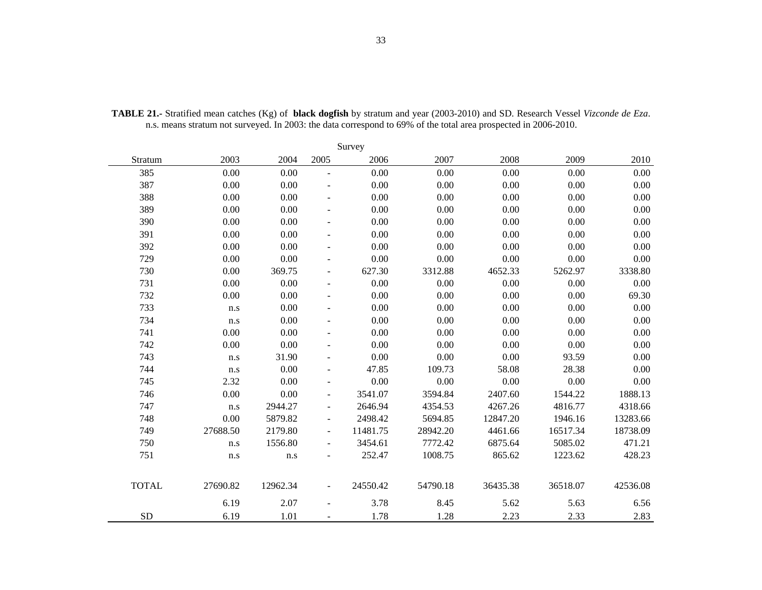|              |          |          |                          | Survey   |          |          |          |          |
|--------------|----------|----------|--------------------------|----------|----------|----------|----------|----------|
| Stratum      | 2003     | 2004     | 2005                     | 2006     | 2007     | 2008     | 2009     | 2010     |
| 385          | 0.00     | 0.00     | $\frac{1}{2}$            | 0.00     | 0.00     | 0.00     | 0.00     | 0.00     |
| 387          | 0.00     | 0.00     |                          | 0.00     | 0.00     | 0.00     | 0.00     | 0.00     |
| 388          | 0.00     | 0.00     | $\blacksquare$           | 0.00     | 0.00     | 0.00     | 0.00     | 0.00     |
| 389          | 0.00     | 0.00     | $\blacksquare$           | 0.00     | 0.00     | 0.00     | 0.00     | 0.00     |
| 390          | 0.00     | 0.00     | $\overline{\phantom{a}}$ | 0.00     | 0.00     | 0.00     | 0.00     | 0.00     |
| 391          | 0.00     | 0.00     | $\overline{\phantom{a}}$ | 0.00     | 0.00     | 0.00     | 0.00     | 0.00     |
| 392          | 0.00     | 0.00     | $\blacksquare$           | 0.00     | 0.00     | 0.00     | 0.00     | 0.00     |
| 729          | 0.00     | 0.00     | $\overline{\phantom{a}}$ | 0.00     | 0.00     | 0.00     | 0.00     | 0.00     |
| 730          | 0.00     | 369.75   | $\overline{\phantom{a}}$ | 627.30   | 3312.88  | 4652.33  | 5262.97  | 3338.80  |
| 731          | 0.00     | 0.00     | $\overline{\phantom{a}}$ | 0.00     | $0.00\,$ | 0.00     | 0.00     | 0.00     |
| 732          | 0.00     | 0.00     | $\blacksquare$           | 0.00     | 0.00     | 0.00     | 0.00     | 69.30    |
| 733          | n.s      | 0.00     | $\overline{\phantom{a}}$ | 0.00     | 0.00     | 0.00     | 0.00     | 0.00     |
| 734          | n.s      | 0.00     | $\overline{\phantom{a}}$ | 0.00     | 0.00     | 0.00     | 0.00     | 0.00     |
| 741          | 0.00     | 0.00     | $\overline{a}$           | 0.00     | 0.00     | 0.00     | 0.00     | 0.00     |
| 742          | 0.00     | 0.00     | $\overline{\phantom{a}}$ | 0.00     | 0.00     | 0.00     | 0.00     | 0.00     |
| 743          | n.s      | 31.90    | $\blacksquare$           | 0.00     | 0.00     | 0.00     | 93.59    | 0.00     |
| 744          | n.s      | 0.00     | $\overline{\phantom{a}}$ | 47.85    | 109.73   | 58.08    | 28.38    | 0.00     |
| 745          | 2.32     | 0.00     | $\blacksquare$           | 0.00     | 0.00     | 0.00     | 0.00     | 0.00     |
| 746          | 0.00     | 0.00     | $\overline{\phantom{a}}$ | 3541.07  | 3594.84  | 2407.60  | 1544.22  | 1888.13  |
| 747          | n.s      | 2944.27  | $\overline{\phantom{a}}$ | 2646.94  | 4354.53  | 4267.26  | 4816.77  | 4318.66  |
| 748          | 0.00     | 5879.82  | $\blacksquare$           | 2498.42  | 5694.85  | 12847.20 | 1946.16  | 13283.66 |
| 749          | 27688.50 | 2179.80  | $\overline{\phantom{a}}$ | 11481.75 | 28942.20 | 4461.66  | 16517.34 | 18738.09 |
| 750          | n.s      | 1556.80  | $\overline{\phantom{a}}$ | 3454.61  | 7772.42  | 6875.64  | 5085.02  | 471.21   |
| 751          | n.s      | n.s      | $\overline{a}$           | 252.47   | 1008.75  | 865.62   | 1223.62  | 428.23   |
| <b>TOTAL</b> | 27690.82 | 12962.34 | $\overline{\phantom{a}}$ | 24550.42 | 54790.18 | 36435.38 | 36518.07 | 42536.08 |
|              | 6.19     | 2.07     |                          | 3.78     | 8.45     | 5.62     | 5.63     | 6.56     |
| <b>SD</b>    | 6.19     | 1.01     |                          | 1.78     | 1.28     | 2.23     | 2.33     | 2.83     |

**TABLE 21.-** Stratified mean catches (Kg) of **black dogfish** by stratum and year (2003-2010) and SD. Research Vessel *Vizconde de Eza*. n.s. means stratum not surveyed. In 2003: the data correspond to 69% of the total area prospected in 2006-2010.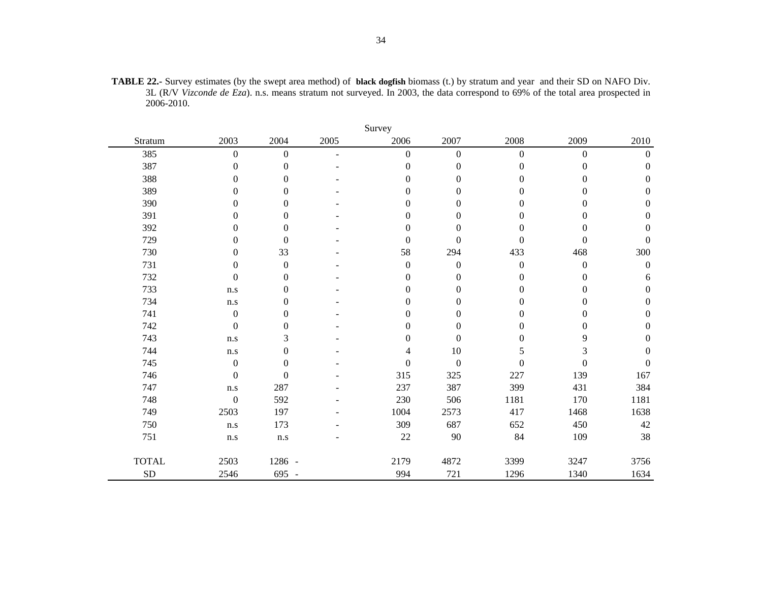|              |                         |                  |      | Survey           |                  |                  |                  |                  |
|--------------|-------------------------|------------------|------|------------------|------------------|------------------|------------------|------------------|
| Stratum      | 2003                    | 2004             | 2005 | 2006             | 2007             | 2008             | 2009             | 2010             |
| 385          | $\mathbf{0}$            | $\boldsymbol{0}$ | ٠    | $\overline{0}$   | $\boldsymbol{0}$ | $\boldsymbol{0}$ | $\boldsymbol{0}$ | $\boldsymbol{0}$ |
| 387          | $\theta$                | $\boldsymbol{0}$ |      | $\boldsymbol{0}$ | $\boldsymbol{0}$ | $\mathbf{0}$     | $\mathbf{0}$     | $\mathbf{0}$     |
| 388          | $\theta$                | $\boldsymbol{0}$ |      | $\theta$         | $\boldsymbol{0}$ | $\Omega$         | $\Omega$         | $\mathbf{0}$     |
| 389          | $\boldsymbol{0}$        | $\boldsymbol{0}$ |      | $\boldsymbol{0}$ | $\boldsymbol{0}$ | $\boldsymbol{0}$ | $\theta$         | $\boldsymbol{0}$ |
| 390          | $\Omega$                | $\boldsymbol{0}$ |      | $\Omega$         | 0                | $\Omega$         | $\theta$         | $\theta$         |
| 391          | $\theta$                | $\boldsymbol{0}$ |      | $\theta$         | $\mathbf{0}$     | $\theta$         | $\theta$         | $\mathbf{0}$     |
| 392          | $\theta$                | $\boldsymbol{0}$ |      | $\theta$         | $\boldsymbol{0}$ | $\overline{0}$   | $\theta$         | $\boldsymbol{0}$ |
| 729          | $\theta$                | $\boldsymbol{0}$ |      | $\mathbf{0}$     | $\theta$         | $\theta$         | $\theta$         | $\mathbf{0}$     |
| 730          | $\theta$                | 33               |      | 58               | 294              | 433              | 468              | 300              |
| 731          | $\theta$                | $\boldsymbol{0}$ |      | $\mathbf{0}$     | $\boldsymbol{0}$ | $\boldsymbol{0}$ | $\boldsymbol{0}$ | $\boldsymbol{0}$ |
| 732          | $\boldsymbol{0}$        | $\boldsymbol{0}$ |      | $\mathbf{0}$     | $\boldsymbol{0}$ | $\boldsymbol{0}$ | $\theta$         | 6                |
| 733          | n.s                     | $\boldsymbol{0}$ |      | $\mathbf{0}$     | 0                | $\Omega$         | $\Omega$         | $\boldsymbol{0}$ |
| 734          | $\mathbf{n}.\mathbf{s}$ | $\boldsymbol{0}$ |      | $\theta$         | $\mathbf{0}$     | $\theta$         | $\theta$         | $\mathbf{0}$     |
| 741          | $\mathbf{0}$            | $\boldsymbol{0}$ |      | $\theta$         | $\boldsymbol{0}$ | $\theta$         | $\theta$         | $\boldsymbol{0}$ |
| 742          | $\boldsymbol{0}$        | $\boldsymbol{0}$ |      | $\theta$         | $\mathbf{0}$     | $\Omega$         | $\theta$         | $\mathbf{0}$     |
| 743          | n.s                     | 3                |      | $\theta$         | $\theta$         | $\theta$         | 9                | $\mathbf{0}$     |
| 744          | n.s                     | $\boldsymbol{0}$ |      | 4                | 10               | 5                | 3                | $\mathbf{0}$     |
| 745          | $\boldsymbol{0}$        | $\boldsymbol{0}$ |      | $\boldsymbol{0}$ | $\boldsymbol{0}$ | $\boldsymbol{0}$ | $\mathbf{0}$     | $\boldsymbol{0}$ |
| 746          | $\mathbf{0}$            | $\boldsymbol{0}$ |      | 315              | 325              | 227              | 139              | 167              |
| 747          | n.s                     | 287              |      | 237              | 387              | 399              | 431              | 384              |
| 748          | $\boldsymbol{0}$        | 592              |      | 230              | 506              | 1181             | 170              | 1181             |
| 749          | 2503                    | 197              |      | 1004             | 2573             | 417              | 1468             | 1638             |
| 750          | n.s                     | 173              |      | 309              | 687              | 652              | 450              | $42\,$           |
| 751          | n.s                     | n.s              |      | 22               | 90               | 84               | 109              | 38               |
| <b>TOTAL</b> | 2503                    | 1286 -           |      | 2179             | 4872             | 3399             | 3247             | 3756             |
| ${\rm SD}$   | 2546                    | 695 -            |      | 994              | 721              | 1296             | 1340             | 1634             |

**TABLE 22.-** Survey estimates (by the swept area method) of **black dogfish** biomass (t.) by stratum and year and their SD on NAFO Div. 3L (R/V *Vizconde de Eza*). n.s. means stratum not surveyed. In 2003, the data correspond to 69% of the total area prospected in 2006-2010.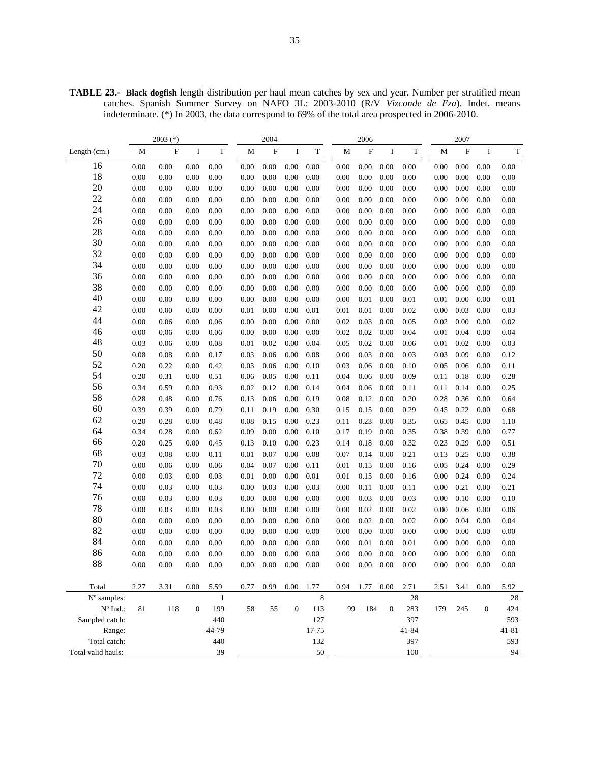**TABLE 23.- Black dogfish** length distribution per haul mean catches by sex and year. Number per stratified mean catches. Spanish Summer Survey on NAFO 3L: 2003-2010 (R/V *Vizconde de Eza*). Indet. means indeterminate. (\*) In 2003, the data correspond to 69% of the total area prospected in 2006-2010.

|                                 | $2003$ (*) |             |              | 2004         |          |             |                  | 2006        |      |             |              | 2007  |      |                   |              |           |
|---------------------------------|------------|-------------|--------------|--------------|----------|-------------|------------------|-------------|------|-------------|--------------|-------|------|-------------------|--------------|-----------|
| Length $(cm.)$                  | M          | $\mathbf F$ | I            | T            | M        | $\mathbf F$ | I                | $\mathbf T$ | M    | $\mathbf F$ | I            | T     | M    | $\mathbf F$       | I            | T         |
| 16                              | 0.00       | 0.00        | 0.00         | 0.00         | 0.00     | 0.00        | 0.00             | 0.00        | 0.00 | 0.00        | 0.00         | 0.00  | 0.00 | 0.00              | 0.00         | 0.00      |
| 18                              | 0.00       | 0.00        | 0.00         | 0.00         | 0.00     | 0.00        | 0.00             | 0.00        | 0.00 | 0.00        | 0.00         | 0.00  | 0.00 | 0.00              | 0.00         | 0.00      |
| 20                              | 0.00       | 0.00        | 0.00         | 0.00         | 0.00     | 0.00        | 0.00             | 0.00        | 0.00 | 0.00        | 0.00         | 0.00  | 0.00 | 0.00              | 0.00         | 0.00      |
| 22                              | 0.00       | 0.00        | 0.00         | 0.00         | 0.00     | 0.00        | 0.00             | 0.00        | 0.00 | 0.00        | 0.00         | 0.00  | 0.00 | 0.00              | 0.00         | 0.00      |
| 24                              | 0.00       | 0.00        | 0.00         | 0.00         | 0.00     | 0.00        | 0.00             | 0.00        | 0.00 | 0.00        | 0.00         | 0.00  | 0.00 | 0.00              | 0.00         | 0.00      |
| 26                              | 0.00       | 0.00        | 0.00         | 0.00         | 0.00     | 0.00        | $0.00\,$         | 0.00        | 0.00 | 0.00        | 0.00         | 0.00  | 0.00 | 0.00              | 0.00         | 0.00      |
| 28                              | 0.00       | 0.00        | 0.00         | 0.00         | 0.00     | 0.00        | $0.00\,$         | 0.00        | 0.00 | 0.00        | 0.00         | 0.00  | 0.00 | $0.00\,$          | 0.00         | 0.00      |
| 30                              | 0.00       | 0.00        | 0.00         | 0.00         | 0.00     | 0.00        | 0.00             | 0.00        | 0.00 | 0.00        | 0.00         | 0.00  | 0.00 | 0.00              | 0.00         | 0.00      |
| 32                              | 0.00       | 0.00        | 0.00         | 0.00         | 0.00     | 0.00        | 0.00             | 0.00        | 0.00 | 0.00        | 0.00         | 0.00  | 0.00 | 0.00              | 0.00         | 0.00      |
| 34                              | 0.00       | 0.00        | 0.00         | 0.00         | 0.00     | 0.00        | 0.00             | 0.00        | 0.00 | 0.00        | 0.00         | 0.00  | 0.00 | 0.00              | 0.00         | 0.00      |
| 36                              | 0.00       | 0.00        | 0.00         | 0.00         | 0.00     | 0.00        | 0.00             | 0.00        | 0.00 | 0.00        | 0.00         | 0.00  | 0.00 | 0.00              | 0.00         | 0.00      |
| 38                              | 0.00       | 0.00        | 0.00         | 0.00         | 0.00     | 0.00        | 0.00             | 0.00        | 0.00 | 0.00        | 0.00         | 0.00  | 0.00 | 0.00              | 0.00         | 0.00      |
| 40                              | 0.00       | 0.00        | 0.00         | 0.00         | 0.00     | 0.00        | 0.00             | 0.00        | 0.00 | 0.01        | 0.00         | 0.01  | 0.01 | 0.00              | 0.00         | 0.01      |
| 42                              | 0.00       | 0.00        | 0.00         | 0.00         | 0.01     | 0.00        | 0.00             | 0.01        | 0.01 | 0.01        | 0.00         | 0.02  | 0.00 | 0.03              | 0.00         | 0.03      |
| 44                              | 0.00       | 0.06        | 0.00         | 0.06         | 0.00     | 0.00        | 0.00             | 0.00        | 0.02 | 0.03        | 0.00         | 0.05  | 0.02 | 0.00              | 0.00         | 0.02      |
| 46                              | 0.00       | 0.06        | 0.00         | 0.06         | 0.00     | 0.00        | 0.00             | 0.00        | 0.02 | 0.02        | 0.00         | 0.04  | 0.01 | 0.04              | 0.00         | 0.04      |
| 48                              | 0.03       | 0.06        | 0.00         | 0.08         | 0.01     | 0.02        | 0.00             | 0.04        | 0.05 | 0.02        | 0.00         | 0.06  | 0.01 | 0.02              | 0.00         | 0.03      |
| 50                              | 0.08       | 0.08        | 0.00         | 0.17         | 0.03     | 0.06        | 0.00             | 0.08        | 0.00 | 0.03        | 0.00         | 0.03  | 0.03 | 0.09              | 0.00         | 0.12      |
| 52                              | 0.20       | 0.22        | 0.00         | 0.42         | 0.03     | 0.06        | 0.00             | 0.10        | 0.03 | 0.06        | 0.00         | 0.10  | 0.05 | 0.06              | 0.00         | 0.11      |
| 54                              | 0.20       | 0.31        | 0.00         | 0.51         | 0.06     | 0.05        | 0.00             | 0.11        | 0.04 | 0.06        | 0.00         | 0.09  | 0.11 | 0.18              | 0.00         | 0.28      |
| 56                              | 0.34       | 0.59        | 0.00         | 0.93         | 0.02     | 0.12        | 0.00             | 0.14        | 0.04 | 0.06        | 0.00         | 0.11  | 0.11 | 0.14              | 0.00         | 0.25      |
| 58                              | 0.28       | 0.48        | 0.00         | 0.76         | 0.13     | 0.06        | 0.00             | 0.19        | 0.08 | 0.12        | 0.00         | 0.20  | 0.28 | 0.36              | 0.00         | 0.64      |
| 60                              | 0.39       | 0.39        | 0.00         | 0.79         | 0.11     | 0.19        | 0.00             | 0.30        | 0.15 | 0.15        | 0.00         | 0.29  | 0.45 | 0.22              | 0.00         | 0.68      |
| 62                              | 0.20       | 0.28        | 0.00         | 0.48         | 0.08     | 0.15        | 0.00             | 0.23        | 0.11 | 0.23        | 0.00         | 0.35  | 0.65 | 0.45              | 0.00         | 1.10      |
| 64                              | 0.34       | 0.28        | 0.00         | 0.62         | 0.09     | 0.00        | 0.00             | 0.10        | 0.17 | 0.19        | 0.00         | 0.35  | 0.38 | 0.39              | 0.00         | 0.77      |
| 66                              | 0.20       | 0.25        | 0.00         | 0.45         | 0.13     | 0.10        | 0.00             | 0.23        | 0.14 | 0.18        | 0.00         | 0.32  | 0.23 | 0.29              | 0.00         | 0.51      |
| 68                              | 0.03       | 0.08        | 0.00         | 0.11         | 0.01     | 0.07        | 0.00             | 0.08        | 0.07 | 0.14        | 0.00         | 0.21  | 0.13 | 0.25              | 0.00         | 0.38      |
| 70                              | 0.00       | 0.06        | 0.00         | 0.06         | 0.04     | 0.07        | 0.00             | 0.11        | 0.01 | 0.15        | 0.00         | 0.16  | 0.05 | 0.24              | 0.00         | 0.29      |
| 72                              | 0.00       | 0.03        | 0.00         | 0.03         | 0.01     | 0.00        | 0.00             | 0.01        | 0.01 | 0.15        | 0.00         | 0.16  | 0.00 | 0.24              | 0.00         | 0.24      |
| 74                              | 0.00       | 0.03        | 0.00         | 0.03         | 0.00     | 0.03        | 0.00             | 0.03        | 0.00 | 0.11        | 0.00         | 0.11  | 0.00 | 0.21              | 0.00         | 0.21      |
| 76                              | 0.00       | 0.03        | 0.00         | 0.03         | 0.00     | $0.00\,$    | 0.00             | 0.00        | 0.00 | 0.03        | 0.00         | 0.03  | 0.00 | 0.10              | 0.00         | 0.10      |
| 78                              | 0.00       | 0.03        | 0.00         | 0.03         | 0.00     | 0.00        | 0.00             | 0.00        | 0.00 | 0.02        | 0.00         | 0.02  | 0.00 | 0.06              | 0.00         | 0.06      |
| 80                              | 0.00       | 0.00        | 0.00         | 0.00         | 0.00     | 0.00        | 0.00             | 0.00        | 0.00 | 0.02        | 0.00         | 0.02  | 0.00 | 0.04              | 0.00         | 0.04      |
| 82                              | 0.00       | 0.00        | 0.00         | 0.00         | 0.00     | 0.00        | 0.00             | 0.00        | 0.00 | 0.00        | 0.00         | 0.00  | 0.00 | 0.00              | 0.00         | 0.00      |
| 84                              | 0.00       | 0.00        | 0.00         | 0.00         | 0.00     | 0.00        | 0.00             | 0.00        | 0.00 | 0.01        | 0.00         | 0.01  | 0.00 | 0.00              | 0.00         | 0.00      |
| 86                              | 0.00       | 0.00        | 0.00         | 0.00         | 0.00     | 0.00        | 0.00             | 0.00        | 0.00 | 0.00        | 0.00         | 0.00  | 0.00 | 0.00              | 0.00         | 0.00      |
| 88                              | 0.00       | 0.00        | 0.00         | $0.00\,$     | $0.00\,$ | $0.00\,$    | $0.00\,$         | 0.00        | 0.00 | $0.00\,$    | 0.00         | 0.00  | 0.00 | $0.00 \quad 0.00$ |              | 0.00      |
|                                 |            |             |              |              |          |             |                  |             |      |             |              |       |      |                   |              |           |
| Total                           | 2.27       | 3.31        | $0.00\,$     | 5.59         | 0.77     | 0.99        | $0.00\,$         | 1.77        | 0.94 | 1.77        | 0.00         | 2.71  | 2.51 | 3.41              | 0.00         | 5.92      |
| N° samples:                     |            |             |              | $\mathbf{1}$ |          |             |                  | 8           |      |             |              | 28    |      |                   |              | 28        |
| $\mathrm{N}^{\mathrm{o}}$ Ind.: | 81         | 118         | $\mathbf{0}$ | 199          | 58       | 55          | $\boldsymbol{0}$ | 113         | 99   | 184         | $\mathbf{0}$ | 283   | 179  | 245               | $\mathbf{0}$ | 424       |
| Sampled catch:                  |            |             |              | 440          |          |             |                  | 127         |      |             |              | 397   |      |                   |              | 593       |
| Range:                          |            |             |              | 44-79        |          |             |                  | 17-75       |      |             |              | 41-84 |      |                   |              | $41 - 81$ |
| Total catch:                    |            |             |              | 440          |          |             |                  | 132         |      |             |              | 397   |      |                   |              | 593       |
| Total valid hauls:              |            |             |              | 39           |          |             |                  | 50          |      |             |              | 100   |      |                   |              | 94        |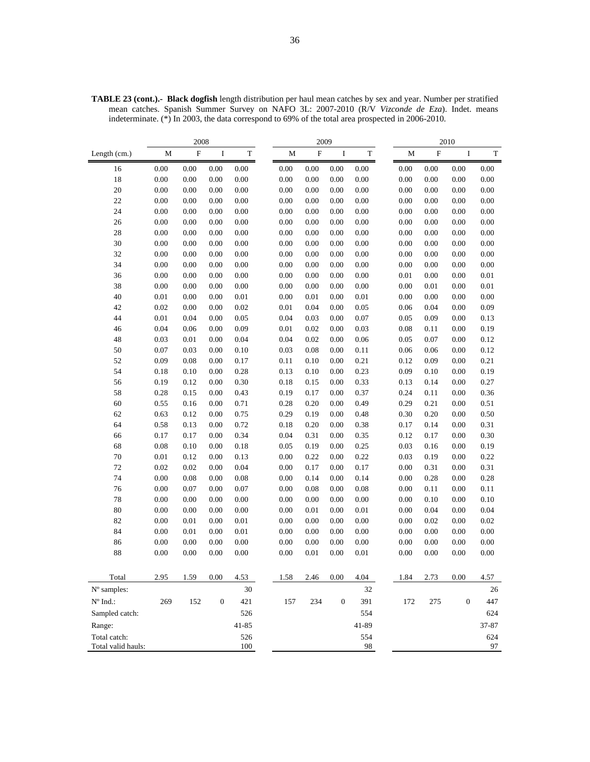|                                    | 2008     |                           |                  |             |  | 2009 |             |                  |             |  | 2010     |             |                  |             |
|------------------------------------|----------|---------------------------|------------------|-------------|--|------|-------------|------------------|-------------|--|----------|-------------|------------------|-------------|
| Length (cm.)                       | M        | $\boldsymbol{\mathrm{F}}$ | I                | $\mathbf T$ |  | M    | $\mathbf F$ | I                | $\mathbf T$ |  | M        | $\mathbf F$ | $\rm I$          | $\mathbf T$ |
| 16                                 | 0.00     | 0.00                      | 0.00             | 0.00        |  | 0.00 | $0.00\,$    | 0.00             | 0.00        |  | 0.00     | 0.00        | 0.00             | 0.00        |
| 18                                 | 0.00     | 0.00                      | 0.00             | 0.00        |  | 0.00 | 0.00        | 0.00             | 0.00        |  | 0.00     | 0.00        | 0.00             | $0.00\,$    |
| 20                                 | 0.00     | 0.00                      | 0.00             | 0.00        |  | 0.00 | 0.00        | 0.00             | 0.00        |  | 0.00     | 0.00        | 0.00             | 0.00        |
| 22                                 | 0.00     | 0.00                      | 0.00             | 0.00        |  | 0.00 | 0.00        | 0.00             | 0.00        |  | $0.00\,$ | 0.00        | $0.00\,$         | 0.00        |
| 24                                 | 0.00     | 0.00                      | 0.00             | 0.00        |  | 0.00 | 0.00        | 0.00             | 0.00        |  | 0.00     | 0.00        | 0.00             | $0.00\,$    |
| 26                                 | 0.00     | 0.00                      | 0.00             | 0.00        |  | 0.00 | 0.00        | 0.00             | 0.00        |  | 0.00     | 0.00        | 0.00             | $0.00\,$    |
| 28                                 | 0.00     | 0.00                      | 0.00             | 0.00        |  | 0.00 | 0.00        | 0.00             | 0.00        |  | 0.00     | 0.00        | 0.00             | $0.00\,$    |
| 30                                 | 0.00     | 0.00                      | 0.00             | 0.00        |  | 0.00 | 0.00        | 0.00             | 0.00        |  | 0.00     | 0.00        | 0.00             | 0.00        |
| 32                                 | 0.00     | 0.00                      | 0.00             | 0.00        |  | 0.00 | 0.00        | 0.00             | 0.00        |  | 0.00     | 0.00        | 0.00             | $0.00\,$    |
| 34                                 | 0.00     | 0.00                      | 0.00             | 0.00        |  | 0.00 | 0.00        | 0.00             | 0.00        |  | 0.00     | 0.00        | 0.00             | 0.00        |
| 36                                 | 0.00     | 0.00                      | 0.00             | 0.00        |  | 0.00 | 0.00        | 0.00             | 0.00        |  | 0.01     | 0.00        | $0.00\,$         | $0.01\,$    |
| 38                                 | 0.00     | 0.00                      | 0.00             | 0.00        |  | 0.00 | 0.00        | 0.00             | 0.00        |  | 0.00     | 0.01        | 0.00             | $0.01\,$    |
| 40                                 | $0.01\,$ | 0.00                      | 0.00             | 0.01        |  | 0.00 | 0.01        | 0.00             | 0.01        |  | 0.00     | 0.00        | 0.00             | $0.00\,$    |
| 42                                 | 0.02     | 0.00                      | 0.00             | 0.02        |  | 0.01 | 0.04        | 0.00             | 0.05        |  | 0.06     | 0.04        | 0.00             | 0.09        |
| 44                                 | 0.01     | 0.04                      | 0.00             | 0.05        |  | 0.04 | 0.03        | 0.00             | 0.07        |  | 0.05     | 0.09        | 0.00             | 0.13        |
| 46                                 | 0.04     | 0.06                      | 0.00             | 0.09        |  | 0.01 | 0.02        | 0.00             | 0.03        |  | 0.08     | 0.11        | $0.00\,$         | 0.19        |
| 48                                 | 0.03     | 0.01                      | 0.00             | 0.04        |  | 0.04 | 0.02        | 0.00             | 0.06        |  | 0.05     | 0.07        | 0.00             | 0.12        |
| 50                                 | 0.07     | 0.03                      | 0.00             | 0.10        |  | 0.03 | 0.08        | $0.00\,$         | 0.11        |  | 0.06     | 0.06        | $0.00\,$         | 0.12        |
| 52                                 | 0.09     | 0.08                      | 0.00             | 0.17        |  | 0.11 | 0.10        | 0.00             | 0.21        |  | 0.12     | 0.09        | 0.00             | 0.21        |
| 54                                 | 0.18     | 0.10                      | 0.00             | 0.28        |  | 0.13 | 0.10        | 0.00             | 0.23        |  | 0.09     | 0.10        | 0.00             | 0.19        |
| 56                                 | 0.19     | 0.12                      | 0.00             | 0.30        |  | 0.18 | 0.15        | 0.00             | 0.33        |  | 0.13     | 0.14        | 0.00             | 0.27        |
| 58                                 | 0.28     | 0.15                      | 0.00             | 0.43        |  | 0.19 | 0.17        | 0.00             | 0.37        |  | 0.24     | 0.11        | 0.00             | 0.36        |
| 60                                 | 0.55     | 0.16                      | 0.00             | 0.71        |  | 0.28 | 0.20        | 0.00             | 0.49        |  | 0.29     | 0.21        | 0.00             | 0.51        |
| 62                                 | 0.63     | 0.12                      | 0.00             | 0.75        |  | 0.29 | 0.19        | 0.00             | 0.48        |  | 0.30     | 0.20        | 0.00             | 0.50        |
| 64                                 | 0.58     | 0.13                      | 0.00             | 0.72        |  | 0.18 | 0.20        | 0.00             | 0.38        |  | 0.17     | 0.14        | 0.00             | 0.31        |
| 66                                 | 0.17     | 0.17                      | 0.00             | 0.34        |  | 0.04 | 0.31        | 0.00             | 0.35        |  | 0.12     | 0.17        | 0.00             | 0.30        |
| 68                                 | 0.08     | 0.10                      | 0.00             | 0.18        |  | 0.05 | 0.19        | 0.00             | 0.25        |  | 0.03     | 0.16        | 0.00             | 0.19        |
| $70\,$                             | $0.01\,$ | 0.12                      | 0.00             | 0.13        |  | 0.00 | 0.22        | 0.00             | 0.22        |  | 0.03     | 0.19        | 0.00             | 0.22        |
| $72\,$                             | 0.02     | 0.02                      | 0.00             | 0.04        |  | 0.00 | 0.17        | 0.00             | 0.17        |  | 0.00     | 0.31        | 0.00             | 0.31        |
| 74                                 | 0.00     | 0.08                      | 0.00             | 0.08        |  | 0.00 | 0.14        | 0.00             | 0.14        |  | 0.00     | 0.28        | 0.00             | 0.28        |
| 76                                 | 0.00     | 0.07                      | 0.00             | 0.07        |  | 0.00 | 0.08        | 0.00             | 0.08        |  | $0.00\,$ | 0.11        | $0.00\,$         | 0.11        |
| 78                                 | 0.00     | 0.00                      | 0.00             | 0.00        |  | 0.00 | 0.00        | 0.00             | 0.00        |  | 0.00     | 0.10        | 0.00             | 0.10        |
| 80                                 | 0.00     | 0.00                      | 0.00             | 0.00        |  | 0.00 | 0.01        | 0.00             | 0.01        |  | 0.00     | 0.04        | 0.00             | 0.04        |
| 82                                 | 0.00     | 0.01                      | 0.00             | 0.01        |  | 0.00 | 0.00        | 0.00             | 0.00        |  | 0.00     | 0.02        | 0.00             | 0.02        |
| 84                                 | 0.00     | 0.01                      | 0.00             | 0.01        |  | 0.00 | 0.00        | 0.00             | 0.00        |  | 0.00     | 0.00        | 0.00             | 0.00        |
| 86                                 | 0.00     | 0.00                      | 0.00             | 0.00        |  | 0.00 | 0.00        | 0.00             | 0.00        |  | 0.00     | 0.00        | 0.00             | $0.00\,$    |
| 88                                 | 0.00     | 0.00                      | 0.00             | 0.00        |  | 0.00 | 0.01        | 0.00             | 0.01        |  | 0.00     | 0.00        | 0.00             | 0.00        |
|                                    |          |                           |                  |             |  |      |             |                  |             |  |          |             |                  |             |
| Total                              | 2.95     | 1.59                      | 0.00             | 4.53        |  | 1.58 | 2.46        | 0.00             | 4.04        |  | 1.84     | 2.73        | 0.00             | 4.57        |
| N° samples:                        |          |                           |                  | 30          |  |      |             |                  | 32          |  |          |             |                  | 26          |
| $N^{\circ}$ Ind.:                  | 269      | 152                       | $\boldsymbol{0}$ | 421         |  | 157  | 234         | $\boldsymbol{0}$ | 391         |  | 172      | 275         | $\boldsymbol{0}$ | 447         |
| Sampled catch:                     |          |                           |                  | 526         |  |      |             |                  | 554         |  |          |             |                  | 624         |
| Range:                             |          |                           |                  | $41 - 85$   |  |      |             |                  | 41-89       |  |          |             |                  | 37-87       |
|                                    |          |                           |                  |             |  |      |             |                  |             |  |          |             |                  |             |
| Total catch:<br>Total valid hauls: |          |                           |                  | 526<br>100  |  |      |             |                  | 554<br>98   |  |          |             |                  | 624<br>97   |
|                                    |          |                           |                  |             |  |      |             |                  |             |  |          |             |                  |             |

**TABLE 23 (cont.).- Black dogfish** length distribution per haul mean catches by sex and year. Number per stratified mean catches. Spanish Summer Survey on NAFO 3L: 2007-2010 (R/V *Vizconde de Eza*). Indet. means indeterminate. (\*) In 2003, the data correspond to 69% of the total area prospected in 2006-2010.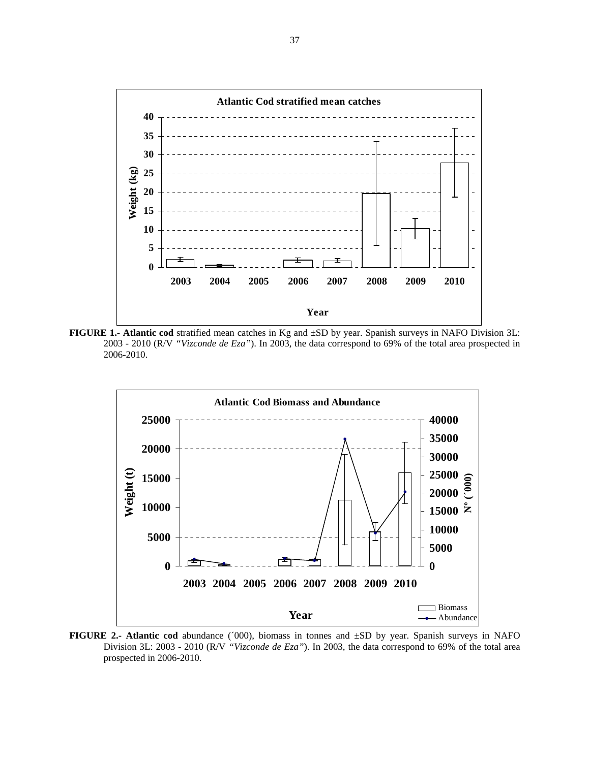

**FIGURE 1.- Atlantic cod** stratified mean catches in Kg and ±SD by year. Spanish surveys in NAFO Division 3L: 2003 - 2010 (R/V *"Vizconde de Eza"*). In 2003, the data correspond to 69% of the total area prospected in 2006-2010.



**FIGURE 2.- Atlantic cod** abundance (´000), biomass in tonnes and ±SD by year. Spanish surveys in NAFO Division 3L: 2003 - 2010 (R/V *"Vizconde de Eza"*). In 2003, the data correspond to 69% of the total area prospected in 2006-2010.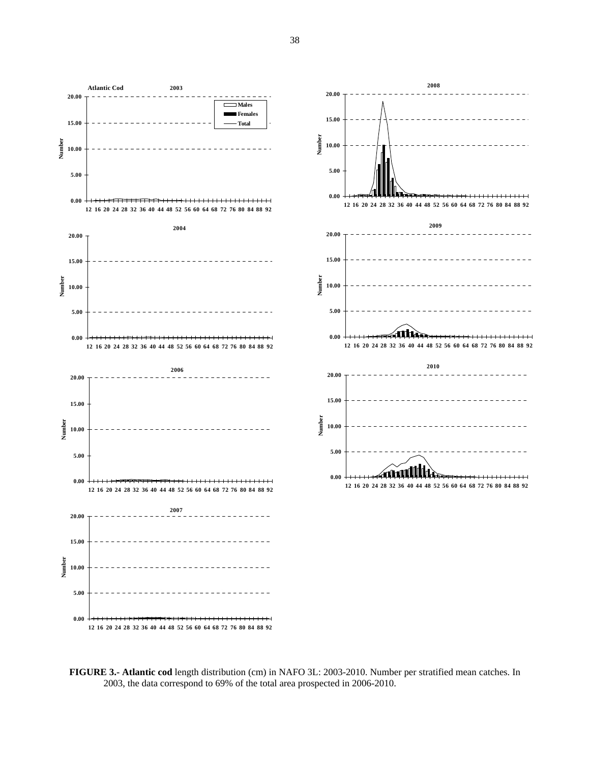



**2008**

**2009**

**2010**

 $\overline{+}$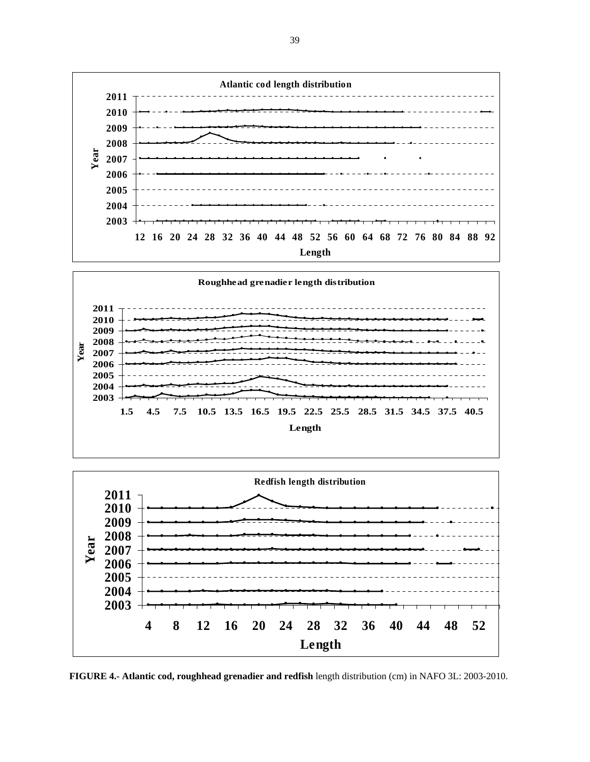





**FIGURE 4.- Atlantic cod, roughhead grenadier and redfish** length distribution (cm) in NAFO 3L: 2003-2010.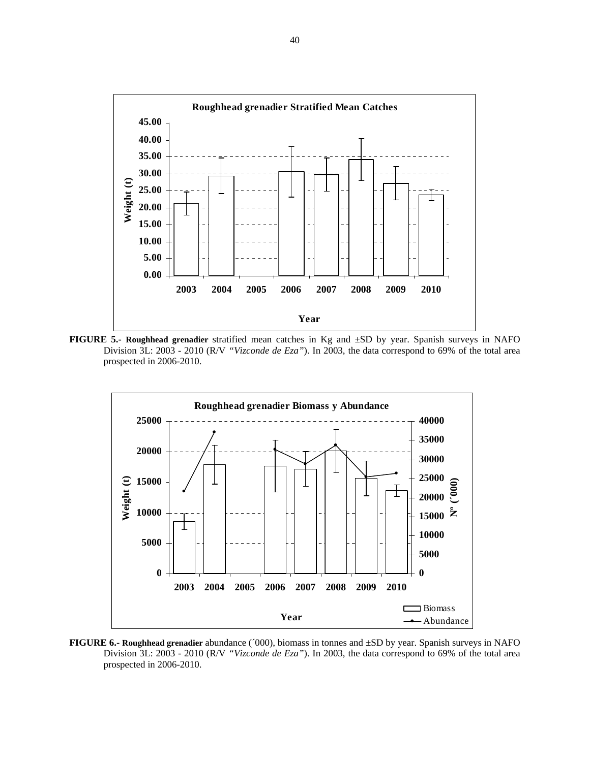

**FIGURE 5.- Roughhead grenadier** stratified mean catches in Kg and ±SD by year. Spanish surveys in NAFO Division 3L: 2003 - 2010 (R/V *"Vizconde de Eza"*). In 2003, the data correspond to 69% of the total area prospected in 2006-2010.



**FIGURE 6.- Roughhead grenadier** abundance (´000), biomass in tonnes and ±SD by year. Spanish surveys in NAFO Division 3L: 2003 - 2010 (R/V *"Vizconde de Eza"*). In 2003, the data correspond to 69% of the total area prospected in 2006-2010.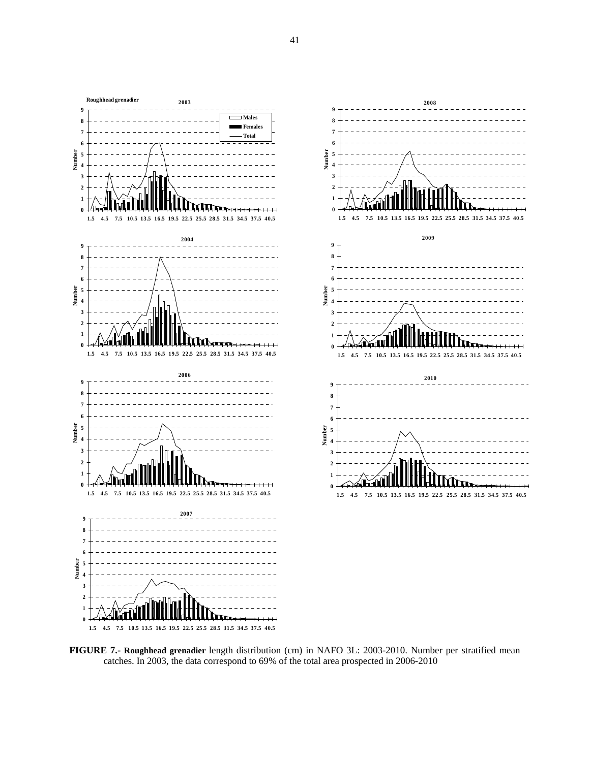

**FIGURE 7.- Roughhead grenadier** length distribution (cm) in NAFO 3L: 2003-2010. Number per stratified mean catches. In 2003, the data correspond to 69% of the total area prospected in 2006-2010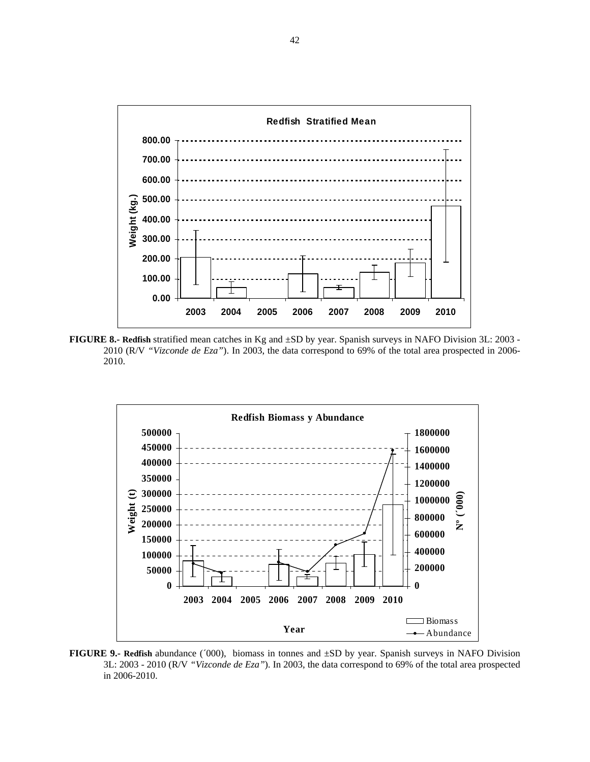

**FIGURE 8.- Redfish** stratified mean catches in Kg and ±SD by year. Spanish surveys in NAFO Division 3L: 2003 - 2010 (R/V *"Vizconde de Eza"*). In 2003, the data correspond to 69% of the total area prospected in 2006- 2010.



**FIGURE 9.- Redfish** abundance (´000), biomass in tonnes and ±SD by year. Spanish surveys in NAFO Division 3L: 2003 - 2010 (R/V *"Vizconde de Eza"*). In 2003, the data correspond to 69% of the total area prospected in 2006-2010.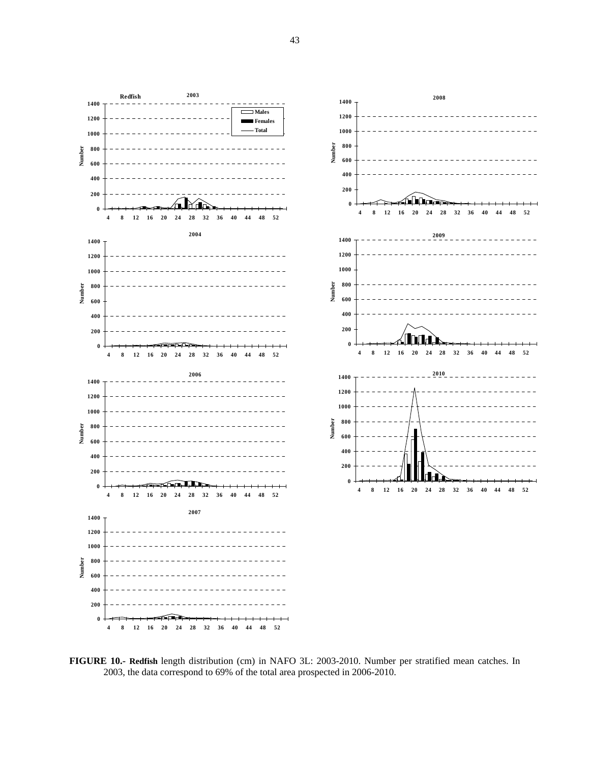



**FIGURE 10.- Redfish** length distribution (cm) in NAFO 3L: 2003-2010. Number per stratified mean catches. In 2003, the data correspond to 69% of the total area prospected in 2006-2010.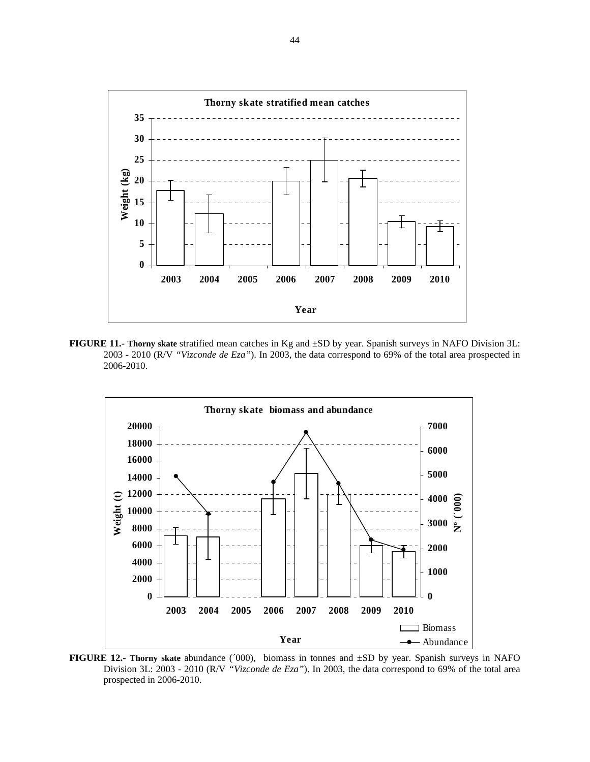

**FIGURE 11.- Thorny skate** stratified mean catches in Kg and ±SD by year. Spanish surveys in NAFO Division 3L: 2003 - 2010 (R/V *"Vizconde de Eza"*). In 2003, the data correspond to 69% of the total area prospected in 2006-2010.



**FIGURE 12.- Thorny skate** abundance (´000), biomass in tonnes and ±SD by year. Spanish surveys in NAFO Division 3L: 2003 - 2010 (R/V *"Vizconde de Eza"*). In 2003, the data correspond to 69% of the total area prospected in 2006-2010.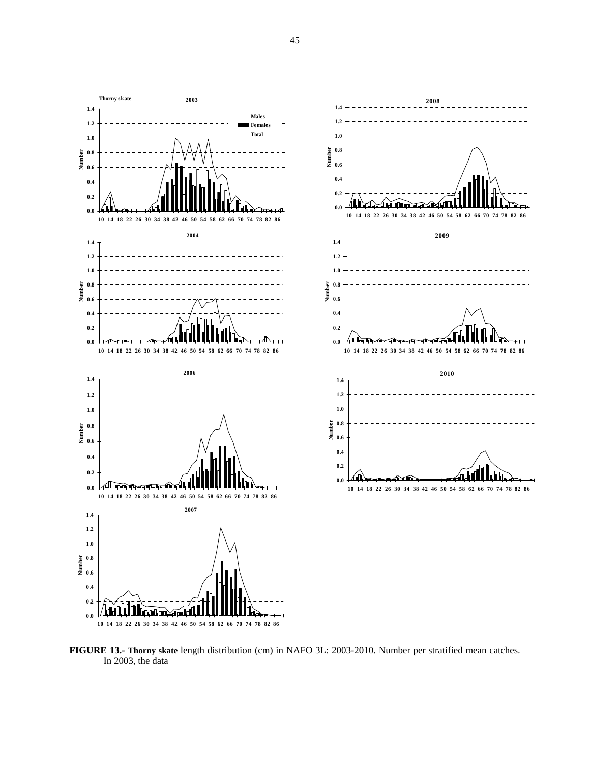

**FIGURE 13.- Thorny skate** length distribution (cm) in NAFO 3L: 2003-2010. Number per stratified mean catches. In 2003, the data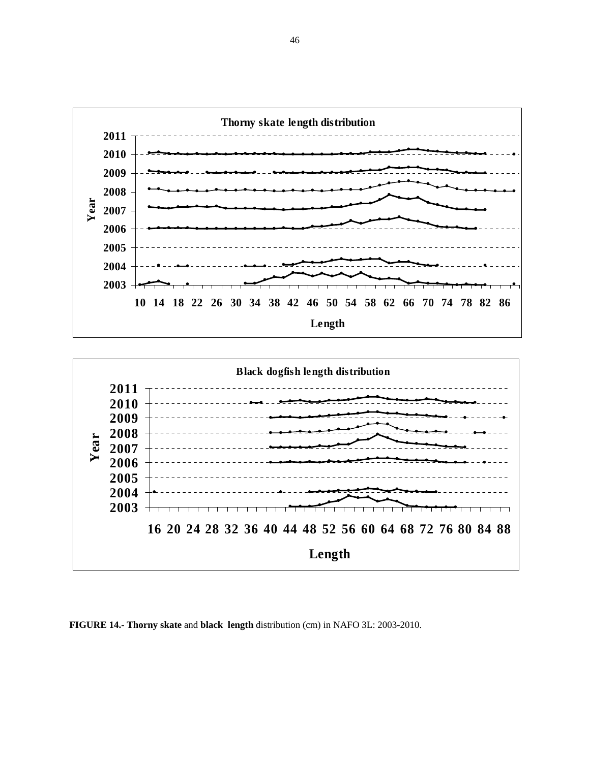



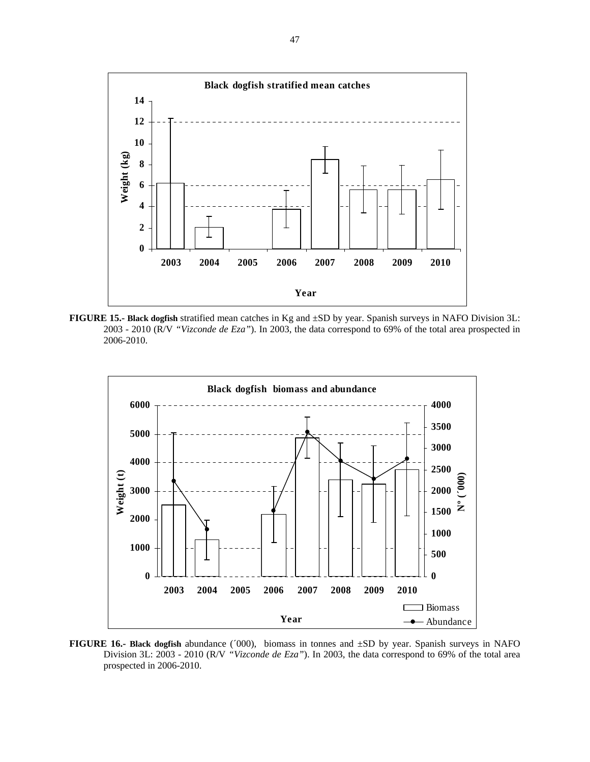

**FIGURE 15.- Black dogfish** stratified mean catches in Kg and ±SD by year. Spanish surveys in NAFO Division 3L: 2003 - 2010 (R/V *"Vizconde de Eza"*). In 2003, the data correspond to 69% of the total area prospected in 2006-2010.



**FIGURE 16.- Black dogfish** abundance (´000), biomass in tonnes and ±SD by year. Spanish surveys in NAFO Division 3L: 2003 - 2010 (R/V *"Vizconde de Eza"*). In 2003, the data correspond to 69% of the total area prospected in 2006-2010.